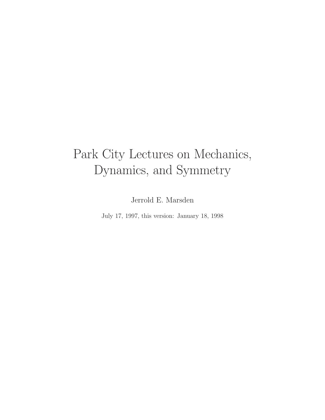# Park City Lectures on Mechanics, Dynamics, and Symmetry

Jerrold E. Marsden

July 17, 1997, this version: January 18, 1998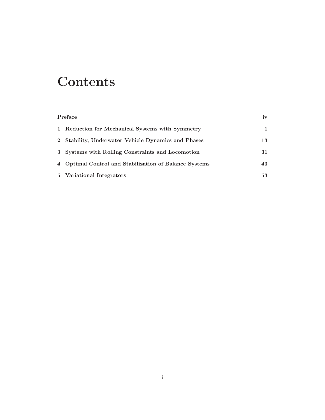## **Contents**

| Preface |                                                        | iv |
|---------|--------------------------------------------------------|----|
|         | 1 Reduction for Mechanical Systems with Symmetry       |    |
|         | 2 Stability, Underwater Vehicle Dynamics and Phases    | 13 |
|         | 3 Systems with Rolling Constraints and Locomotion      | 31 |
|         | 4 Optimal Control and Stabilization of Balance Systems | 43 |
|         | 5 Variational Integrators                              | 53 |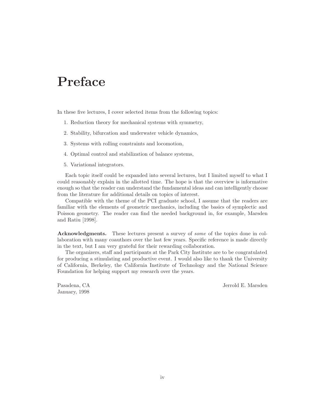### **Preface**

In these five lectures, I cover selected items from the following topics:

- 1. Reduction theory for mechanical systems with symmetry,
- 2. Stability, bifurcation and underwater vehicle dynamics,
- 3. Systems with rolling constraints and locomotion,
- 4. Optimal control and stabilization of balance systems,
- 5. Variational integrators.

Each topic itself could be expanded into several lectures, but I limited myself to what I could reasonably explain in the allotted time. The hope is that the overview is informative enough so that the reader can understand the fundamental ideas and can intelligently choose from the literature for additional details on topics of interest.

Compatible with the theme of the PCI graduate school, I assume that the readers are familiar with the elements of geometric mechanics, including the basics of symplectic and Poisson geometry. The reader can find the needed background in, for example, Marsden and Ratiu [1998].

**Acknowledgments.** These lectures present a survey of some of the topics done in collaboration with many coauthors over the last few years. Specific reference is made directly in the text, but I am very grateful for their rewarding collaboration.

The organizers, staff and participants at the Park City Institute are to be congratulated for producing a stimulating and productive event. I would also like to thank the University of California, Berkeley, the California Institute of Technology and the National Science Foundation for helping support my research over the years.

January, 1998

Pasadena, CA Jerrold E. Marsden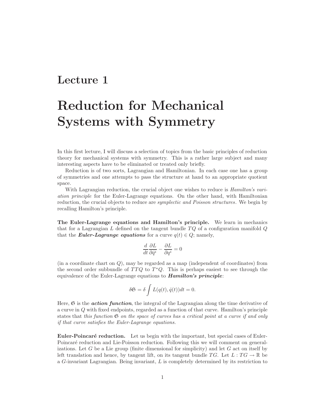### **Lecture 1**

## **Reduction for Mechanical Systems with Symmetry**

In this first lecture, I will discuss a selection of topics from the basic principles of reduction theory for mechanical systems with symmetry. This is a rather large subject and many interesting aspects have to be eliminated or treated only briefly.

Reduction is of two sorts, Lagrangian and Hamiltonian. In each case one has a group of symmetries and one attempts to pass the structure at hand to an appropriate quotient space.

With Lagrangian reduction, the crucial object one wishes to reduce is *Hamilton's vari*ation principle for the Euler-Lagrange equations. On the other hand, with Hamiltonian reduction, the crucial objects to reduce are *symplectic and Poisson structures*. We begin by recalling Hamilton's principle.

**The Euler-Lagrange equations and Hamilton's principle.** We learn in mechanics that for a Lagrangian L defined on the tangent bundle  $TQ$  of a configuration manifold  $Q$ that the *Euler-Lagrange equations* for a curve  $q(t) \in Q$ ; namely,

$$
\frac{d}{dt}\frac{\partial L}{\partial \dot{q}^i} - \frac{\partial L}{\partial q^i} = 0
$$

(in a coordinate chart on Q), may be regarded as a map (independent of coordinates) from the second order subbundle of  $TTQ$  to  $T^*Q$ . This is perhaps easiest to see through the equivalence of the Euler-Lagrange equations to *Hamilton's principle*:

$$
\delta \mathfrak{S} = \delta \int L(q(t), \dot{q}(t)) dt = 0.
$$

Here,  $\mathfrak S$  is the *action function*, the integral of the Lagrangian along the time derivative of a curve in Q with fixed endpoints, regarded as a function of that curve. Hamilton's principle states that this function  $\mathfrak S$  on the space of curves has a critical point at a curve if and only if that curve satisfies the Euler-Lagrange equations.

**Euler-Poincaré reduction.** Let us begin with the important, but special cases of Euler-Poincaré reduction and Lie-Poisson reduction. Following this we will comment on generalizations. Let G be a Lie group (finite dimensional for simplicity) and let G act on itself by left translation and hence, by tangent lift, on its tangent bundle TG. Let  $L : T G \to \mathbb{R}$  be a G-invariant Lagrangian. Being invariant, L is completely determined by its restriction to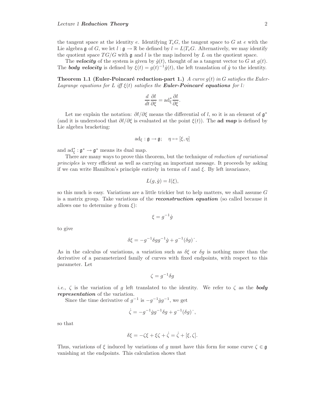the tangent space at the identity e. Identifying  $T_eG$ , the tangent space to G at e with the Lie algebra g of G, we let  $l : \mathfrak{g} \to \mathbb{R}$  be defined by  $l = L|T_eG$ . Alternatively, we may identify the quotient space  $TG/G$  with g and l is the map induced by L on the quotient space.

The **velocity** of the system is given by  $\dot{q}(t)$ , thought of as a tangent vector to G at  $q(t)$ . The *body velocity* is defined by  $\xi(t) = q(t)^{-1}\dot{q}(t)$ , the left translation of  $\dot{q}$  to the identity.

**Theorem 1.1 (Euler-Poincaré reduction-part 1.)** A curve  $g(t)$  in G satisfies the Euler-Lagrange equations for L iff  $\xi(t)$  satisfies the **Euler-Poincaré equations** for l:

$$
\frac{d}{dt}\frac{\partial l}{\partial \xi} = \mathrm{ad}_{\xi}^* \frac{\partial l}{\partial \xi}.
$$

Let me explain the notation:  $\partial l/\partial \xi$  means the differential of l, so it is an element of  $\mathfrak{g}^*$ (and it is understood that  $\partial l/\partial \xi$  is evaluated at the point  $\xi(t)$ ). The **ad** *map* is defined by Lie algebra bracketing:

$$
\mathrm{ad}_{\xi} : \mathfrak{g} \to \mathfrak{g}; \quad \eta \mapsto [\xi, \eta]
$$

and  $\mathrm{ad}_{\xi}^* : \mathfrak{g}^* \to \mathfrak{g}^*$  means its dual map.

There are many ways to prove this theorem, but the technique of *reduction of variational* principles is very efficient as well as carrying an important message. It proceeds by asking if we can write Hamilton's principle entirely in terms of  $l$  and  $\xi$ . By left invariance,

$$
L(g, \dot{g}) = l(\xi),
$$

so this much is easy. Variations are a little trickier but to help matters, we shall assume  $G$ is a matrix group. Take variations of the *reconstruction equation* (so called because it allows one to determine q from  $\xi$ :

$$
\xi = g^{-1}\dot{g}
$$

to give

$$
\delta \xi = -g^{-1} \delta g g^{-1} \dot{g} + g^{-1} (\delta g) \, .
$$

As in the calculus of variations, a variation such as  $\delta \xi$  or  $\delta q$  is nothing more than the derivative of a parameterized family of curves with fixed endpoints, with respect to this parameter. Let

$$
\zeta = g^{-1} \delta g
$$

*i.e.*,  $\zeta$  is the variation of g left translated to the identity. We refer to  $\zeta$  as the **body** *representation* of the variation.

Since the time derivative of  $g^{-1}$  is  $-g^{-1}\dot{g}g^{-1}$ , we get

$$
\dot{\zeta} = -g^{-1}\dot{g}g^{-1}\delta g + g^{-1}(\delta g)^\cdot,
$$

so that

$$
\delta \xi = -\zeta \xi + \xi \zeta + \dot{\zeta} = \dot{\zeta} + [\xi, \zeta].
$$

Thus, variations of  $\xi$  induced by variations of g must have this form for some curve  $\zeta \in \mathfrak{g}$ vanishing at the endpoints. This calculation shows that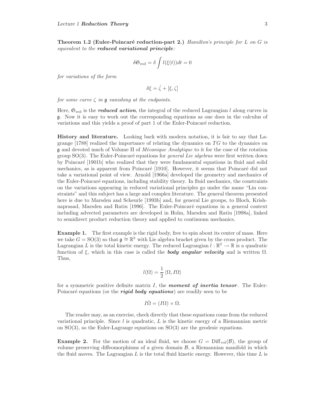**Theorem 1.2 (Euler-Poincaré reduction-part 2.)** Hamilton's principle for L on G is equivalent to the *reduced variational principle*:

$$
\delta \mathfrak{S}_{\text{red}} = \delta \int l(\xi(t))dt = 0
$$

for variations of the form

 $\delta \xi = \dot{\zeta} + [\xi, \zeta]$ 

for some curve  $\zeta$  in g vanishing at the endpoints.

Here,  $\mathfrak{S}_{\text{red}}$  is the *reduced action*, the integral of the reduced Lagrangian l along curves in <sup>g</sup>. Now it is easy to work out the corresponding equations as one does in the calculus of variations and this yields a proof of part 1 of the Euler-Poincaré reduction.

**History and literature.** Looking back with modern notation, it is fair to say that Lagrange  $[1788]$  realized the importance of relating the dynamics on TG to the dynamics on g and devoted much of Volume II of *Mécanique Analytique* to it for the case of the rotation group  $SO(3)$ . The Euler-Poincaré equations for *general Lie algebras* were first written down by Poincar´e [1901b] who realized that they were fundamental equations in fluid and solid mechanics, as is apparent from Poincaré [1910]. However, it seems that Poincaré did not take a variational point of view. Arnold [1966a] developed the geometry and mechanics of the Euler-Poincaré equations, including stability theory. In fluid mechanics, the constraints on the variations appearing in reduced variational principles go under the name "Lin constraints" and this subject has a large and complex literature. The general theorem presented here is due to Marsden and Scheurle [1993b] and, for general Lie groups, to Bloch, Krishnaprasad, Marsden and Ratiu [1996]. The Euler-Poincaré equations in a general context including advected parameters are developed in Holm, Marsden and Ratiu [1998a], linked to semidirect product reduction theory and applied to continuum mechanics.

**Example 1.** The first example is the rigid body, free to spin about its center of mass. Here we take  $G = SO(3)$  so that  $\mathfrak{g} \cong \mathbb{R}^3$  with Lie algebra bracket given by the cross product. The Lagrangian L is the total kinetic energy. The reduced Lagrangian  $l : \mathbb{R}^3 \to \mathbb{R}$  is a quadratic function of ξ, which in this case is called the *body angular velocity* and is written Ω. Thus,

$$
l(\Omega)=\frac{1}{2}\left<\Omega,I\Omega\right>
$$

for a symmetric positive definite matrix I, the *moment of inertia tensor*. The Euler-Poincaré equations (or the *rigid body equations*) are readily seen to be

$$
I\dot{\Omega} = (I\Omega) \times \Omega.
$$

The reader may, as an exercise, check directly that these equations come from the reduced variational principle. Since  $l$  is quadratic,  $L$  is the kinetic energy of a Riemannian metric on  $SO(3)$ , so the Euler-Lagrange equations on  $SO(3)$  are the geodesic equations.

**Example 2.** For the motion of an ideal fluid, we choose  $G = \text{Diff}_{\text{vol}}(\mathcal{B})$ , the group of volume preserving diffeomorphisms of a given domain  $\beta$ , a Riemannian manifold in which the fluid moves. The Lagrangian  $L$  is the total fluid kinetic energy. However, this time  $L$  is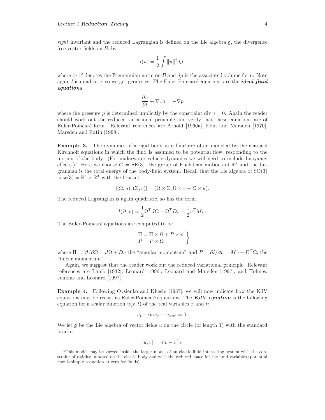*right* invariant and the reduced Lagrangian is defined on the Lie algebra  $\mathfrak{g}$ , the divergence free vector fields on  $\beta$ , by

$$
l(u)=\frac{1}{2}\int \|u\|^2 d\mu,
$$

where  $\|\cdot\|^2$  denotes the Riemannian norm on  $\mathcal B$  and  $d\mu$  is the associated volume form. Note again l is quadratic, so we get geodesics. The Euler-Poincaré equations are the *ideal fluid equations*

$$
\frac{\partial u}{\partial t} + \nabla_u u = -\nabla p
$$

where the pressure p is determined implicitly by the constraint div  $u = 0$ . Again the reader should work out the reduced variational principle and verify that these equations are of Euler-Poincar´e form. Relevant references are Arnold [1966a], Ebin and Marsden [1970], Marsden and Ratiu [1998].

**Example 3.** The dynamics of a rigid body in a fluid are often modeled by the classical Kirchhoff equations in which the fluid is assumed to be potential flow, responding to the motion of the body. (For underwater vehicle dynamics we will need to include buoyancy effects.)<sup>1</sup> Here we choose  $G = SE(3)$ , the group of Euclidean motions of  $\mathbb{R}^3$  and the Lagrangian is the total energy of the body-fluid system. Recall that the Lie algebra of SO(3) is  $\mathfrak{se}(3) = \mathbb{R}^3 \times \mathbb{R}^3$  with the bracket

$$
[(\Omega, u), (\Sigma, v)] = (\Omega \times \Sigma, \Omega \times v - \Sigma \times u).
$$

The reduced Lagrangian is again quadratic, so has the form

$$
l(\Omega, v) = \frac{1}{2}\Omega^T J \Omega + \Omega^T D v + \frac{1}{2}v^T M v.
$$

The Euler-Poincaré equations are computed to be

$$
\begin{array}{l} \dot{\Pi} = \Pi \times \Omega + P \times v \\ \dot{P} = P \times \Omega \end{array} \bigg\}
$$

where  $\Pi = \partial l/\partial \Omega = J\Omega + Dv$  the "angular momentum" and  $P = \partial l/\partial v = Mv + D^T\Omega$ , the "linear momentum".

Again, we suggest that the reader work out the reduced variational principle. Relevant references are Lamb [1932], Leonard [1996], Leonard and Marsden [1997], and Holmes, Jenkins and Leonard [1997].

**Example 4.** Following Ovsienko and Khesin [1987], we will now indicate how the KdV equations may be recast as Euler-Poincaré equations. The  $KdV$  equation is the following equation for a scalar function  $u(x, t)$  of the real variables x and t:

$$
u_t + 6uu_x + u_{xxx} = 0.
$$

We let  $\frak g$  be the Lie algebra of vector fields u on the circle (of length 1) with the standard bracket

$$
[u, v] = u'v - v'u.
$$

 $1$ This model may be viewed inside the larger model of an elastic-fluid interacting system with the constraint of rigidity imposed on the elastic body and with the reduced space for the fluid variables (potential flow is simply reduction at zero for fluids).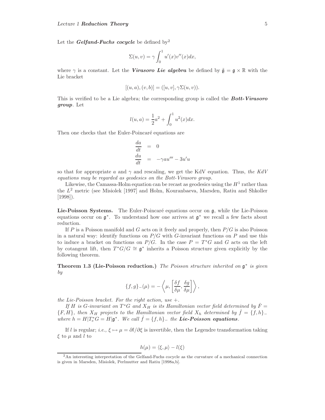Let the *Gelfand-Fuchs* cocycle be defined by<sup>2</sup>

$$
\Sigma(u,v) = \gamma \int_0^1 u'(x)v''(x)dx,
$$

where  $\gamma$  is a constant. Let the *Virasoro Lie algebra* be defined by  $\tilde{\mathfrak{g}} = \mathfrak{g} \times \mathbb{R}$  with the Lie bracket

$$
[(u, a), (v, b)] = ([u, v], \gamma \Sigma(u, v)).
$$

This is verified to be a Lie algebra; the corresponding group is called the *Bott-Virasoro group*. Let

$$
l(u, a) = \frac{1}{2}a^2 + \int_0^1 u^2(x)dx.
$$

Then one checks that the Euler-Poincaré equations are

$$
\begin{array}{rcl}\n\frac{da}{dt} & = & 0\\
\frac{du}{dt} & = & -\gamma a u''' - 3u'u\n\end{array}
$$

so that for appropriate a and  $\gamma$  and rescaling, we get the KdV equation. Thus, the KdV equations may be regarded as geodesics on the Bott-Virasoro group.

Likewise, the Camassa-Holm equation can be recast as geodesics using the  $H<sup>1</sup>$  rather than the  $L^2$  metric (see Misiolek [1997] and Holm, Kouranbaeva, Marsden, Ratiu and Shkoller [1998]).

Lie-Poisson Systems. The Euler-Poincaré equations occur on g, while the Lie-Poisson equations occur on  $\mathfrak{g}^*$ . To understand how one arrives at  $\mathfrak{g}^*$  we recall a few facts about reduction.

If P is a Poisson manifold and G acts on it freely and properly, then  $P/G$  is also Poisson in a natural way: identify functions on  $P/G$  with G-invariant functions on P and use this to induce a bracket on functions on  $P/G$ . In the case  $P = T^*G$  and G acts on the left by cotangent lift, then  $T^*G/G \cong \mathfrak{g}^*$  inherits a Poisson structure given explicitly by the following theorem.

**Theorem 1.3 (Lie-Poisson reduction.)** The Poisson structure inherited on <sup>g</sup><sup>∗</sup> is given by

$$
\{f,g\}-(\mu)=-\left\langle \mu,\left[\frac{\delta f}{\delta \mu},\frac{\delta g}{\delta \mu}\right]\right\rangle,
$$

the Lie-Poisson bracket. For the right action, use  $+$ .

If H is G-invariant on  $T^*G$  and  $X_H$  is its Hamiltonian vector field determined by  $\dot{F} =$  ${F, H}$ , then  $X_H$  projects to the Hamiltonian vector field  $X_h$  determined by  $\dot{f} = \{f, h\}$ where  $h = H|T_e^*G = H|\mathfrak{g}^*$ . We call  $f = \{f, h\}$  the **Lie-Poisson equations.** 

If l is regular; i.e.,  $\xi \mapsto \mu = \partial l/\partial \xi$  is invertible, then the Legendre transformation taking  $\xi$  to  $\mu$  and l to

$$
h(\mu) = \langle \xi, \mu \rangle - l(\xi)
$$

<sup>2</sup>An interesting interpretation of the Gelfand-Fuchs cocycle as the curvature of a mechanical connection is given in Marsden, Misiolek, Perlmutter and Ratiu [1998a,b].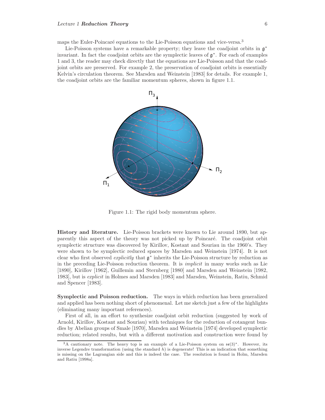maps the Euler-Poincaré equations to the Lie-Poisson equations and vice-versa.<sup>3</sup>

Lie-Poisson systems have a remarkable property; they leave the coadjoint orbits in <sup>g</sup><sup>∗</sup> invariant. In fact the coadjoint orbits are the symplectic leaves of  $\mathfrak{g}^*$ . For each of examples 1 and 3, the reader may check directly that the equations are Lie-Poisson and that the coadjoint orbits are preserved. For example 2, the preservation of coadjoint orbits is essentially Kelvin's circulation theorem. See Marsden and Weinstein [1983] for details. For example 1, the coadjoint orbits are the familiar momentum spheres, shown in figure 1.1.



Figure 1.1: The rigid body momentum sphere.

**History and literature.** Lie-Poisson brackets were known to Lie around 1890, but apparently this aspect of the theory was not picked up by Poincar´e. The coadjoint orbit symplectic structure was discovered by Kirillov, Kostant and Souriau in the 1960's. They were shown to be symplectic reduced spaces by Marsden and Weinstein [1974]. It is not clear who first observed *explicitly* that  $g^*$  inherits the Lie-Poisson structure by reduction as in the preceding Lie-Poisson reduction theorem. It is *implicit* in many works such as Lie [1890], Kirillov [1962], Guillemin and Sternberg [1980] and Marsden and Weinstein [1982, 1983], but is explicit in Holmes and Marsden [1983] and Marsden, Weinstein, Ratiu, Schmid and Spencer [1983].

**Symplectic and Poisson reduction.** The ways in which reduction has been generalized and applied has been nothing short of phenomenal. Let me sketch just a few of the highlights (eliminating many important references).

First of all, in an effort to synthesize coadjoint orbit reduction (suggested by work of Arnold, Kirillov, Kostant and Souriau) with techniques for the reduction of cotangent bundles by Abelian groups of Smale [1970], Marsden and Weinstein [1974] developed symplectic reduction; related results, but with a different motivation and construction were found by

<sup>&</sup>lt;sup>3</sup>A cautionary note. The heavy top is an example of a Lie-Poisson system on  $\mathfrak{se}(3)^*$ . However, its inverse Legendre transformation (using the standard  $h$ ) is degenerate! This is an indication that something is missing on the Lagrangian side and this is indeed the case. The resolution is found in Holm, Marsden and Ratiu [1998a].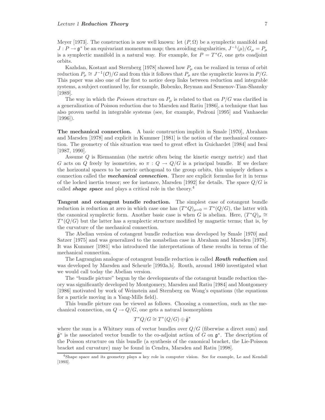Meyer [1973]. The construction is now well known: let  $(P, \Omega)$  be a symplectic manifold and  $J : P \to \mathfrak{g}^*$  be an equivariant momentum map; then avoiding singularities,  $J^{-1}(\mu)/G_{\mu} = P_{\mu}$ is a symplectic manifold in a natural way. For example, for  $P = T^*G$ , one gets coadjoint orbits.

Kazhdan, Kostant and Sternberg [1978] showed how  $P_{\mu}$  can be realized in terms of orbit reduction  $P_\mu \cong J^{-1}(\mathcal{O})/G$  and from this it follows that  $P_\mu$  are the symplectic leaves in  $P/G$ . This paper was also one of the first to notice deep links between reduction and integrable systems, a subject continued by, for example, Bobenko, Reyman and Semenov-Tian-Shansky [1989].

The way in which the *Poisson* structure on  $P_{\mu}$  is related to that on  $P/G$  was clarified in a generalization of Poisson reduction due to Marsden and Ratiu [1986], a technique that has also proven useful in integrable systems (see, for example, Pedroni [1995] and Vanhaecke [1996]).

**The mechanical connection.** A basic construction implicit in Smale [1970], Abraham and Marsden [1978] and explicit in Kummer [1981] is the notion of the mechanical connection. The geometry of this situation was used to great effect in Guichardet [1984] and Iwai [1987, 1990].

Assume Q is Riemannian (the metric often being the kinetic energy metric) and that G acts on Q freely by isometries, so  $\pi: Q \to Q/G$  is a principal bundle. If we declare the horizontal spaces to be metric orthogonal to the group orbits, this uniquely defines a connection called the *mechanical connection*. There are explicit formulas for it in terms of the locked inertia tensor; see for instance, Marsden [1992] for details. The space  $Q/G$  is called *shape space* and plays a critical role in the theory.<sup>4</sup>

**Tangent and cotangent bundle reduction.** The simplest case of cotangent bundle reduction is reduction at zero in which case one has  $(T^*Q)_{\mu=0} = T^*(Q/G)$ , the latter with the canonical symplectic form. Another basic case is when G is abelian. Here,  $(T^*Q)_{\mu} \cong$  $T^*(Q/G)$  but the latter has a symplectic structure modified by magnetic terms; that is, by the curvature of the mechanical connection.

The Abelian version of cotangent bundle reduction was developed by Smale [1970] and Satzer [1975] and was generalized to the nonabelian case in Abraham and Marsden [1978]. It was Kummer [1981] who introduced the interpretations of these results in terms of the mechanical connection.

The Lagrangian analogue of cotangent bundle reduction is called *Routh reduction* and was developed by Marsden and Scheurle [1993a,b]. Routh, around 1860 investigated what we would call today the Abelian version.

The "bundle picture" begun by the developments of the cotangent bundle reduction theory was significantly developed by Montgomery, Marsden and Ratiu [1984] and Montgomery [1986] motivated by work of Weinstein and Sternberg on Wong's equations (the equations for a particle moving in a Yang-Mills field).

This bundle picture can be viewed as follows. Choosing a connection, such as the mechanical connection, on  $Q \to Q/G$ , one gets a natural isomorphism

$$
T^*Q/G\cong T^*(Q/G)\oplus\tilde{\mathfrak{g}}^*
$$

where the sum is a Whitney sum of vector bundles over  $Q/G$  (fiberwise a direct sum) and  $\tilde{\mathfrak{g}}^*$  is the associated vector bundle to the co-adjoint action of G on  $\mathfrak{g}^*$ . The description of the Poisson structure on this bundle (a synthesis of the canonical bracket, the Lie-Poisson bracket and curvature) may be found in Cendra, Marsden and Ratiu [1998].

<sup>4</sup>Shape space and its geometry plays a key role in computer vision. See for example, Le and Kendall [1993].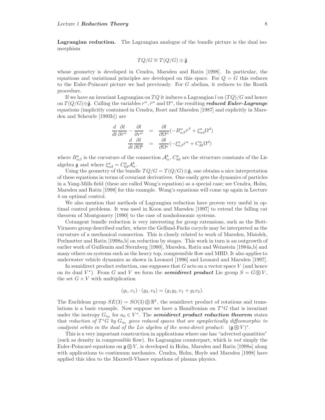**Lagrangian reduction.** The Lagrangian analogue of the bundle picture is the dual isomorphism

$$
TQ/G\cong T(Q/G)\oplus\tilde{\mathfrak{g}}
$$

whose geometry is developed in Cendra, Marsden and Ratiu [1998]. In particular, the equations and variational principles are developed on this space. For  $Q = G$  this reduces to the Euler-Poincaré picture we had previously. For  $G$  abelian, it reduces to the Routh procedure.

If we have an invariant Lagrangian on  $TQ$  it induces a Lagrangian l on  $(TQ)/G$  and hence on  $T(Q/G) \oplus \tilde{\mathfrak{g}}$ . Calling the variables  $r^{\alpha}$ ,  $\dot{r}^{\alpha}$  and  $\Omega^{\alpha}$ , the resulting *reduced Euler-Lagrange* equations (implicitly contained in Cendra, Ibort and Marsden [1987] and explicitly in Marsden and Scheurle [1993b]) are

$$
\frac{d}{dt}\frac{\partial l}{\partial \dot{r}^{\alpha}} - \frac{\partial l}{\partial r^{\alpha}} = \frac{\partial l}{\partial \Omega^{\alpha}}(-B^{\alpha}_{\alpha\beta}\dot{r}^{\beta} + \xi^{a}_{\alpha d}\Omega^{d})
$$

$$
\frac{d}{dt}\frac{\partial l}{\partial \Omega^{b}} = \frac{\partial l}{\partial \Omega^{a}}(-\xi^{a}_{\alpha\beta}\dot{r}^{\alpha} + C^{a}_{db}\Omega^{d})
$$

where  $B^a_{\alpha\beta}$  is the curvature of the connection  $\mathcal{A}^b_\alpha$ ,  $C^a_{bd}$  are the structure constants of the Lie algebra  $\mathfrak g$  and where  $\xi^a_{\alpha d} = C^a_{bd} \mathcal{A}^b_{\alpha}$ .

Using the geometry of the bundle  $TQ/G = T(Q/G) \oplus \tilde{\mathfrak{g}}$ , one obtains a nice interpretation of these equations in terms of covariant derivatives. One easily gets the dynamics of particles in a Yang-Mills field (these are called Wong's equation) as a special case; see Cendra, Holm, Marsden and Ratiu [1998] for this example. Wong's equations will come up again in Lecture 4 on optimal control.

We also mention that methods of Lagrangian reduction have proven very useful in optimal control problems. It was used in Koon and Marsden [1997] to extend the falling cat theorem of Montgomery [1990] to the case of nonholonomic systems.

Cotangent bundle reduction is very interesting for group extensions, such as the Bott-Virasoro group described earlier, where the Gelfand-Fuchs cocycle may be interpreted as the curvature of a mechanical connection. This is closely related to work of Marsden, Misiolek, Perlmutter and Ratiu [1998a,b] on reduction by stages. This work in turn is an outgrowth of earlier work of Guillemin and Sternberg [1980], Marsden, Ratiu and Weinstein [1984a,b] and many others on systems such as the heavy top, compressible flow and MHD. It also applies to underwater vehicle dynamics as shown in Leonard [1996] and Leonard and Marsden [1997].

In semidirect product reduction, one supposes that  $G$  acts on a vector space  $V$  (and hence on its dual  $V^*$ ). From G and V we form the *semidirect product* Lie group  $S = G \circledS V$ , the set  $G \times V$  with multiplication

$$
(g_1, v_1) \cdot (g_2, v_2) = (g_1g_2, v_1 + g_1v_2).
$$

The Euclidean group  $SE(3) = SO(3) \text{S} \mathbb{R}^3$ , the semidirect product of rotations and translations is a basic example. Now suppose we have a Hamiltonian on  $T^*G$  that is invariant under the isotropy  $G_{a_0}$  for  $a_0 \in V^*$ . The *semidirect product reduction theorem* states that reduction of  $T^*G$  by  $G_{a_0}$  gives reduced spaces that are symplectically diffeomorphic to coadjoint orbits in the dual of the Lie algebra of the semi-direct product:  $(g \otimes V)^*$ .

This is a very important construction in applications where one has "advected quantities" (such as density in compressible flow). Its Lagrangian counterpart, which is not simply the Euler-Poincaré equations on  $\mathfrak{g}(\mathbb{S})V$ , is developed in Holm, Marsden and Ratiu [1998a] along with applications to continuum mechanics. Cendra, Holm, Hoyle and Marsden [1998] have applied this idea to the Maxwell-Vlasov equations of plasma physics.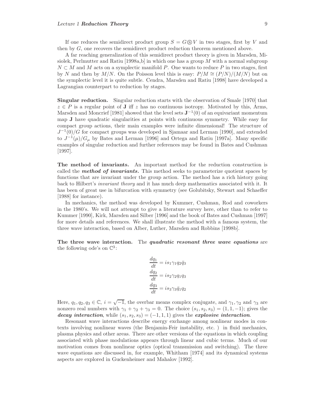If one reduces the semidirect product group  $S = G \circledS V$  in two stages, first by V and then by G, one recovers the semidirect product reduction theorem mentioned above.

A far reaching generalization of this semidirect product theory is given in Marsden, Misiolek, Perlmutter and Ratiu [1998a,b] in which one has a group  $M$  with a normal subgroup  $N \subset M$  and M acts on a symplectic manifold P. One wants to reduce P in two stages, first by N and then by M/N. On the Poisson level this is easy:  $P/M \cong (P/N)/(M/N)$  but on the symplectic level it is quite subtle. Cendra, Marsden and Ratiu [1998] have developed a Lagrangian counterpart to reduction by stages.

**Singular reduction.** Singular reduction starts with the observation of Smale [1970] that  $z \in P$  is a regular point of **J** iff z has no continuous isotropy. Motivated by this, Arms, Marsden and Moncrief [1981] showed that the level sets **J**−<sup>1</sup>(0) of an equivariant momentum map **J** have quadratic singularities at points with continuous symmetry. While easy for compact group actions, their main examples were infinite dimensional! The structure of  $J^{-1}(0)/G$  for compact groups was developed in Sjamaar and Lerman [1990], and extended to  $J^{-1}(\mu)/G_{\mu}$  by Bates and Lerman [1996] and Ortega and Ratiu [1997a]. Many specific examples of singular reduction and further references may be found in Bates and Cushman [1997].

**The method of invariants.** An important method for the reduction construction is called the *method of invariants.* This method seeks to parameterize quotient spaces by functions that are invariant under the group action. The method has a rich history going back to Hilbert's invariant theory and it has much deep mathematics associated with it. It has been of great use in bifurcation with symmetry (see Golubitsky, Stewart and Schaeffer [1988] for instance).

In mechanics, the method was developed by Kummer, Cushman, Rod and coworkers in the 1980's. We will not attempt to give a literature survey here, other than to refer to Kummer [1990], Kirk, Marsden and Silber [1996] and the book of Bates and Cushman [1997] for more details and references. We shall illustrate the method with a famous system, the three wave interaction, based on Alber, Luther, Marsden and Robbins [1998b].

**The three wave interaction.** The *quadratic resonant three wave equations* are the following ode's on  $\mathbb{C}^3$ :

$$
\frac{dq_1}{dt} = is_1 \gamma_1 q_2 \bar{q}_3
$$

$$
\frac{dq_2}{dt} = is_2 \gamma_2 q_1 q_3
$$

$$
\frac{dq_3}{dt} = is_3 \gamma_3 \bar{q}_1 q_2
$$

Here,  $q_1, q_2, q_3 \in \mathbb{C}$ ,  $i = \sqrt{-1}$ , the overbar means complex conjugate, and  $\gamma_1, \gamma_2$  and  $\gamma_3$  are nonzero real numbers with  $\gamma_1 + \gamma_2 + \gamma_3 = 0$ . The choice  $(s_1, s_2, s_3) = (1, 1, -1)$ ; gives the *decay interaction*, while  $(s_1, s_2, s_3) = (-1, 1, 1)$  gives the *explosive interaction*.

Resonant wave interactions describe energy exchange among nonlinear modes in contexts involving nonlinear waves (the Benjamin-Feir instability, etc. ) in fluid mechanics, plasma physics and other areas. There are other versions of the equations in which coupling associated with phase modulations appears through linear and cubic terms. Much of our motivation comes from nonlinear optics (optical transmission and switching). The three wave equations are discussed in, for example, Whitham [1974] and its dynamical systems aspects are explored in Guckenheimer and Mahalov [1992].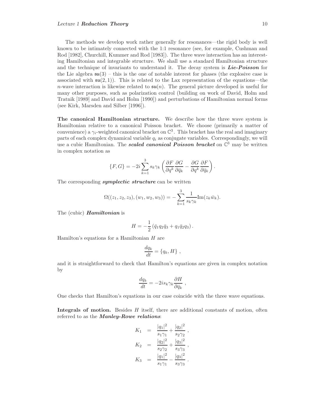The methods we develop work rather generally for resonances—the rigid body is well known to be intimately connected with the 1:1 resonance (see, for example, Cushman and Rod [1982], Churchill, Kummer and Rod [1983]). The three wave interaction has an interesting Hamiltonian and integrable structure. We shall use a standard Hamiltonian structure and the technique of invariants to understand it. The decay system is *Lie-Poisson* for the Lie algebra  $\mathfrak{su}(3)$  – this is the one of notable interest for phases (the explosive case is associated with  $\mathfrak{su}(2,1)$ ). This is related to the Lax representation of the equations—the n-wave interaction is likewise related to  $\mathfrak{su}(n)$ . The general picture developed is useful for many other purposes, such as polarization control (building on work of David, Holm and Tratnik [1989] and David and Holm [1990]) and perturbations of Hamiltonian normal forms (see Kirk, Marsden and Silber [1996]).

**The canonical Hamiltonian structure.** We describe how the three wave system is Hamiltonian relative to a canonical Poisson bracket. We choose (primarily a matter of convenience) a  $\gamma_i$ -weighted canonical bracket on  $\mathbb{C}^3$ . This bracket has the real and imaginary parts of each complex dynamical variable  $q_i$  as conjugate variables. Correspondingly, we will use a cubic Hamiltonian. The *scaled canonical Poisson bracket* on <sup>C</sup> <sup>3</sup> may be written in complex notation as

$$
\{F,G\} = -2i\sum_{k=1}^3 s_k \gamma_k \left(\frac{\partial F}{\partial q^k} \frac{\partial G}{\partial \bar{q}_k} - \frac{\partial G}{\partial q^k} \frac{\partial F}{\partial \bar{q}_k}\right).
$$

The corresponding *symplectic structure* can be written

$$
\Omega((z_1, z_2, z_3), (w_1, w_2, w_3)) = -\sum_{k=1}^3 \frac{1}{s_k \gamma_k} \text{Im}(z_k \overline{w}_k).
$$

The (cubic) *Hamiltonian* is

$$
H = -\frac{1}{2} \left( \bar{q}_1 q_2 \bar{q}_3 + q_1 \bar{q}_2 q_3 \right).
$$

Hamilton's equations for a Hamiltonian H are

$$
\frac{dq_k}{dt} = \{q_k, H\},\,
$$

and it is straightforward to check that Hamilton's equations are given in complex notation by

$$
\frac{dq_k}{dt} = -2is_k\gamma_k\frac{\partial H}{\partial \bar{q}_k} ,
$$

One checks that Hamilton's equations in our case coincide with the three wave equations.

**Integrals of motion.** Besides H itself, there are additional constants of motion, often referred to as the *Manley-Rowe relations*:

$$
K_1 = \frac{|q_1|^2}{s_1\gamma_1} + \frac{|q_2|^2}{s_2\gamma_2},
$$
  
\n
$$
K_2 = \frac{|q_2|^2}{s_2\gamma_2} + \frac{|q_3|^2}{s_3\gamma_3},
$$
  
\n
$$
K_3 = \frac{|q_1|^2}{s_1\gamma_1} - \frac{|q_3|^2}{s_3\gamma_3}.
$$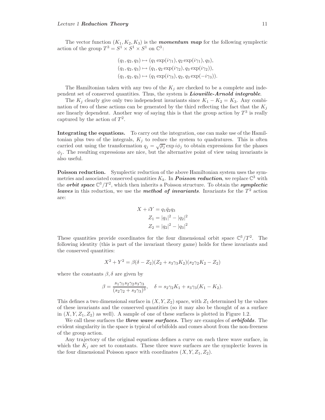The vector function  $(K_1, K_2, K_3)$  is the **momentum map** for the following symplectic action of the group  $T^3 = S^1 \times S^1 \times S^1$  on  $\mathbb{C}^3$ :

$$
(q_1, q_2, q_3) \mapsto (q_1 \exp(i\gamma_1), q_2 \exp(i\gamma_1), q_3),
$$
  
\n
$$
(q_1, q_2, q_3) \mapsto (q_1, q_2 \exp(i\gamma_2), q_3 \exp(i\gamma_2)),
$$
  
\n
$$
(q_1, q_2, q_3) \mapsto (q_1 \exp(i\gamma_3), q_2, q_3 \exp(-i\gamma_3)).
$$

The Hamiltonian taken with any two of the  $K_i$  are checked to be a complete and independent set of conserved quantities. Thus, the system is *Liouville-Arnold integrable*.

The  $K_i$  clearly give only two independent invariants since  $K_1 - K_2 = K_3$ . Any combination of two of these actions can be generated by the third reflecting the fact that the  $K_i$ are linearly dependent. Another way of saying this is that the group action by  $T^3$  is really captured by the action of  $T^2$ .

**Integrating the equations.** To carry out the integration, one can make use of the Hamiltonian plus two of the integrals,  $K_j$  to reduce the system to quadratures. This is often carried out using the transformation  $q_j = \sqrt{\rho_j} \exp i\phi_j$  to obtain expressions for the phases  $\phi_i$ . The resulting expressions are nice, but the alternative point of view using invariants is also useful.

**Poisson reduction.** Symplectic reduction of the above Hamiltonian system uses the symmetries and associated conserved quantities  $K_k$ . In **Poisson reduction**, we replace  $\mathbb{C}^3$  with the *orbit space*  $\mathbb{C}^3 / T^2$ , which then inherits a Poisson structure. To obtain the *symplectic leaves* in this reduction, we use the *method of invariants*. Invariants for the  $T<sup>2</sup>$  action are:

$$
X + iY = q_1 \bar{q}_2 q_3
$$
  
\n
$$
Z_1 = |q_1|^2 - |q_2|^2
$$
  
\n
$$
Z_2 = |q_2|^2 - |q_3|^2
$$

These quantities provide coordinates for the four dimensional orbit space  $\mathbb{C}^3/T^2$ . The following identity (this is part of the invariant theory game) holds for these invariants and the conserved quantities:

$$
X^{2} + Y^{2} = \beta(\delta - Z_{2})(Z_{2} + s_{3}\gamma_{3}K_{2})(s_{2}\gamma_{2}K_{2} - Z_{2})
$$

where the constants  $\beta$ ,  $\delta$  are given by

$$
\beta = \frac{s_1 \gamma_1 s_2 \gamma_2 s_3 \gamma_3}{(s_2 \gamma_2 + s_3 \gamma_3)^3}, \quad \delta = s_2 \gamma_2 K_1 + s_3 \gamma_3 (K_1 - K_2).
$$

This defines a two dimensional surface in  $(X, Y, Z_2)$  space, with  $Z_1$  determined by the values of these invariants and the conserved quantities (so it may also be thought of as a surface in  $(X, Y, Z_1, Z_2)$  as well). A sample of one of these surfaces is plotted in Figure 1.2.

We call these surfaces the *three wave surfaces.* They are examples of *orbifolds*. The evident singularity in the space is typical of orbifolds and comes about from the non-freeness of the group action.

Any trajectory of the original equations defines a curve on each three wave surface, in which the  $K_i$  are set to constants. These three wave surfaces are the symplectic leaves in the four dimensional Poisson space with coordinates  $(X, Y, Z_1, Z_2)$ .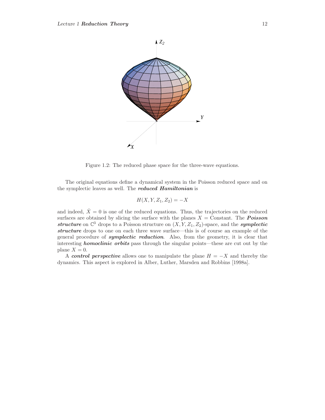

Figure 1.2: The reduced phase space for the three-wave equations.

The original equations define a dynamical system in the Poisson reduced space and on the symplectic leaves as well. The *reduced Hamiltonian* is

$$
H(X, Y, Z_1, Z_2) = -X
$$

and indeed,  $\dot{X} = 0$  is one of the reduced equations. Thus, the trajectories on the reduced surfaces are obtained by slicing the surface with the planes  $X =$  Constant. The **Poisson** structure on  $\mathbb{C}^3$  drops to a Poisson structure on  $(X, Y, Z_1, Z_2)$ -space, and the *symplectic structure* drops to one on each three wave surface—this is of course an example of the general procedure of *symplectic reduction*. Also, from the geometry, it is clear that interesting *homoclinic orbits* pass through the singular points—these are cut out by the plane  $X = 0$ .

A *control perspective* allows one to manipulate the plane  $H = -X$  and thereby the dynamics. This aspect is explored in Alber, Luther, Marsden and Robbins [1998a].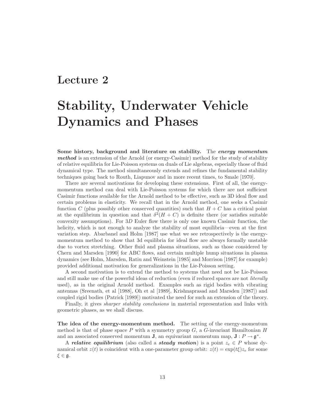#### **Lecture 2**

### **Stability, Underwater Vehicle Dynamics and Phases**

**Some history, background and literature on stability.** The *energy momentum method* is an extension of the Arnold (or energy-Casimir) method for the study of stability of relative equilibria for Lie-Poisson systems on duals of Lie algebras, especially those of fluid dynamical type. The method simultaneously extends and refines the fundamental stability techniques going back to Routh, Liapunov and in more recent times, to Smale [1970].

There are several motivations for developing these extensions. First of all, the energymomentum method can deal with Lie-Poisson systems for which there are not sufficient Casimir functions available for the Arnold method to be effective, such as 3D ideal flow and certain problems in elasticity. We recall that in the Arnold method, one seeks a Casimir function C (plus possibly other conserved quantities) such that  $H + C$  has a critical point at the equilibrium in question and that  $\delta^2(H+C)$  is definite there (or satisfies suitable convexity assumptions). For  $3D$  Euler flow there is only one known Casimir function, the helicity, which is not enough to analyze the stability of most equilibria—even at the first variation step. Abarbanel and Holm [1987] use what we see retrospectively is the energymomentum method to show that 3d equilibria for ideal flow are always formally unstable due to vortex stretching. Other fluid and plasma situations, such as those considered by Chern and Marsden [1990] for ABC flows, and certain multiple hump situations in plasma dynamics (see Holm, Marsden, Ratiu and Weinstein [1985] and Morrison [1987] for example) provided additional motivation for generalizations in the Lie-Poisson setting.

A second motivation is to extend the method to systems that need not be Lie-Poisson and still make use of the powerful ideas of reduction (even if reduced spaces are not *literally* used), as in the original Arnold method. Examples such as rigid bodies with vibrating antennas (Sreenath, et al [1988], Oh et al [1989], Krishnaprasad and Marsden [1987]) and coupled rigid bodies (Patrick [1989]) motivated the need for such an extension of the theory.

Finally, it gives *sharper stability conclusions* in material representation and links with geometric phases, as we shall discuss.

**The idea of the energy-momentum method.** The setting of the energy-momentum method is that of phase space P with a symmetry group  $G$ , a  $G$ -invariant Hamiltonian  $H$ and an associated conserved momentum **J**, an equivariant momentum map,  $\mathbf{J} : P \to \mathfrak{g}^*$ .

A *relative equilibrium* (also called a *steady motion*) is a point  $z_e \in P$  whose dynamical orbit  $z(t)$  is coincident with a one-parameter group orbit:  $z(t) = \exp(t\xi)z_e$  for some  $\xi \in \mathfrak{g}.$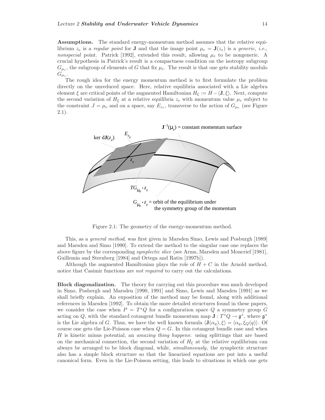**Assumptions.** The standard energy-momentum method assumes that the relative equilibrium  $z_e$  is a regular point for **J** and that the image point  $\mu_e = \mathbf{J}(z_e)$  is a generic, *i.e.*, nonspecial point. Patrick [1992], extended this result, allowing  $\mu_e$  to be nongeneric. A crucial hypothesis in Patrick's result is a compactness condition on the isotropy subgroup  $G_{\mu_e}$ , the subgroup of elements of G that fix  $\mu_e$ . The result is that one gets stability modulo  $G_{\mu_e}$ .

The rough idea for the energy momentum method is to first formulate the problem directly on the unreduced space. Here, relative equilibria associated with a Lie algebra element  $\xi$  are critical points of the augmented Hamiltonian  $H_{\xi} := H - \langle \mathbf{J}, \xi \rangle$ . Next, compute the second variation of  $H_{\xi}$  at a relative equilibria  $z_e$  with momentum value  $\mu_e$  subject to the constraint  $J = \mu_e$  and on a space, say  $E_{z_e}$ , transverse to the action of  $G_{\mu_e}$  (see Figure 2.1).



Figure 2.1: The geometry of the energy-momentum method.

This, as a general method, was first given in Marsden Simo, Lewis and Posburgh [1989] and Marsden and Simo [1990]. To extend the method to the singular case one replaces the above figure by the corresponding symplectic slice (see Arms, Marsden and Moncrief [1981], Guillemin and Sternberg [1984] and Ortega and Ratiu [1997b]).

Although the augmented Hamiltonian plays the role of  $H + C$  in the Arnold method, notice that Casimir functions are *not required* to carry out the calculations.

**Block diagonalization.** The theory for carrying out this procedure was much developed in Simo, Posbergh and Marsden [1990, 1991] and Simo, Lewis and Marsden [1991] as we shall briefly explain. An exposition of the method may be found, along with additional references in Marsden [1992]. To obtain the more detailed structures found in these papers, we consider the case when  $P = T^*Q$  for a configuration space Q a symmetry group G acting on Q, with the standard cotangent bundle momentum map  $\mathbf{J}: T^*Q \to \mathfrak{g}^*$ , where  $\mathfrak{g}^*$ is the Lie algebra of G. Thus, we have the well known formula  $\langle \mathbf{J}(\alpha_q), \xi \rangle = \langle \alpha_q, \xi_Q(q) \rangle$ . Of course one gets the Lie-Poisson case when  $Q = G$ . In this cotangent bundle case and when  $H$  is kinetic minus potential, an *amazing thing happens*: using splittings that are based on the mechanical connection, the second variation of  $H<sub>\xi</sub>$  at the relative equilibrium can always be arranged to be block diagonal, while, *simultaneously*, the symplectic structure also has a simple block structure so that the linearized equations are put into a useful canonical form. Even in the Lie-Poisson setting, this leads to situations in which one gets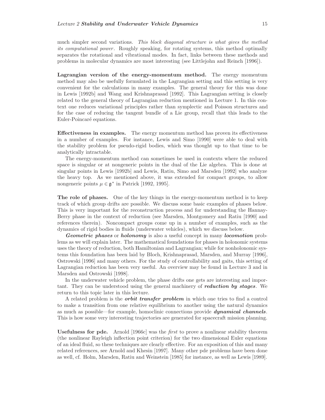much simpler second variations. This block diagonal structure is what gives the method its computational power. Roughly speaking, for rotating systems, this method optimally separates the rotational and vibrational modes. In fact, links between these methods and problems in molecular dynamics are most interesting (see Littlejohn and Reinch [1996]).

**Lagrangian version of the energy-momentum method.** The energy momentum method may also be usefully formulated in the Lagrangian setting and this setting is very convenient for the calculations in many examples. The general theory for this was done in Lewis [1992b] and Wang and Krishnaprasad [1992]. This Lagrangian setting is closely related to the general theory of Lagrangian reduction mentioned in Lecture 1. In this context one reduces variational principles rather than symplectic and Poisson structures and for the case of reducing the tangent bundle of a Lie group, recall that this leads to the Euler-Poincaré equations.

**Effectiveness in examples.** The energy momentum method has proven its effectiveness in a number of examples. For instance, Lewis and Simo [1990] were able to deal with the stability problem for pseudo-rigid bodies, which was thought up to that time to be analytically intractable.

The energy-momentum method can sometimes be used in contexts where the reduced space is singular or at nongeneric points in the dual of the Lie algebra. This is done at singular points in Lewis [1992b] and Lewis, Ratiu, Simo and Marsden [1992] who analyze the heavy top. As we mentioned above, it was extended for compact groups, to allow nongeneric points  $\mu \in \mathfrak{g}^*$  in Patrick [1992, 1995].

**The role of phases.** One of the key things in the energy-momentum method is to keep track of which group drifts are possible. We discuss some basic examples of phases below. This is very important for the reconstruction process and for understanding the Hannay-Berry phase in the context of reduction (see Marsden, Montgomery and Ratiu [1990] and references therein). Noncompact groups come up in a number of examples, such as the dynamics of rigid bodies in fluids (underwater vehicles), which we discuss below.

*Geometric phases* or *holonomy* is also a useful concept in many *locomotion* problems as we will explain later. The mathematical foundations for phases in holonomic systems uses the theory of reduction, both Hamiltonian and Lagrangian; while for nonholonomic systems this foundation has been laid by Bloch, Krishnaprasad, Marsden, and Murray [1996], Ostrowski [1996] and many others. For the study of controllability and gaits, this setting of Lagrangian reduction has been very useful. An overview may be found in Lecture 3 and in Marsden and Ostrowski [1998].

In the underwater vehicle problem, the phase drifts one gets are interesting and important. They can be understood using the general machinery of *reduction by stages*. We return to this topic later in this lecture.

A related problem is the *orbit transfer problem* in which one tries to find a control to make a transition from one relative equilibrium to another using the natural dynamics as much as possible—for example, homoclinic connections provide *dynamical channels*. This is how some very interesting trajectories are generated for spacecraft mission planning.

**Usefulness for pde.** Arnold [1966c] was the first to prove a nonlinear stability theorem (the nonlinear Rayleigh inflection point criterion) for the two dimensional Euler equations of an ideal fluid, so these techniques are clearly effective. For an exposition of this and many related references, see Arnold and Khesin [1997]. Many other pde problems have been done as well, cf. Holm, Marsden, Ratiu and Weinstein [1985] for instance, as well as Lewis [1989].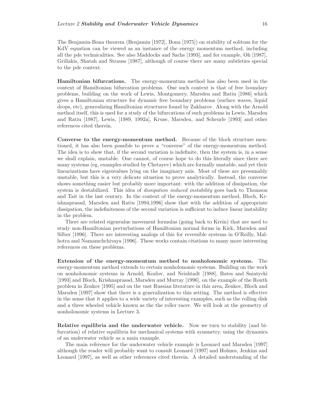The Benjamin-Bona theorem (Benjamin [1972], Bona [1975]) on stability of solitons for the KdV equation can be viewed as an instance of the energy momentum method, including all the pde technicalities. See also Maddocks and Sachs [1993], and for example, Oh [1987], Grillakis, Shatah and Strauss [1987], although of course there are many subtleties special to the pde context.

**Hamiltonian bifurcations.** The energy-momentum method has also been used in the context of Hamiltonian bifurcation problems. One such context is that of free boundary problems, building on the work of Lewis, Montgomery, Marsden and Ratiu [1986] which gives a Hamiltonian structure for dynamic free boundary problems (surface waves, liquid drops, etc), generalizing Hamiltonian structures found by Zakharov. Along with the Arnold method itself, this is used for a study of the bifurcations of such problems in Lewis, Marsden and Ratiu [1987], Lewis, [1989, 1992a], Kruse, Marsden, and Scheurle [1993] and other references cited therein.

**Converse to the energy-momentum method.** Because of the block structure mentioned, it has also been possible to prove a "converse" of the energy-momentum method. The idea is to show that, if the second variation is indefinite, then the system is, in a sense we shall explain, unstable. One cannot, of course hope to do this literally since there are many systems (eg, examples studied by Chetayev) which are formally unstable, and yet their linearizations have eigenvalues lying on the imaginary axis. Most of these are presumably unstable, but this is a very delicate situation to prove analytically. Instead, the converse shows something easier but probably more important: with the addition of dissipation, the system is destabilized. This idea of *dissipation induced instability* goes back to Thomson and Tait in the last century. In the context of the energy-momentum method, Bloch, Krishnaprasad, Marsden and Ratiu [1994,1996] show that with the addition of appropriate dissipation, the indefiniteness of the second variation is sufficient to induce linear instability in the problem.

There are related eigenvalue movement formulas (going back to Krein) that are used to study non-Hamiltonian perturbations of Hamiltonian normal forms in Kirk, Marsden and Silber [1996]. There are interesting analogs of this for reversible systems in O'Reilly, Malhotra and Namamchchivaya [1996]. These works contain citations to many more interesting references on these problems.

**Extension of the energy-momentum method to nonholonomic systems.** The energy-momentum method extends to certain nonholonomic systems. Building on the work on nonholonomic systems in Arnold, Kozlov, and Neishtadt [1988], Bates and Sniatycki [1993] and Bloch, Krishnaprasad, Marsden and Murray [1996], on the example of the Routh problem in Zenkov [1995] and on the vast Russian literature in this area, Zenkov, Bloch and Marsden [1997] show that there is a generalization to this setting. The method is effective in the sense that it applies to a wide variety of interesting examples, such as the rolling disk and a three wheeled vehicle known as the the roller racer. We will look at the geometry of nonholonomic systems in Lecture 3.

**Relative equilibria and the underwater vehicle.** Now we turn to stability (and bifurcation) of relative equilibria for mechanical systems with symmetry, using the dynamics of an underwater vehicle as a main example.

The main reference for the underwater vehicle example is Leonard and Marsden [1997] although the reader will probably want to consult Leonard [1997] and Holmes, Jenkins and Leonard [1997], as well as other references cited therein. A detailed understanding of the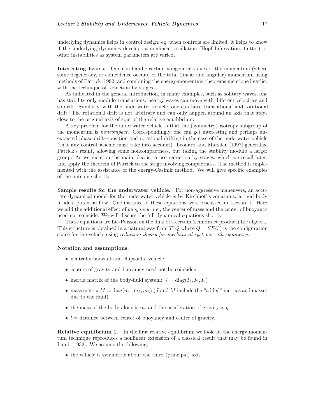underlying dynamics helps in control design; eg, when controls are limited, it helps to know if the underlying dynamics develops a nonlinear oscillation (Hopf bifurcation, flutter) or other instabilities as system parameters are varied.

**Interesting Issues.** One can handle certain nongeneric values of the momentum (where some degeneracy, or coincidence occurs) of the total (linear and angular) momentum using methods of Patrick [1992] and combining the energy-momentum theorems mentioned earlier with the technique of reduction by stages.

As indicated in the general introduction, in many examples, such as solitary waves, one has stability only modulo translations: nearby waves can move with different velocities and so drift. Similarly, with the underwater vehicle, one can have translational and rotational drift. The rotational drift is not arbitrary and can only happen around an axis that stays close to the original axis of spin of the relative equilibrium.

A key problem for the underwater vehicle is that the (symmetry) isotropy subgroup of the momentum is noncompact. Correspondingly, one can get interesting and perhaps unexpected phase drift—position and rotational drifting in the case of the underwater vehicle (that any control scheme must take into account). Leonard and Marsden [1997] generalize Patrick's result, allowing some noncompactness, but taking the stability modulo a larger group. As we mention the main idea is to use reduction by stages, which we recall later, and apply the theorem of Patrick to the stage involving compactness. The method is implemented with the assistance of the energy-Casimir method. We will give specific examples of the outcome shortly.

**Sample results for the underwater vehicle.** For non-aggressive maneuvers, an accurate dynamical model for the underwater vehicle is by Kirchhoff's equations: a rigid body in ideal potential flow. One instance of these equations were discussed in Lecture 1. Here we add the additional effect of *buoyancy*; *i.e.*, the center of mass and the center of buoyancy need not coincide. We will discuss the full dynamical equations shortly.

These equations are Lie-Poisson on the dual of a certain (semidirect product) Lie algebra. This structure is obtained in a natural way from  $T^*Q$  where  $Q = SE(3)$  is the configuration space for the vehicle using *reduction theory for mechanical systems with symmetry*.

#### **Notation and assumptions.**

- neutrally buoyant and ellipsoidal vehicle
- centers of gravity and buoyancy need not be coincident
- inertia matrix of the body-fluid system:  $J = diag(I_1, I_2, I_3)$
- mass matrix  $M = \text{diag}(m_1, m_2, m_3)$  (*J* and *M* include the "added" inertias and masses due to the fluid)
- $\bullet$  the mass of the body alone is m, and the acceleration of gravity is g
- $\bullet$  l = distance between center of buoyancy and center of gravity.

**Relative equilibrium 1.** In the first relative equilibrium we look at, the energy momentum technique reproduces a nonlinear extension of a classical result that may be found in Lamb [1932]. We assume the following:

• the vehicle is symmetric about the third (principal) axis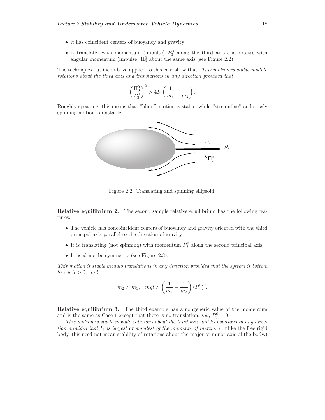- it has coincident centers of buoyancy and gravity
- it translates with momentum (impulse)  $P_3^0$  along the third axis and rotates with angular momentum (impulse)  $\Pi_3^0$  about the same axis (see Figure 2.2).

The techniques outlined above applied to this case show that: This motion is stable modulo rotations about the third axis and translations in any direction provided that

$$
\left(\frac{\Pi_3^0}{P_3^0}\right)^2 > 4I_2 \left(\frac{1}{m_3} - \frac{1}{m_2}\right).
$$

Roughly speaking, this means that "blunt" motion is stable, while "streamline" and slowly spinning motion is unstable.



Figure 2.2: Translating and spinning ellipsoid.

**Relative equilibrium 2.** The second sample relative equilibrium has the following features:

- The vehicle has noncoincident centers of buoyancy and gravity oriented with the third principal axis parallel to the direction of gravity
- It is translating (not spinning) with momentum  $P_2^0$  along the second principal axis
- It need not be symmetric (see Figure 2.3).

This motion is stable modulo translations in any direction provided that the system is bottom heavy  $(l > 0)$  and

$$
m_2 > m_1
$$
,  $mgl > \left(\frac{1}{m_2} - \frac{1}{m_3}\right) (P_2^0)^2$ .

**Relative equilibrium 3.** The third example has a nongeneric value of the momentum and is the same as Case 1 except that there is no translation; *i.e.*,  $P_3^0 = 0$ .

This motion is stable modulo rotations about the third axis and translations in any direction provided that  $I_3$  is largest or smallest of the moments of inertia. (Unlike the free rigid body, this need not mean stability of rotations about the major or minor axis of the body.)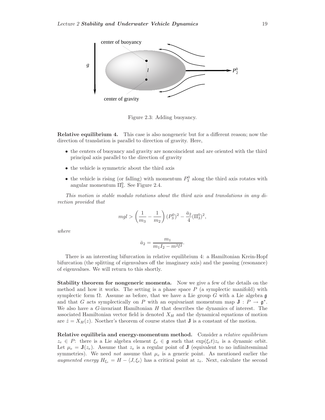

Figure 2.3: Adding buoyancy.

**Relative equilibrium 4.** This case is also nongeneric but for a different reason; now the direction of translation is parallel to direction of gravity. Here,

- the centers of buoyancy and gravity are noncoincident and are oriented with the third principal axis parallel to the direction of gravity
- the vehicle is symmetric about the third axis
- the vehicle is rising (or falling) with momentum  $P_3^0$  along the third axis rotates with angular momentum  $\Pi_3^0$ . See Figure 2.4.

This motion is stable modulo rotations about the third axis and translations in any direction provided that

$$
mgl > \left(\frac{1}{m_3} - \frac{1}{m_2}\right)(P_3^0)^2 - \frac{\bar{a}_2}{4}(\Pi_3^0)^2,
$$

where

$$
\bar{a}_2 = \frac{m_1}{m_1 I_2 - m^2 l^2}.
$$

There is an interesting bifurcation in relative equilibrium 4: a Hamiltonian Krein-Hopf bifurcation (the splitting of eigenvalues off the imaginary axis) and the passing (resonance) of eigenvalues. We will return to this shortly.

**Stability theorem for nongeneric momenta.** Now we give a few of the details on the method and how it works. The setting is a phase space  $P$  (a symplectic manifold) with symplectic form  $\Omega$ . Assume as before, that we have a Lie group G with a Lie algebra g and that G acts symplectically on P with an equivariant momentum map  $J : P \to \mathfrak{g}^*$ . We also have a  $G$ -invariant Hamiltonian  $H$  that describes the dynamics of interest. The associated Hamiltonian vector field is denoted  $X_H$  and the dynamical equations of motion are  $\dot{z} = X_H(z)$ . Noether's theorem of course states that **J** is a constant of the motion.

**Relative equilibria and energy-momentum method.** Consider a relative equilibrium  $z_e \in P$ : there is a Lie algebra element  $\xi_e \in \mathfrak{g}$  such that  $\exp(\xi_e t)z_e$  is a dynamic orbit. Let  $\mu_e = \mathbf{J}(z_e)$ . Assume that  $z_e$  is a regular point of **J** (equivalent to no infiinitesmimal symmetries). We need *not* assume that  $\mu_e$  is a generic point. As mentioned earlier the augmented energy  $H_{\xi_e} = H - \langle J, \xi_e \rangle$  has a critical point at  $z_e$ . Next, calculate the second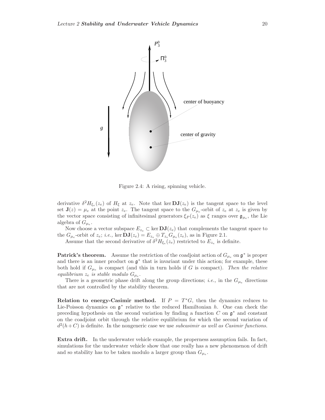

Figure 2.4: A rising, spinning vehicle.

derivative  $\delta^2 H_{\xi_e}(z_e)$  of  $H_{\xi}$  at  $z_e$ . Note that ker  $\mathbf{DJ}(z_e)$  is the tangent space to the level set  $J(z) = \mu_e$  at the point  $z_e$ . The tangent space to the  $G_{\mu_e}$ -orbit of  $z_e$  at  $z_e$  is given by the vector space consisting of infinitesimal generators  $\xi_P(z_e)$  as  $\xi$  ranges over  $\mathfrak{g}_{\mu_e}$ , the Lie algebra of  $G_{\mu_e}$ .

Now choose a vector subspace  $E_{z_e} \subset \text{ker } \mathbf{DJ}(z_e)$  that complements the tangent space to the  $G_{\mu_e}$ -orbit of  $z_e$ ; *i.e.*, ker  $DJ(z_e) = E_{z_e} \oplus T_{z_e} G_{\mu_e}(z_e)$ , as in Figure 2.1.

Assume that the second derivative of  $\delta^2 H_{\xi_e}(z_e)$  restricted to  $E_{z_e}$  is definite.

**Patrick's theorem.** Assume the restriction of the coadjoint action of  $G_{\mu_e}$  on  $\mathfrak{g}^*$  is proper and there is an inner product on  $\mathfrak{g}^*$  that is invariant under this action; for example, these both hold if  $G_{\mu_e}$  is compact (and this in turn holds if G is compact). Then the relative equilibrium  $z_e$  is stable modulo  $G_{\mu_e}$ .

There is a geometric phase drift along the group directions; *i.e.*, in the  $G_{\mu_e}$  directions that are not controlled by the stability theorem.

**Relation to energy-Casimir method.** If  $P = T^*G$ , then the dynamics reduces to Lie-Poisson dynamics on  $\mathfrak{g}^*$  relative to the reduced Hamiltonian h. One can check the preceding hypothesis on the second variation by finding a function  $C$  on  $\mathfrak{g}^*$  and constant on the coadjoint orbit through the relative equilibrium for which the second variation of  $d^2(h+C)$  is definite. In the nongeneric case we use subcasimir as well as Casimir functions.

**Extra drift.** In the underwater vehicle example, the properness assumption fails. In fact, simulations for the underwater vehicle show that one really has a new phenomenon of drift and so stability has to be taken modulo a larger group than  $G_{\mu_e}$ .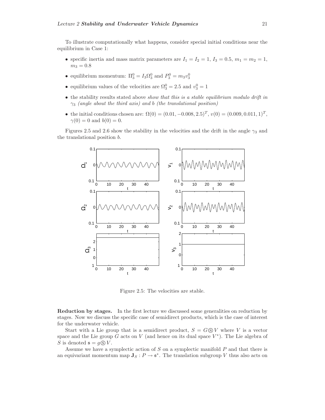To illustrate computationally what happens, consider special initial conditions near the equilibrium in Case 1:

- specific inertia and mass matrix parameters are  $I_1 = I_2 = 1$ ,  $I_3 = 0.5$ ,  $m_1 = m_2 = 1$ ,  $m_3 = 0.8$
- equilibrium momentum:  $\Pi_3^0 = I_3 \Omega_3^0$  and  $P_3^0 = m_3 v_3^0$
- equilibrium values of the velocities are  $\Omega_3^0 = 2.5$  and  $v_3^0 = 1$
- the stability results stated above show that this is a stable equilibrium modulo drift in  $\gamma_3$  (angle about the third axis) and b (the translational position)
- the initial conditions chosen are:  $\Omega(0) = (0.01, -0.008, 2.5)^T$ ,  $v(0) = (0.009, 0.011, 1)^T$ ,  $\gamma(0) = 0$  and  $b(0) = 0$ .

Figures 2.5 and 2.6 show the stability in the velocities and the drift in the angle  $\gamma_3$  and the translational position b.



Figure 2.5: The velocities are stable.

**Reduction by stages.** In the first lecture we discussed some generalities on reduction by stages. Now we discuss the specific case of semidirect products, which is the case of interest for the underwater vehicle.

Start with a Lie group that is a semidirect product,  $S = G \circledS V$  where V is a vector space and the Lie group G acts on V (and hence on its dual space  $V^*$ ). The Lie algebra of S is denoted  $\mathfrak{s} = q \circledS V$ .

Assume we have a symplectic action of S on a symplectic manifold P and that there is an equivariant momentum map  $J_S: P \to \mathfrak{s}^*$ . The translation subgroup V thus also acts on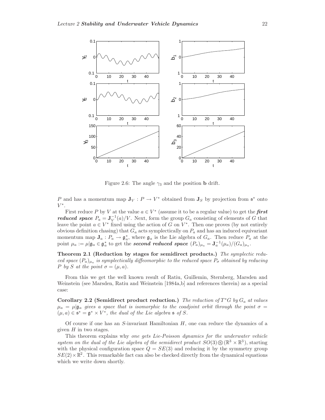

Figure 2.6: The angle  $\gamma_3$  and the position **b** drift.

P and has a momentum map  $J_V: P \to V^*$  obtained from  $J_S$  by projection from  $\mathfrak{s}^*$  onto  $V^*$ .

First reduce P by V at the value  $a \in V^*$  (assume it to be a regular value) to get the **first** *reduced space*  $P_a = \mathbf{J}_V^{-1}(a)/V$ . Next, form the group  $G_a$  consisting of elements of G that leave the point  $a \in V^*$  fixed using the action of G on  $V^*$ . Then one proves (by not entirely obvious definition chasing) that  $G_a$  acts symplectically on  $P_a$  and has an induced equivariant momentum map  $J_a: P_a \to \mathfrak{g}_a^*$ , where  $\mathfrak{g}_a$  is the Lie algebra of  $G_a$ . Then reduce  $P_a$  at the point  $\mu_a := \mu | \mathfrak{g}_a \in \mathfrak{g}_a^*$  to get the **second reduced space**  $(P_a)_{\mu_a} = \mathbf{J}_a^{-1}(\mu_a)/(G_a)_{\mu_a}$ .

**Theorem 2.1 (Reduction by stages for semidirect products.)** The symplectic reduced space  $(P_a)_{\mu_a}$  is symplectically diffeomorphic to the reduced space  $P_{\sigma}$  obtained by reducing P by S at the point  $\sigma = (\mu, a)$ .

From this we get the well known result of Ratiu, Guillemin, Sternberg, Marsden and Weinstein (see Marsden, Ratiu and Weinstein [1984a,b] and references therein) as a special case:

**Corollary 2.2 (Semidirect product reduction.)** The reduction of  $T^*G$  by  $G_a$  at values  $\mu_a = \mu | \mathfrak{g}_a$  gives a space that is isomorphic to the coadjoint orbit through the point  $\sigma =$  $(\mu, a) \in \mathfrak{s}^* = \mathfrak{g}^* \times V^*$ , the dual of the Lie algebra  $\mathfrak{s}$  of S.

Of course if one has an  $S$ -invariant Hamiltonian  $H$ , one can reduce the dynamics of a given  $H$  in two stages.

This theorem explains why one gets Lie-Poisson dynamics for the underwater vehicle system on the dual of the Lie algebra of the semidirect product  $SO(3) \otimes (\mathbb{R}^3 \times \mathbb{R}^3)$ , starting with the physical configuration space  $Q = SE(3)$  and reducing it by the symmetry group  $SE(2) \times \mathbb{R}^2$ . This remarkable fact can also be checked directly from the dynamical equations which we write down shortly.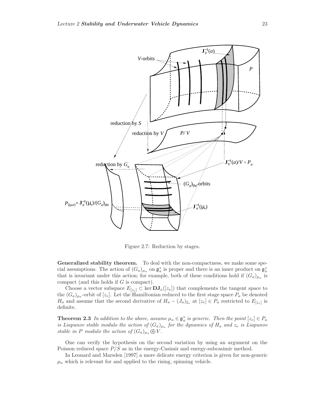

Figure 2.7: Reduction by stages.

**Generalized stability theorem.** To deal with the non-compactness, we make some special assumptions. The action of  $(G_a)_{\mu_a}$  on  $\mathfrak{g}_a^*$  is proper and there is an inner product on  $\mathfrak{g}_a^*$ that is invariant under this action; for example, both of these conditions hold if  $(G_a)_{\mu_a}$  is compact (and this holds if G is compact).

Choose a vector subspace  $E_{[z_e]} \subset \text{ker } \mathbf{DJ}_a([z_e])$  that complements the tangent space to the  $(G_a)_{\mu_a}$ -orbit of  $[z_e]$ . Let the Hamiltonian reduced to the first stage space  $P_a$  be denoted  $H_a$  and assume that the second derivative of  $H_a - (J_a)_{\xi_e}$  at  $[z_e] \in P_a$  restricted to  $E_{[z_e]}$  is definite.

**Theorem 2.3** In addition to the above, assume  $\mu_a \in \mathfrak{g}_a^*$  is generic. Then the point  $[z_e] \in P_a$ is Liapunov stable modulo the action of  $(G_a)_{\mu_a}$  for the dynamics of  $H_a$  and  $z_e$  is Liapunov stable in P modulo the action of  $(G_a)_{\mu_a} \mathcal{D} V$ .

One can verify the hypothesis on the second variation by using an argument on the Poisson reduced space  $P/S$  as in the energy-Casimir and energy-subcasimir method.

In Leonard and Marsden [1997] a more delicate energy criterion is given for non-generic  $\mu_a$  which is relevant for and applied to the rising, spinning vehicle.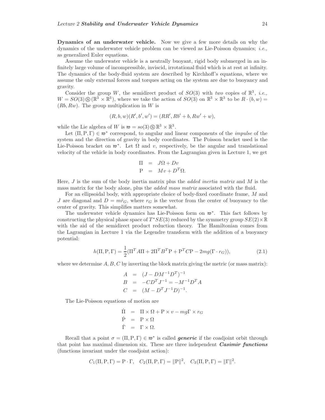**Dynamics of an underwater vehicle.** Now we give a few more details on why the dynamics of the underwater vehicle problem can be viewed as Lie-Poisson dynamics; i.e., as generalized Euler equations.

Assume the underwater vehicle is a neutrally buoyant, rigid body submerged in an infinitely large volume of incompressible, inviscid, irrotational fluid which is at rest at infinity. The dynamics of the body-fluid system are described by Kirchhoff's equations, where we assume the only external forces and torques acting on the system are due to buoyancy and gravity.

Consider the group W, the semidirect product of  $SO(3)$  with two copies of  $\mathbb{R}^3$ , *i.e.*,  $W = SO(3) \circledS (\mathbb{R}^3 \times \mathbb{R}^3)$ , where we take the action of  $SO(3)$  on  $\mathbb{R}^3 \times \mathbb{R}^3$  to be  $R \cdot (b, w) =$  $(Rb, Rw)$ . The group multiplication in W is

$$
(R, b, w)(R', b', w') = (RR', Rb' + b, Rw' + w),
$$

while the Lie algebra of W is  $\mathfrak{w} = so(3) \circ \mathbb{R}^3 \times \mathbb{R}^3$ .

Let  $(\Pi, P, \Gamma) \in \mathfrak{w}^*$  correspond, to angular and linear components of the *impulse* of the system and the direction of gravity in body coordinates. The Poisson bracket used is the Lie-Poisson bracket on  $\mathfrak{w}^*$ . Let  $\Omega$  and v, respectively, be the angular and translational velocity of the vehicle in body coordinates. From the Lagrangian given in Lecture 1, we get

$$
\Pi = J\Omega + Dv
$$
  

$$
P = Mv + D^{T}\Omega.
$$

Here,  $J$  is the sum of the body inertia matrix plus the *added inertia matrix* and  $M$  is the mass matrix for the body alone, plus the added mass matrix associated with the fluid.

For an ellipsoidal body, with appropriate choice of body-fixed coordinate frame, M and J are diagonal and  $D = m\hat{r}_G$ , where  $r_G$  is the vector from the center of buoyancy to the center of gravity. This simplifies matters somewhat.

The underwater vehicle dynamics has Lie-Poisson form on <sup>w</sup><sup>∗</sup>. This fact follows by constructing the physical phase space of  $T^*SE(3)$  reduced by the symmetry group  $SE(2) \times \mathbb{R}$ with the aid of the semidirect product reduction theory. The Hamiltonian comes from the Lagrangian in Lecture 1 via the Legendre transform with the addition of a buoyancy potential:

$$
h(\Pi, \mathbf{P}, \Gamma) = \frac{1}{2} (\Pi^T A \Pi + 2\Pi^T B^T \mathbf{P} + \mathbf{P}^T C \mathbf{P} - 2mg(\Gamma \cdot r_G)),\tag{2.1}
$$

where we determine  $A, B, C$  by inverting the block matrix giving the metric (or mass matrix):

$$
A = (J - DM^{-1}D^{T})^{-1}
$$
  
\n
$$
B = -CD^{T}J^{-1} = -M^{-1}D^{T}A
$$
  
\n
$$
C = (M - D^{T}J^{-1}D)^{-1}.
$$

The Lie-Poisson equations of motion are

$$
\dot{\Pi} = \Pi \times \Omega + P \times v - mg\Gamma \times r_G \n\dot{P} = P \times \Omega \n\dot{\Gamma} = \Gamma \times \Omega.
$$

Recall that a point  $\sigma = (\Pi, P, \Gamma) \in \mathfrak{w}^*$  is called *generic* if the coadjoint orbit through that point has maximal dimension six. These are three independent *Casimir functions* (functions invariant under the coadjoint action):

$$
C_1(\Pi, P, \Gamma) = P \cdot \Gamma, \quad C_2(\Pi, P, \Gamma) = ||P||^2, \quad C_3(\Pi, P, \Gamma) = ||\Gamma||^2.
$$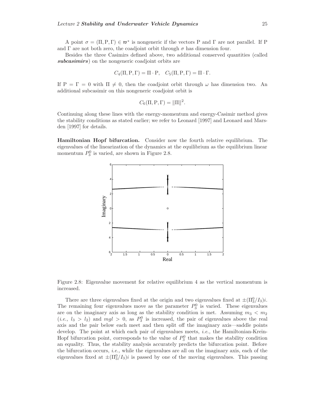A point  $\sigma = (\Pi, P, \Gamma) \in \mathfrak{w}^*$  is nongeneric if the vectors P and  $\Gamma$  are not parallel. If P and Γ are not both zero, the coadjoint orbit through  $\sigma$  has dimension four.

Besides the three Casimirs defined above, two additional conserved quantities (called *subcasimirs*) on the nongeneric coadjoint orbits are

$$
C_4(\Pi, P, \Gamma) = \Pi \cdot P, \quad C_5(\Pi, P, \Gamma) = \Pi \cdot \Gamma.
$$

If  $P = \Gamma = 0$  with  $\Pi \neq 0$ , then the coadjoint orbit through  $\omega$  has dimension two. An additional subcasimir on this nongeneric coadjoint orbit is

$$
C_6(\Pi, P, \Gamma) = ||\Pi||^2.
$$

Continuing along these lines with the energy-momentum and energy-Casimir method gives the stability conditions as stated earlier; we refer to Leonard [1997] and Leonard and Marsden [1997] for details.

**Hamiltonian Hopf bifurcation.** Consider now the fourth relative equilibrium. The eigenvalues of the linearization of the dynamics at the equilibrium as the equilibrium linear momentum  $P_3^0$  is varied, are shown in Figure 2.8.



Figure 2.8: Eigenvalue movement for relative equilibrium 4 as the vertical momentum is increased.

There are three eigenvalues fixed at the origin and two eigenvalues fixed at  $\pm(\Pi_3^0/I_3)i$ . The remaining four eigenvalues move as the parameter  $P_3^0$  is varied. These eigenvalues are on the imaginary axis as long as the stability condition is met. Assuming  $m_3 < m_2$  $(i.e., l_3 > l_2)$  and  $mgl > 0$ , as  $P_3^0$  is increased, the pair of eigenvalues above the real axis and the pair below each meet and then split off the imaginary axis—saddle points develop. The point at which each pair of eigenvalues meets, *i.e.*, the Hamiltonian-Krein-Hopf bifurcation point, corresponds to the value of  $P_3^0$  that makes the stability condition an equality. Thus, the stability analysis accurately predicts the bifurcation point. Before the bifurcation occurs, *i.e.*, while the eigenvalues are all on the imaginary axis, each of the eigenvalues fixed at  $\pm(\Pi_3^0/I_3)i$  is passed by one of the moving eigenvalues. This passing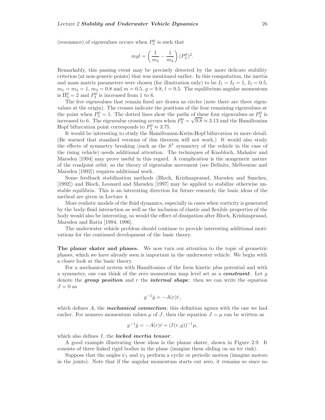(resonance) of eigenvalues occurs when  $P_3^0$  is such that

$$
mgl = \left(\frac{1}{m_3} - \frac{1}{m_2}\right)(P_3^0)^2.
$$

Remarkably, this passing event may be precisely detected by the more delicate stability criterion (at non-generic points) that was mentioned earlier. In this computation, the inertia and mass matrix parameters were chosen (for illustration only) to be  $I_1 = I_2 = 1$ ,  $I_3 = 0.5$ ,  $m_1 = m_2 = 1, m_3 = 0.8$  and  $m = 0.5, g = 9.8, l = 0.5$ . The equilibrium angular momentum is  $\Pi_3^0 = 2$  and  $P_3^0$  is increased from 1 to 6.

The five eigenvalues that remain fixed are drawn as circles (note there are three eigenvalues at the origin). The crosses indicate the positions of the four remaining eigenvalues at the point when  $P_3^0 = 1$ . The dotted lines show the paths of these four eigenvalues as  $P_3^0$  is the point when  $F_3 = 1$ . The dotted lines show the paths of these four eigenvalues as  $F_3$  is increased to 6. The eigenvalue crossing occurs when  $P_3^0 = \sqrt{9.8} \approx 3.13$  and the Hamiltonian Hopf bifurcation point corresponds to  $P_3^0 \approx 3.75$ .

It would be interesting to study the Hamiltonian-Krein-Hopf bifurcation in more detail. (Be warned that standard versions of this theorem will not work.) It would also study the effects of symmetry breaking (such as the  $S<sup>1</sup>$  symmetry of the vehicle in the case of the rising vehicle) needs additional attention. The techniques of Knobloch, Mahalov and Marsden [1994] may prove useful in this regard. A complication is the nongeneric nature of the coadjoint orbit, so the theory of eigenvalue movement (see Dellnitz, Melbourne and Marsden [1992]) requires additional work.

Some feedback stabilization methods (Bloch, Krishnaprasad, Marsden and Sanchez, [1992]) and Bloch, Leonard and Marsden [1997] may be applied to stabilize otherwise unstable equilibria. This is an interesting direction for future research; the basic ideas of the method are given in Lecture 4.

More realistic models of the fluid dynamics, especially in cases when vorticity is generated by the body-fluid interaction as well as the inclusion of elastic and flexible properties of the body would also be interesting, so would the effect of dissipation after Bloch, Krishnaprasad, Marsden and Ratiu [1994, 1996].

The underwater vehicle problem should continue to provide interesting additional motivations for the continued development of the basic theory.

**The planar skater and phases.** We now turn our attention to the topic of geometric phases, which we have already seen is important in the underwater vehicle. We begin with a closer look at the basic theory.

For a mechanical system with Hamiltonian of the form kinetic plus potential and with a symmetry, one can think of the zero momentum map level set as a *constraint*. Let g denote the *group position* and r the *internal shape*: then we can write the equation  $J=0$  as

$$
g^{-1}\dot{g} = -A(r)\dot{r},
$$

which defines A, the *mechanical connection*; this definition agrees with the one we had earlier. For nonzero momentum values  $\mu$  of J, then the equation  $J = \mu$  can be written as

$$
g^{-1}\dot{g} = -A(r)\dot{r} + (I(r,g))^{-1}\mu,
$$

which also defines I, the *locked inertia tensor*.

A good example illustrating these ideas is the planar skater, shown in Figure 2.9. It consists of three linked rigid bodies in the plane (imagine them sliding on an ice rink).

Suppose that the angles  $\psi_1$  and  $\psi_2$  perform a cyclic or periodic motion (imagine motors in the joints). Note that if the angular momentum starts out zero, it remains so since no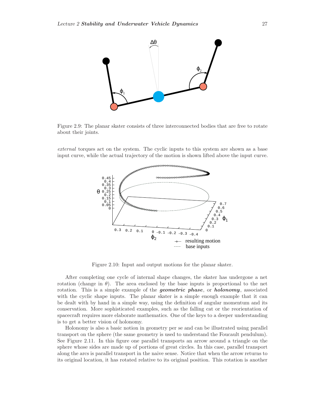

Figure 2.9: The planar skater consists of three interconnected bodies that are free to rotate about their joints.

external torques act on the system. The cyclic inputs to this system are shown as a base input curve, while the actual trajectory of the motion is shown lifted above the input curve.



Figure 2.10: Input and output motions for the planar skater.

After completing one cycle of internal shape changes, the skater has undergone a net rotation (change in  $\theta$ ). The area enclosed by the base inputs is proportional to the net rotation. This is a simple example of the *geometric phase*, or *holonomy*, associated with the cyclic shape inputs. The planar skater is a simple enough example that it can be dealt with by hand in a simple way, using the definition of angular momentum and its conservation. More sophisticated examples, such as the falling cat or the reorientation of spacecraft requires more elaborate mathematics. One of the keys to a deeper understanding is to get a better vision of holonomy.

Holonomy is also a basic notion in geometry per se and can be illustrated using parallel transport on the sphere (the same geometry is used to understand the Foucault pendulum). See Figure 2.11. In this figure one parallel transports an arrow around a triangle on the sphere whose sides are made up of portions of great circles. In this case, parallel transport along the arcs is parallel transport in the naive sense. Notice that when the arrow returns to its original location, it has rotated relative to its original position. This rotation is another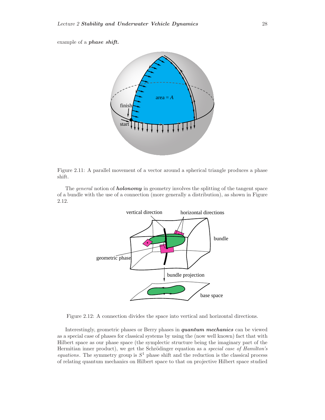example of a *phase shift.*



Figure 2.11: A parallel movement of a vector around a spherical triangle produces a phase shift.

The general notion of *holonomy* in geometry involves the splitting of the tangent space of a bundle with the use of a connection (more generally a distribution), as shown in Figure 2.12.



Figure 2.12: A connection divides the space into vertical and horizontal directions.

Interestingly, geometric phases or Berry phases in *quantum mechanics* can be viewed as a special case of phases for classical systems by using the (now well known) fact that with Hilbert space as our phase space (the symplectic structure being the imaginary part of the Hermitian inner product), we get the Schrödinger equation as a special case of Hamilton's equations. The symmetry group is  $S^1$  phase shift and the reduction is the classical process of relating quantum mechanics on Hilbert space to that on projective Hilbert space studied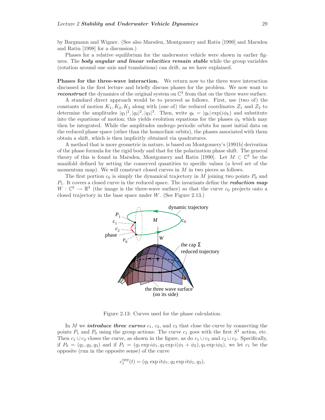by Bargmann and Wigner. (See also Marsden, Montgomery and Ratiu [1990] and Marsden and Ratiu [1998] for a discussion.)

Phases for a relative equilibrium for the underwater vehicle were shown in earlier figures. The *body angular and linear velocities remain stable* while the group variables (rotation around one axis and translations) can drift, as we have explained.

**Phases for the three-wave interaction.** We return now to the three wave interaction discussed in the first lecture and briefly discuss phases for the problem. We now want to *reconstruct* the dynamics of the original system on  $\mathbb{C}^3$  from that on the three wave surface.

A standard direct approach would be to proceed as follows. First, use (two of) the constants of motion  $K_1, K_2, K_3$  along with (one of) the reduced coordinates  $Z_1$  and  $Z_2$  to determine the amplitudes  $|q_1|^2, |q_2|^2, |q_3|^3$ . Then, write  $q_k = |q_k| \exp(i\phi_k)$  and substitute into the equations of motion; this yields evolution equations for the phases  $\phi_k$  which may then be integrated. While the amplitudes undergo periodic orbits for most initial data on the reduced phase space (other than the homoclinic orbits), the phases associated with them obtain a shift, which is then implicitly obtained via quadratures.

A method that is more geometric in nature, is based on Montgomery's [1991b] derivation of the phase formula for the rigid body and that for the polarization phase shift. The general theory of this is found in Marsden, Montgomery and Ratiu [1990]. Let  $M \subset \mathbb{C}^3$  be the manifold defined by setting the conserved quantities to specific values (a level set of the momentum map). We will construct closed curves in  $M$  in two pieces as follows.

The first portion  $c_0$  is simply the dynamical trajectory in M joining two points  $P_0$  and P1. It covers a closed curve in the reduced space. The invariants define the *reduction map*  $W: \mathbb{C}^3 \to \mathbb{R}^3$  (the image is the three-wave surface) so that the curve  $c_0$  projects onto a closed trajectory in the base space under  $W$ . (See Figure 2.13.)



Figure 2.13: Curves used for the phase calculation.

In M we *introduce three curves*  $c_1$ ,  $c_2$ , and  $c_3$  that close the curve by connecting the points  $P_1$  and  $P_0$  using the group actions: The curve  $c_1$  goes with the first  $S^1$  action, etc. Then  $c_1 \cup c_2$  closes the curve, as shown in the figure, as do  $c_1 \cup c_3$  and  $c_2 \cup c_3$ . Specifically, if  $P_0 = (q_1, q_2, q_3)$  and if  $P_1 = (q_1 \exp i\phi_1, q_2 \exp i(\phi_1 + \phi_2), q_3 \exp i\phi_2)$ , we let  $c_1$  be the opposite (run in the opposite sense) of the curve

$$
c_1^{\text{opp}}(t) = (q_1 \exp it\phi_1, q_2 \exp it\phi_1, q_3),
$$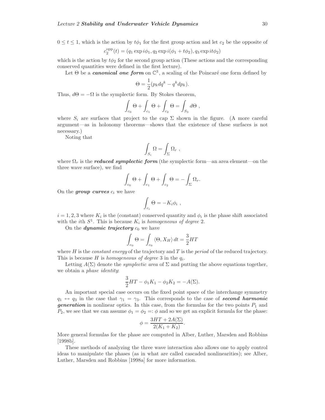$0 \le t \le 1$ , which is the action by  $t\phi_1$  for the first group action and let  $c_2$  be the opposite of

$$
c_2^{\text{opp}}(t) = (q_1 \exp i\phi_1, q_2 \exp i(\phi_1 + t\phi_2), q_3 \exp i t\phi_2)
$$

which is the action by  $t\phi_2$  for the second group action (These actions and the corresponding conserved quantities were defined in the first lecture).

Let  $\Theta$  be a *canonical one form* on  $\mathbb{C}^3$ , a scaling of the Poincaré one form defined by

$$
\Theta = \frac{1}{2}(p_k dq^k - q^k dp_k).
$$

Thus,  $d\Theta = -\Omega$  is the symplectic form. By Stokes theorem,

$$
\int_{c_0} \Theta + \int_{c_1} \Theta + \int_{c_2} \Theta = \int_{S_3} d\Theta ,
$$

where  $S_i$  are surfaces that project to the cap  $\Sigma$  shown in the figure. (A more careful argument—as in holonomy theorems—shows that the existence of these surfaces is not necessary.)

Noting that

$$
\int_{S_i} \Omega = \int_{\Sigma} \Omega_r ,
$$

where  $\Omega_r$  is the *reduced symplectic form* (the symplectic form—an area element—on the three wave surface), we find

$$
\int_{c_0} \Theta + \int_{c_1} \Theta + \int_{c_2} \Theta = - \int_{\Sigma} \Omega_r.
$$

On the **group curves**  $c_i$  we have

$$
\int_{c_i} \Theta = - K_i \phi_i ,
$$

 $i = 1, 2, 3$  where  $K_i$  is the (constant) conserved quantity and  $\phi_i$  is the phase shift associated with the *i*th  $S^1$ . This is because  $K_i$  is *homogeneous of degree* 2.

On the *dynamic trajectory*  $c_0$  we have

$$
\int_{c_0} \Theta = \int_{c_0} \langle \Theta, X_H \rangle dt = \frac{3}{2} HT
$$

where H is the *constant energy* of the trajectory and T is the *period* of the reduced trajectory. This is because H is homogeneous of degree 3 in the  $q_i$ .

Letting  $A(\Sigma)$  denote the *symplectic area* of  $\Sigma$  and putting the above equations together, we obtain a phase identity:

$$
\frac{3}{2}HT - \phi_1 K_1 - \phi_2 K_2 = -A(\Sigma).
$$

An important special case occurs on the fixed point space of the interchange symmetry  $q_1 \leftrightarrow q_3$  in the case that  $\gamma_1 = \gamma_3$ . This corresponds to the case of **second harmonic generation** in nonlinear optics. In this case, from the formulas for the two points  $P_1$  and  $P_2$ , we see that we can assume  $\phi_1 = \phi_2 =: \phi$  and so we get an explicit formula for the phase:

$$
\phi = \frac{3HT + 2A(\Sigma)}{2(K_1 + K_2)}.
$$

More general formulas for the phase are computed in Alber, Luther, Marsden and Robbins [1998b].

These methods of analyzing the three wave interaction also allows one to apply control ideas to manipulate the phases (as in what are called cascaded nonlinearities); see Alber, Luther, Marsden and Robbins [1998a] for more information.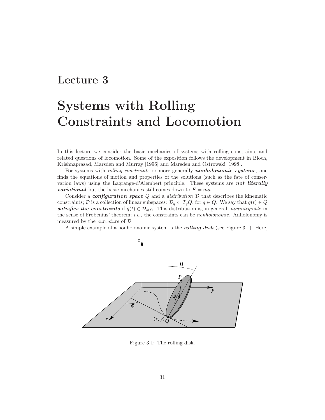#### **Lecture 3**

### **Systems with Rolling Constraints and Locomotion**

In this lecture we consider the basic mechanics of systems with rolling constraints and related questions of locomotion. Some of the exposition follows the development in Bloch, Krishnaprasad, Marsden and Murray [1996] and Marsden and Ostrowski [1998].

For systems with rolling constraints or more generally *nonholonomic systems*, one finds the equations of motion and properties of the solutions (such as the fate of conservation laws) using the Lagrange-d'Alembert principle. These systems are *not literally variational* but the basic mechanics still comes down to  $F = ma$ .

Consider a *configuration space* Q and a distribution D that describes the kinematic constraints; D is a collection of linear subspaces:  $\mathcal{D}_q \subset T_q Q$ , for  $q \in Q$ . We say that  $q(t) \in Q$ *satisfies the constraints* if  $\dot{q}(t) \in \mathcal{D}_{q(t)}$ . This distribution is, in general, *nonintegrable* in the sense of Frobenius' theorem; *i.e.*, the constraints can be *nonholonomic*. Anholonomy is measured by the curvature of D.

A simple example of a nonholonomic system is the *rolling disk* (see Figure 3.1). Here,



Figure 3.1: The rolling disk.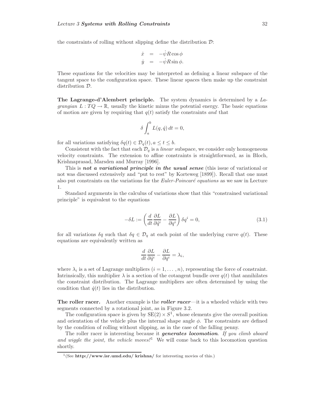the constraints of rolling without slipping define the distribution  $\mathcal{D}$ :

$$
\dot{x} = -\dot{\psi}R\cos\phi
$$
  

$$
\dot{y} = -\dot{\psi}R\sin\phi.
$$

These equations for the velocities may be interpreted as defining a linear subspace of the tangent space to the configuration space. These linear spaces then make up the constraint distribution D.

**The Lagrange-d'Alembert principle.** The system dynamics is determined by a Lagrangian  $L: TQ \to \mathbb{R}$ , usually the kinetic minus the potential energy. The basic equations of motion are given by requiring that  $q(t)$  satisfy the constraints and that

$$
\delta \int_a^b L(q, \dot{q}) dt = 0,
$$

for all variations satisfying  $\delta q(t) \in \mathcal{D}_q(t)$ ,  $a \le t \le b$ .

Consistent with the fact that each  $\mathcal{D}_q$  is a *linear* subspace, we consider only homogeneous velocity constraints. The extension to affine constraints is straightforward, as in Bloch, Krishnaprasad, Marsden and Murray [1996].

This is *not a variational principle in the usual sense* (this issue of variational or not was discussed extensively and "put to rest" by Korteweg [1899]). Recall that one must also put constraints on the variations for the *Euler-Poincaré equations* as we saw in Lecture 1.

Standard arguments in the calculus of variations show that this "constrained variational principle" is equivalent to the equations

$$
-\delta L := \left(\frac{d}{dt}\frac{\partial L}{\partial \dot{q}^i} - \frac{\partial L}{\partial q^i}\right)\delta q^i = 0,
$$
\n(3.1)

for all variations  $\delta q$  such that  $\delta q \in \mathcal{D}_q$  at each point of the underlying curve  $q(t)$ . These equations are equivalently written as

$$
\frac{d}{dt}\frac{\partial L}{\partial \dot{q}^i} - \frac{\partial L}{\partial q^i} = \lambda_i,
$$

where  $\lambda_i$  is a set of Lagrange multipliers  $(i = 1, \ldots, n)$ , representing the force of constraint. Intrinsically, this multiplier  $\lambda$  is a section of the cotangent bundle over  $q(t)$  that annihilates the constraint distribution. The Lagrange multipliers are often determined by using the condition that  $\dot{q}(t)$  lies in the distribution.

**The roller racer.** Another example is the *roller racer*—it is a wheeled vehicle with two segments connected by a rotational joint, as in Figure 3.2.

The configuration space is given by  $SE(2) \times S<sup>1</sup>$ , whose elements give the overall position and orientation of the vehicle plus the internal shape angle  $\phi$ . The constraints are defined by the condition of rolling without slipping, as in the case of the falling penny.

The roller racer is interesting because it *generates locomotion*. If you climb aboard and wiggle the joint, the vehicle moves!<sup>1</sup> We will come back to this locomotion question shortly.

<sup>&</sup>lt;sup>1</sup>(See **http://www.isr.umd.edu/ krishna/** for interesting movies of this.)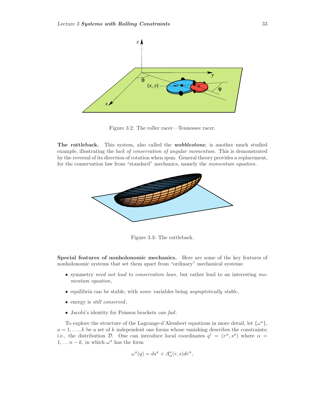

Figure 3.2: The roller racer—Tennessee racer.

**The rattleback.** This system, also called the *wobblestone*, is another much studied example, illustrating the lack of conservation of angular momentum. This is demonstrated by the reversal of its direction of rotation when spun. General theory provides a replacement, for the conservation law from "standard" mechanics, namely the momentum equation.



Figure 3.3: The rattleback.

**Special features of nonholonomic mechanics.** Here are some of the key features of nonholonomic systems that set them apart from "ordinary" mechanical systems:

- symmetry need not lead to conservation laws, but rather lead to an interesting momentum equation,
- equilibria can be stable, with some variables being asymptotically stable,
- energy is *still conserved*,
- Jacobi's identity for Poisson brackets can fail.

To explore the structure of the Lagrange-d'Alembert equations in more detail, let  $\{\omega^a\}$ ,  $a = 1, \ldots, k$  be a set of k independent one forms whose vanishing describes the constraints; i.e., the distribution D. One can introduce local coordinates  $q^i = (r^{\alpha}, s^{\alpha})$  where  $\alpha =$  $1, \ldots n - k$ , in which  $\omega^a$  has the form

$$
\omega^a(q) = ds^a + A^a_\alpha(r, s) dr^\alpha,
$$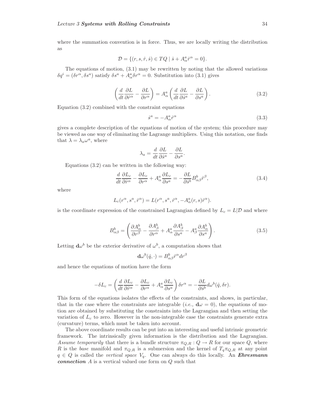where the summation convention is in force. Thus, we are locally writing the distribution as

$$
\mathcal{D}=\{(r,s,\dot{r},\dot{s})\in TQ\mid \dot{s}+A^a_{\alpha}\dot{r}^\alpha=0\}.
$$

The equations of motion, (3.1) may be rewritten by noting that the allowed variations  $\delta q^i = (\delta r^{\alpha}, \delta s^a)$  satisfy  $\delta s^a + A^a_{\alpha} \delta r^{\alpha} = 0$ . Substitution into (3.1) gives

$$
\left(\frac{d}{dt}\frac{\partial L}{\partial \dot{r}^{\alpha}} - \frac{\partial L}{\partial r^{\alpha}}\right) = A_{\alpha}^{a} \left(\frac{d}{dt}\frac{\partial L}{\partial \dot{s}^{a}} - \frac{\partial L}{\partial s^{a}}\right).
$$
\n(3.2)

Equation (3.2) combined with the constraint equations

$$
\dot{s}^a = -A^a_\alpha \dot{r}^\alpha \tag{3.3}
$$

gives a complete description of the equations of motion of the system; this procedure may be viewed as one way of eliminating the Lagrange multipliers. Using this notation, one finds that  $\lambda = \lambda_a \omega^a$ , where

$$
\lambda_a = \frac{d}{dt} \frac{\partial L}{\partial \dot{s}^a} - \frac{\partial L}{\partial s^a}.
$$

Equations (3.2) can be written in the following way:

$$
\frac{d}{dt}\frac{\partial L_c}{\partial \dot{r}^{\alpha}} - \frac{\partial L_c}{\partial r^{\alpha}} + A^a_{\alpha} \frac{\partial L_c}{\partial s^a} = -\frac{\partial L}{\partial \dot{s}^b} B^b_{\alpha\beta} \dot{r}^{\beta},\tag{3.4}
$$

where

$$
L_c(r^{\alpha}, s^a, \dot{r}^{\alpha}) = L(r^{\alpha}, s^a, \dot{r}^{\alpha}, -A^a_{\alpha}(r, s)\dot{r}^{\alpha}).
$$

is the coordinate expression of the constrained Lagrangian defined by  $L_c = L|\mathcal{D}|$  and where

$$
B_{\alpha\beta}^{b} = \left(\frac{\partial A_{\alpha}^{b}}{\partial r^{\beta}} - \frac{\partial A_{\beta}^{b}}{\partial r^{\alpha}} + A_{\alpha}^{a} \frac{\partial A_{\beta}^{b}}{\partial s^{a}} - A_{\beta}^{a} \frac{\partial A_{\alpha}^{b}}{\partial s^{a}}\right).
$$
 (3.5)

Letting  $\mathbf{d}\omega^b$  be the exterior derivative of  $\omega^b$ , a computation shows that

$$
\mathbf{d}\omega^b(\dot{q},\cdot) = B_{\alpha\beta}^b \dot{r}^\alpha dr^\beta
$$

and hence the equations of motion have the form

$$
-\delta L_c = \left(\frac{d}{dt}\frac{\partial L_c}{\partial \dot{r}^{\alpha}} - \frac{\partial L_c}{\partial r^{\alpha}} + A^a_{\alpha} \frac{\partial L_c}{\partial s^a}\right) \delta r^{\alpha} = -\frac{\partial L}{\partial \dot{s}^b} d\omega^b(\dot{q}, \delta r).
$$

This form of the equations isolates the effects of the constraints, and shows, in particular, that in the case where the constraints are integrable (*i.e.*,  $d\omega = 0$ ), the equations of motion are obtained by substituting the constraints into the Lagrangian and then setting the variation of  $L_c$  to zero. However in the non-integrable case the constraints generate extra (curvature) terms, which must be taken into account.

The above coordinate results can be put into an interesting and useful intrinsic geometric framework. The intrinsically given information is the distribution and the Lagrangian. Assume temporarily that there is a bundle structure  $\pi_{Q,R}: Q \to R$  for our space Q, where R is the base manifold and  $\pi_{Q,R}$  is a submersion and the kernel of  $T_q\pi_{Q,R}$  at any point  $q \in Q$  is called the *vertical space*  $V_q$ . One can always do this locally. An *Ehresmann connection* A is a vertical valued one form on Q such that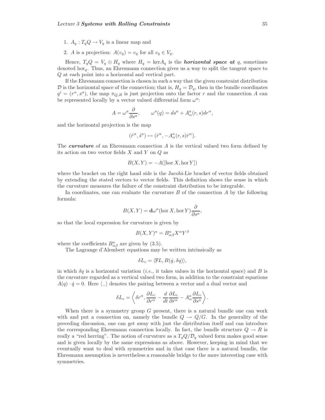- 1.  $A_q: T_qQ \to V_q$  is a linear map and
- 2. A is a projection:  $A(v_q) = v_q$  for all  $v_q \in V_q$ .

Hence,  $T_q Q = V_q \oplus H_q$  where  $H_q = \text{ker} A_q$  is the *horizontal space at* q, sometimes denoted hor<sub>q</sub>. Thus, an Ehresmann connection gives us a way to split the tangent space to Q at each point into a horizontal and vertical part.

If the Ehresmann connection is chosen in such a way that the given constraint distribution  $\mathcal D$  is the horizontal space of the connection; that is,  $H_q = \mathcal D_q$ , then in the bundle coordinates  $q^i = (r^{\alpha}, s^{\alpha})$ , the map  $\pi_{Q,R}$  is just projection onto the factor r and the connection A can be represented locally by a vector valued differential form  $\omega^a$ :

$$
A = \omega^a \frac{\partial}{\partial s^a}, \qquad \omega^a(q) = ds^a + A^a_\alpha(r, s) dr^\alpha,
$$

and the horizontal projection is the map

$$
(\dot{r}^\alpha,\dot{s}^a)\mapsto(\dot{r}^\alpha,-A^a_\alpha(r,s)\dot{r}^\alpha).
$$

The *curvature* of an Ehresmann connection A is the vertical valued two form defined by its action on two vector fields  $X$  and  $Y$  on  $Q$  as

$$
B(X, Y) = -A([\text{hor } X, \text{hor } Y])
$$

where the bracket on the right hand side is the Jacobi-Lie bracket of vector fields obtained by extending the stated vectors to vector fields. This definition shows the sense in which the curvature measures the failure of the constraint distribution to be integrable.

In coordinates, one can evaluate the curvature  $B$  of the connection  $A$  by the following formula:

$$
B(X,Y) = \mathbf{d}\omega^a(\text{hor } X, \text{hor } Y)\frac{\partial}{\partial s^a},
$$

so that the local expression for curvature is given by

$$
B(X,Y)^a = B^a_{\alpha\beta} X^{\alpha} Y^{\beta}
$$

where the coefficients  $B^{a}_{\alpha\beta}$  are given by (3.5).

The Lagrange d'Alembert equations may be written intrinsically as

$$
\delta L_c = \langle \mathbb{F}L, B(\dot{q}, \delta q) \rangle,
$$

in which  $\delta q$  is a horizontal variation (*i.e.*, it takes values in the horizontal space) and B is the curvature regarded as a vertical valued two form, in addition to the constraint equations  $A(q) \cdot \dot{q} = 0$ . Here  $\langle , \rangle$  denotes the pairing between a vector and a dual vector and

$$
\delta L_c=\left\langle \delta r^{\alpha},\frac{\partial L_c}{\partial r^{\alpha}}-\frac{d}{dt}\frac{\partial L_c}{\partial \dot{r}^{\alpha}}-A_{\alpha}^a\frac{\partial L_c}{\partial s^a}\right\rangle.
$$

When there is a symmetry group  $G$  present, there is a natural bundle one can work with and put a connection on, namely the bundle  $Q \rightarrow Q/G$ . In the generality of the preceding discussion, one can get away with just the distribution itself and can introduce the corresponding Ehresmann connection locally. In fact, the bundle structure  $Q \to R$  is really a "red herring". The notion of curvature as a  $T_qQ/\mathcal{D}_q$  valued form makes good sense and is given locally by the same expressions as above. However, keeping in mind that we eventually want to deal with symmetries and in that case there is a natural bundle, the Ehresmann assumption is nevertheless a reasonable bridge to the more interesting case with symmetries.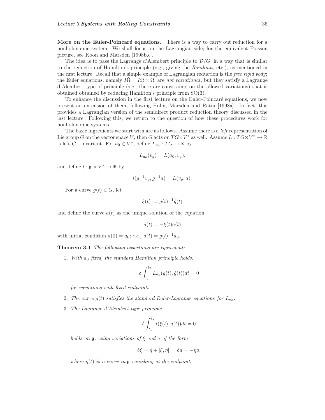**More on the Euler-Poincaré equations.** There is a way to carry out reduction for a nonholonomic system. We shall focus on the Lagrangian side; for the equivalent Poisson picture, see Koon and Marsden [1998b,c].

The idea is to pass the Lagrange d'Alembert principle to  $\mathcal{D}/G$ ; in a way that is similar to the reduction of Hamilton's principle (e.g., giving the Routhian, etc.), as mentioned in the first lecture. Recall that a simple example of Lagrangian reduction is the *free rigid body*; the Euler equations, namely  $I\Omega = I\Omega \times \Omega$ , are not variational, but they satisfy a Lagrange d'Alembert type of principle (i.e., there are constraints on the allowed variations) that is obtained obtained by reducing Hamilton's principle from SO(3).

To enhance the discussion in the first lecture on the Euler-Poincar´e equations, we now present an extension of them, following Holm, Marsden and Ratiu [1998a]. In fact, this provides a Lagrangian version of the semidirect product reduction theory discussed in the last lecture. Following this, we return to the question of how these procedures work for nonholonomic systems.

The basic ingredients we start with are as follows. Assume there is a *left* representation of Lie group G on the vector space V; then G acts on  $TG \times V^*$  as well. Assume  $L: TG \times V^* \to \mathbb{R}$ is left G—invariant. For  $a_0 \in V^*$ , define  $L_{a_0} : T G \to \mathbb{R}$  by

$$
L_{a_0}(v_g) = L(a_0, v_g),
$$

and define  $l : \mathfrak{g} \times V^* \to \mathbb{R}$  by

$$
l(g^{-1}v_g, g^{-1}a) = L(v_g, a).
$$

For a curve  $g(t) \in G$ , let

$$
\xi(t) := g(t)^{-1}\dot{g}(t)
$$

and define the curve  $a(t)$  as the unique solution of the equation

$$
\dot{a}(t) = -\xi(t)a(t)
$$

with initial condition  $a(0) = a_0$ ; *i.e.*,  $a(t) = g(t)^{-1}a_0$ .

**Theorem 3.1** The following assertions are equivalent:

1. With  $a_0$  fixed, the standard Hamilton principle holds:

$$
\delta \int_{t_1}^{t_2} L_{a_0}(g(t), \dot{g}(t)) dt = 0
$$

for variations with fixed endpoints.

- 2. The curve  $g(t)$  satisfies the standard Euler-Lagrange equations for  $L_{a_0}$ .
- 3. The Lagrange d'Alembert-type principle

$$
\delta \int_{t_1}^{t_2} l(\xi(t), a(t))dt = 0
$$

holds on  $\mathfrak g$ , using variations of  $\xi$  and a of the form

$$
\delta \xi = \dot{\eta} + [\xi, \eta], \quad \delta a = -\eta a,
$$

where  $\eta(t)$  is a curve in g vanishing at the endpoints.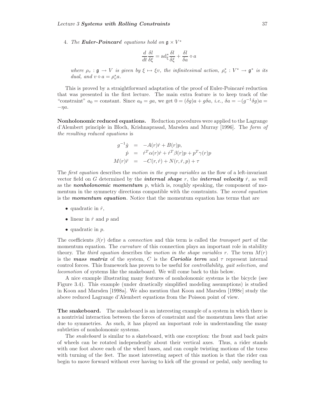4. The **Euler-Poincaré** equations hold on  $\mathfrak{g} \times V^*$ 

$$
\frac{d}{dt}\frac{\delta l}{\delta \xi} = \operatorname{ad}_{\xi}^{*} \frac{\delta l}{\delta \xi} + \frac{\delta l}{\delta a} \diamond a
$$

where  $\rho_v : \mathfrak{g} \to V$  is given by  $\xi \mapsto \xi v$ , the infinitesimal action,  $\rho_v^* : V^* \to \mathfrak{g}^*$  is its dual, and  $v \diamond a = \rho_v^* a$ .

This is proved by a straightforward adaptation of the proof of Euler-Poincaré reduction that was presented in the first lecture. The main extra feature is to keep track of the "constraint"  $a_0 = \text{constant}$ . Since  $a_0 = ga$ , we get  $0 = (\delta g)a + g\delta a$ , *i.e.*,  $\delta a = -(g^{-1}\delta g)a =$  $-\eta a$ .

**Nonholonomic reduced equations.** Reduction procedures were applied to the Lagrange d'Alembert principle in Bloch, Krishnaprasad, Marsden and Murray [1996]. The form of the resulting reduced equations is

$$
g^{-1}\dot{g} = -A(r)\dot{r} + B(r)p,
$$
  
\n
$$
\dot{p} = \dot{r}^T \alpha(r)\dot{r} + \dot{r}^T \beta(r)p + p^T \gamma(r)p
$$
  
\n
$$
M(r)\ddot{r} = -C(r,\dot{r}) + N(r,\dot{r},p) + \tau
$$

The *first equation* describes the *motion in the group variables* as the flow of a left-invariant vector field on G determined by the *internal shape* r, the *internal velocity*  $\dot{r}$ , as well as the *nonholonomic momentum* p, which is, roughly speaking, the component of momentum in the symmetry directions compatible with the constraints. The *second equation* is the *momentum equation*. Notice that the momentum equation has terms that are

- quadratic in  $\dot{r}$ ,
- linear in  $\dot{r}$  and  $p$  and
- $\bullet$  quadratic in  $p$ .

The coefficients  $\beta(r)$  define a *connection* and this term is called the *transport part* of the momentum equation. The *curvature* of this connection plays an important role in stability theory. The third equation describes the motion in the shape variables r. The term  $M(r)$ is the **mass matrix** of the system, C is the **Coriolis term** and  $\tau$  represent internal control forces. This framework has proven to be useful for *controllability, gait selection, and* locomotion of systems like the snakeboard. We will come back to this below.

A nice example illustrating many features of nonholonomic systems is the bicycle (see Figure 3.4). This example (under drastically simplified modeling assumptions) is studied in Koon and Marsden [1998a]. We also mention that Koon and Marsden [1998c] study the above reduced Lagrange d'Alembert equations from the Poisson point of view.

**The snakeboard.** The snakeboard is an interesting example of a system in which there is a nontrivial interaction between the forces of constraint and the momentum laws that arise due to symmetries. As such, it has played an important role in understanding the many subtleties of nonholonomic systems.

The snakeboard is similar to a skateboard, with one exception: the front and back pairs of wheels can be rotated independently about their vertical axes. Thus, a rider stands with one foot above each of the wheel bases, and can couple twisting motions of the torso with turning of the feet. The most interesting aspect of this motion is that the rider can begin to move forward without ever having to kick off the ground or pedal, only needing to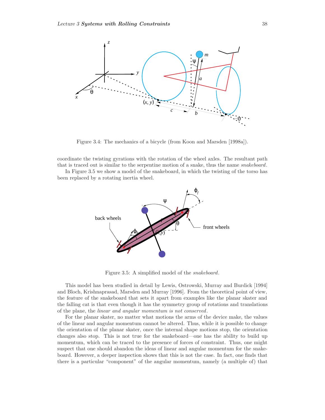

Figure 3.4: The mechanics of a bicycle (from Koon and Marsden [1998a]).

coordinate the twisting gyrations with the rotation of the wheel axles. The resultant path that is traced out is similar to the serpentine motion of a snake, thus the name *snakeboard*.

In Figure 3.5 we show a model of the snakeboard, in which the twisting of the torso has been replaced by a rotating inertia wheel.



Figure 3.5: A simplified model of the snakeboard.

This model has been studied in detail by Lewis, Ostrowski, Murray and Burdick [1994] and Bloch, Krishnaprasad, Marsden and Murray [1996]. From the theoretical point of view, the feature of the snakeboard that sets it apart from examples like the planar skater and the falling cat is that even though it has the symmetry group of rotations and translations of the plane, the linear and angular momentum is not conserved.

For the planar skater, no matter what motions the arms of the device make, the values of the linear and angular momentum cannot be altered. Thus, while it is possible to change the orientation of the planar skater, once the internal shape motions stop, the orientation changes also stop. This is not true for the snakeboard—one has the ability to build up momentum, which can be traced to the presence of forces of constraint. Thus, one might suspect that one should abandon the ideas of linear and angular momentum for the snakeboard. However, a deeper inspection shows that this is not the case. In fact, one finds that there is a particular "component" of the angular momentum, namely (a multiple of) that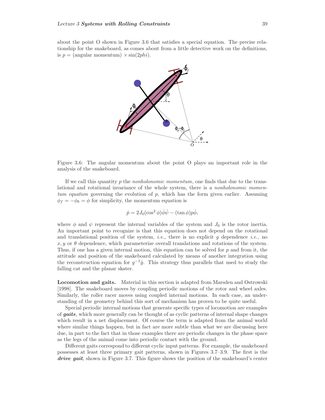about the point O shown in Figure 3.6 that satisfies a special equation. The precise relationship for the snakeboard, as comes about from a little detective work on the definitions, is  $p = \text{(angular momentum)} \times \sin(2phi)$ .



Figure 3.6: The angular momentum about the point O plays an important role in the analysis of the snakeboard.

If we call this quantity p the *nonholonomic momentum*, one finds that due to the translational and rotational invariance of the whole system, there is a nonholonomic momentum equation governing the evolution of  $p$ , which has the form given earlier. Assuming  $\phi_f = -\phi_b = \phi$  for simplicity, the momentum equation is

$$
\dot{p} = 2J_0(\cos^2 \phi)\dot{\phi}\dot{\psi} - (\tan \phi)p\dot{\phi},
$$

where  $\phi$  and  $\psi$  represent the internal variables of the system and  $J_0$  is the rotor inertia. An important point to recognize is that this equation does not depend on the rotational and translational position of the system, *i.e.*, there is no explicit q dependence *i.e.*, no  $x, y$  or  $\theta$  dependence, which parameterize overall translations and rotations of the system. Thus, if one has a given internal motion, this equation can be solved for  $p$  and from it, the attitude and position of the snakeboard calculated by means of another integration using the reconstruction equation for  $g^{-1}\dot{g}$ . This strategy thus parallels that used to study the falling cat and the planar skater.

**Locomotion and gaits.** Material in this section is adapted from Marsden and Ostrowski [1998]. The snakeboard moves by coupling periodic motions of the rotor and wheel axles. Similarly, the roller racer moves using coupled internal motions. In each case, an understanding of the geometry behind this sort of mechanism has proven to be quite useful.

Special periodic internal motions that generate specific types of locomotion are examples of *gaits*, which more generally can be thought of as cyclic patterns of internal shape changes which result in a net displacement. Of course the term is adapted from the animal world where similar things happen, but in fact are more subtle than what we are discussing here due, in part to the fact that in those examples there are periodic changes in the phase space as the legs of the animal come into periodic contact with the ground.

Different gaits correspond to different cyclic input patterns. For example, the snakeboard possesses at least three primary gait patterns, shown in Figures 3.7–3.9. The first is the *drive gait*, shown in Figure 3.7. This figure shows the position of the snakeboard's center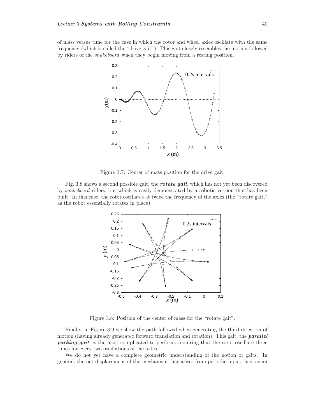of mass versus time for the case in which the rotor and wheel axles oscillate with the same frequency (which is called the "drive gait"). This gait closely resembles the motion followed by riders of the snakeboard when they begin moving from a resting position.



Figure 3.7: Center of mass position for the drive gait.

Fig. 3.8 shows a second possible gait, the *rotate gait*, which has not yet been discovered by snakeboard riders, but which is easily demonstrated by a robotic version that has been built. In this case, the rotor oscillates at twice the frequency of the axles (the "rotate gait," as the robot essentially rotates in place).



Figure 3.8: Position of the center of mass for the "rotate gait".

Finally, in Figure 3.9 we show the path followed when generating the third direction of motion (having already generated forward translation and rotation). This gait, the *parallel parking gait*, is the most complicated to perform, requiring that the rotor oscillate three times for every two oscillations of the axles .

We do not yet have a complete geometric understanding of the notion of gaits. In general, the net displacement of the mechanism that arises from periodic inputs has, as an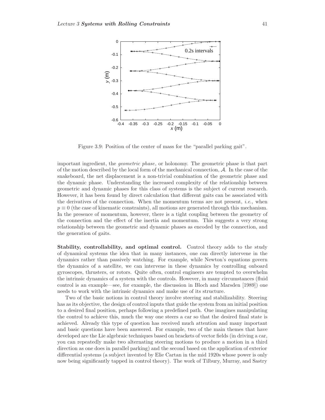

Figure 3.9: Position of the center of mass for the "parallel parking gait".

important ingredient, the geometric phase, or holonomy. The geometric phase is that part of the motion described by the local form of the mechanical connection,  $\mathcal{A}$ . In the case of the snakeboard, the net displacement is a non-trivial combination of the geometric phase and the dynamic phase. Understanding the increased complexity of the relationship between geometric and dynamic phases for this class of systems is the subject of current research. However, it has been found by direct calculation that different gaits can be associated with the derivatives of the connection. When the momentum terms are not present, *i.e.*, when  $p \equiv 0$  (the case of kinematic constraints), all motions are generated through this mechanism. In the presence of momentum, however, there is a tight coupling between the geometry of the connection and the effect of the inertia and momentum. This suggests a very strong relationship between the geometric and dynamic phases as encoded by the connection, and the generation of gaits.

**Stability, controllability, and optimal control.** Control theory adds to the study of dynamical systems the idea that in many instances, one can directly intervene in the dynamics rather than passively watching. For example, while Newton's equations govern the dynamics of a satellite, we can intervene in these dynamics by controlling onboard gyroscopes, thrusters, or rotors. Quite often, control engineers are tempted to overwhelm the intrinsic dynamics of a system with the controls. However, in many circumstances (fluid control is an example—see, for example, the discussion in Bloch and Marsden [1989]) one needs to work with the intrinsic dynamics and make use of its structure.

Two of the basic notions in control theory involve steering and stabilizability. Steering has as its objective, the design of control inputs that guide the system from an initial position to a desired final position, perhaps following a predefined path. One imagines manipulating the control to achieve this, much the way one steers a car so that the desired final state is achieved. Already this type of question has received much attention and many important and basic questions have been answered. For example, two of the main themes that have developed are the Lie algebraic techniques based on brackets of vector fields (in driving a car, you can repeatedly make two alternating steering motions to produce a motion in a third direction as one does in parallel parking) and the second based on the application of exterior differential systems (a subject invented by Elie Cartan in the mid 1920s whose power is only now being significantly tapped in control theory). The work of Tilbury, Murray, and Sastry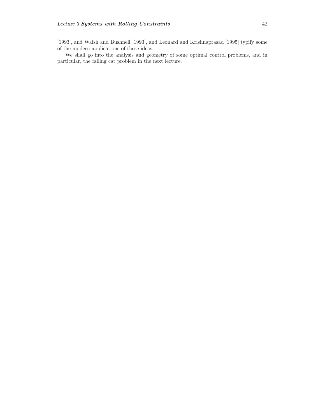[1993], and Walsh and Bushnell [1993], and Leonard and Krishnaprasad [1995] typify some of the modern applications of these ideas.

We shall go into the analysis and geometry of some optimal control problems, and in particular, the falling cat problem in the next lecture.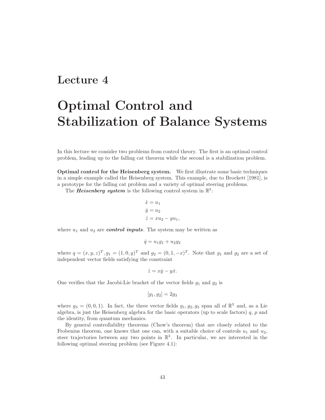## **Lecture 4**

## **Optimal Control and Stabilization of Balance Systems**

In this lecture we consider two problems from control theory. The first is an optimal control problem, leading up to the falling cat theorem while the second is a stabilization problem.

**Optimal control for the Heisenberg system.** We first illustrate some basic techniques in a simple example called the Heisenberg system. This example, due to Brockett [1981], is a prototype for the falling cat problem and a variety of optimal steering problems.

The *Heisenberg system* is the following control system in  $\mathbb{R}^3$ :

$$
\begin{aligned}\n\dot{x} &= u_1\\ \n\dot{y} &= u_2\\ \n\dot{z} &= xu_2 - yu_1,\n\end{aligned}
$$

where  $u_1$  and  $u_2$  are *control inputs*. The system may be written as

$$
\dot{q} = u_1 g_1 + u_2 g_2
$$

where  $q = (x, y, z)^T$ ,  $g_1 = (1, 0, y)^T$  and  $g_2 = (0, 1, -x)^T$ . Note that  $g_1$  and  $g_2$  are a set of independent vector fields satisfying the constraint

$$
\dot{z} = x\dot{y} - y\dot{x}.
$$

One verifies that the Jacobi-Lie bracket of the vector fields  $g_1$  and  $g_2$  is

$$
[g_1, g_2] = 2g_3
$$

where  $g_3 = (0, 0, 1)$ . In fact, the three vector fields  $g_1, g_2, g_3$  span all of  $\mathbb{R}^3$  and, as a Lie algebra, is just the Heisenberg algebra for the basic operators (up to scale factors)  $q$ ,  $p$  and the identity, from quantum mechanics.

By general controllability theorems (Chow's theorem) that are closely related to the Frobenius theorem, one knows that one can, with a suitable choice of controls  $u_1$  and  $u_2$ , steer trajectories between any two points in  $\mathbb{R}^3$ . In particular, we are interested in the following optimal steering problem (see Figure 4.1):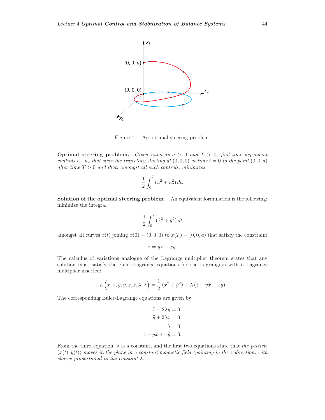

Figure 4.1: An optimal steering problem.

**Optimal steering problem.** Given numbers  $a > 0$  and  $T > 0$ , find time dependent controls  $u_1, u_2$  that steer the trajectory starting at  $(0, 0, 0)$  at time  $t = 0$  to the point  $(0, 0, a)$ after time  $T > 0$  and that, amongst all such controls, minimizes

$$
\frac{1}{2} \int_0^T (u_1^2 + u_2^2) \, dt.
$$

**Solution of the optimal steering problem.** An equivalent formulation is the following: minimize the integral

$$
\frac{1}{2} \int_0^T (\dot{x}^2 + \dot{y}^2) dt
$$

amongst all curves  $x(t)$  joining  $x(0) = (0, 0, 0)$  to  $x(T) = (0, 0, a)$  that satisfy the constraint

$$
\dot{z} = y\dot{x} - x\dot{y}.
$$

The calculus of variations analogue of the Lagrange multiplier theorem states that any solution must satisfy the Euler-Lagrange equations for the Lagrangian with a Lagrange multiplier inserted:

$$
L(x, \dot{x}, y, \dot{y}, z, \dot{z}, \lambda, \dot{\lambda}) = \frac{1}{2} (\dot{x}^2 + \dot{y}^2) + \lambda (\dot{z} - y\dot{x} + x\dot{y})
$$

The corresponding Euler-Lagrange equations are given by

$$
\ddot{x} - 2\lambda \dot{y} = 0
$$

$$
\ddot{y} + 2\lambda \dot{x} = 0
$$

$$
\dot{\lambda} = 0
$$

$$
\dot{z} - y\dot{x} + x\dot{y} = 0.
$$

From the third equation,  $\lambda$  is a constant, and the first two equations state that the particle  $(x(t), y(t))$  moves in the plane in a constant magnetic field (pointing in the z direction, with charge proportional to the constant  $\lambda$ .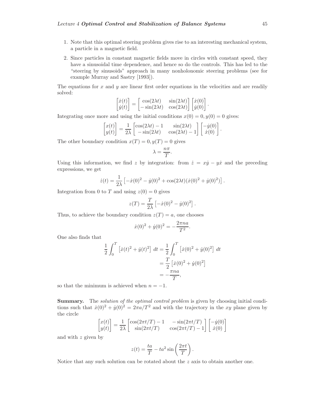- 1. Note that this optimal steering problem gives rise to an interesting mechanical system, a particle in a magnetic field.
- 2. Since particles in constant magnetic fields move in circles with constant speed, they have a sinusoidal time dependence, and hence so do the controls. This has led to the "steering by sinusoids" approach in many nonholonomic steering problems (see for example Murray and Sastry [1993]).

The equations for  $x$  and  $y$  are linear first order equations in the velocities and are readily solved:

$$
\begin{bmatrix} \dot{x}(t) \\ \dot{y}(t) \end{bmatrix} = \begin{bmatrix} \cos(2\lambda t) & \sin(2\lambda t) \\ -\sin(2\lambda t) & \cos(2\lambda t) \end{bmatrix} \begin{bmatrix} \dot{x}(0) \\ \dot{y}(0) \end{bmatrix}
$$

.

.

Integrating once more and using the initial conditions  $x(0) = 0, y(0) = 0$  gives:

$$
\begin{bmatrix} x(t) \\ y(t) \end{bmatrix} = \frac{1}{2\lambda} \begin{bmatrix} \cos(2\lambda t) - 1 & \sin(2\lambda t) \\ -\sin(2\lambda t) & \cos(2\lambda t) - 1 \end{bmatrix} \begin{bmatrix} -\dot{y}(0) \\ \dot{x}(0) \end{bmatrix}
$$

The other boundary condition  $x(T) = 0, y(T) = 0$  gives

$$
\lambda = \frac{n\pi}{T}.
$$

Using this information, we find z by integration: from  $\dot{z} = x\dot{y} - y\dot{x}$  and the preceding expressions, we get

$$
\dot{z}(t) = \frac{1}{2\lambda} \left[ -\dot{x}(0)^2 - \dot{y}(0)^2 + \cos(2\lambda t)(\dot{x}(0)^2 + \dot{y}(0)^2) \right].
$$

Integration from 0 to T and using  $z(0) = 0$  gives

$$
z(T) = \frac{T}{2\lambda} \left[ -\dot{x}(0)^2 - \dot{y}(0)^2 \right].
$$

Thus, to achieve the boundary condition  $z(T) = a$ , one chooses

$$
\dot{x}(0)^2 + \dot{y}(0)^2 = -\frac{2\pi n a}{T^2}.
$$

One also finds that

$$
\frac{1}{2} \int_0^T \left[ \dot{x}(t)^2 + \dot{y}(t)^2 \right] dt = \frac{1}{2} \int_0^T \left[ \dot{x}(0)^2 + \dot{y}(0)^2 \right] dt
$$

$$
= \frac{T}{2} \left[ \dot{x}(0)^2 + \dot{y}(0)^2 \right]
$$

$$
= -\frac{\pi n a}{T},
$$

so that the minimum is achieved when  $n = -1$ .

Summary. The *solution of the optimal control problem* is given by choosing initial conditions such that  $\dot{x}(0)^2 + \dot{y}(0)^2 = 2\pi a/T^2$  and with the trajectory in the xy plane given by the circle

$$
\begin{bmatrix} x(t) \\ y(t) \end{bmatrix} = \frac{1}{2\lambda} \begin{bmatrix} \cos(2\pi t/T) - 1 & -\sin(2\pi t/T) \\ \sin(2\pi t/T) & \cos(2\pi t/T) - 1 \end{bmatrix} \begin{bmatrix} -\dot{y}(0) \\ \dot{x}(0) \end{bmatrix}
$$

and with z given by

$$
z(t) = \frac{ta}{T} - ta^2 \sin\left(\frac{2\pi t}{T}\right).
$$

Notice that any such solution can be rotated about the  $z$  axis to obtain another one.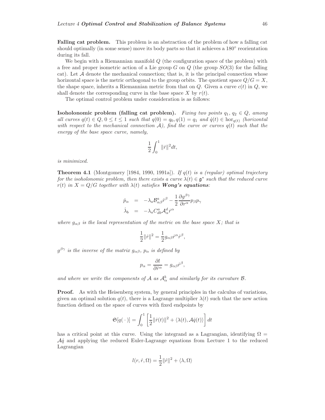**Falling cat problem.** This problem is an abstraction of the problem of how a falling cat should optimally (in some sense) move its body parts so that it achieves a 180 $\degree$  reorientation during its fall.

We begin with a Riemannian manifold  $Q$  (the configuration space of the problem) with a free and proper isometric action of a Lie group  $G$  on  $Q$  (the group  $SO(3)$  for the falling cat). Let  $A$  denote the mechanical connection; that is, it is the principal connection whose horizontal space is the metric orthogonal to the group orbits. The quotient space  $Q/G = X$ , the shape space, inherits a Riemannian metric from that on  $Q$ . Given a curve  $c(t)$  in  $Q$ , we shall denote the corresponding curve in the base space  $X$  by  $r(t)$ .

The optimal control problem under consideration is as follows:

**Isoholonomic problem (falling cat problem).** Fixing two points  $q_1, q_2 \in Q$ , among all curves  $q(t) \in Q$ ,  $0 \le t \le 1$  such that  $q(0) = q_0$ ,  $q(1) = q_1$  and  $\dot{q}(t) \in \text{hor}_{q(t)}$  (horizontal with respect to the mechanical connection  $A$ ), find the curve or curves  $q(t)$  such that the energy of the base space curve, namely,

$$
\frac{1}{2} \int_0^1 \| \dot{r} \|^2 dt,
$$

is minimized.

**Theorem 4.1** (Montgomery [1984, 1990, 1991a]). If  $q(t)$  is a (regular) optimal trajectory for the isoholonomic problem, then there exists a curve  $\lambda(t) \in \mathfrak{g}^*$  such that the reduced curve  $r(t)$  in  $X = Q/G$  together with  $\lambda(t)$  satisfies **Wong's equations**:

$$
\dot{p}_{\alpha} = -\lambda_{a} \mathcal{B}^{a}_{\alpha\beta} \dot{r}^{\beta} - \frac{1}{2} \frac{\partial g^{\beta\gamma}}{\partial r^{\alpha}} p_{\beta} p_{\gamma} \n\dot{\lambda}_{b} = -\lambda_{a} C^{a}_{db} \mathcal{A}^{d}_{\alpha} \dot{r}^{\alpha}
$$

where  $g_{\alpha\beta}$  is the local representation of the metric on the base space X; that is

$$
\frac{1}{2}\|\dot{r}\|^2=\frac{1}{2}g_{\alpha\beta}\dot{r}^\alpha\dot{r}^\beta,
$$

 $g^{\beta\gamma}$  is the inverse of the matrix  $g_{\alpha\beta}$ ,  $p_{\alpha}$  is defined by

$$
p_{\alpha} = \frac{\partial l}{\partial \dot{r}^{\alpha}} = g_{\alpha\beta} \dot{r}^{\beta},
$$

and where we write the components of A as  $A^b_\alpha$  and similarly for its curvature B.

**Proof.** As with the Heisenberg system, by general principles in the calculus of variations, given an optimal solution  $q(t)$ , there is a Lagrange multiplier  $\lambda(t)$  such that the new action function defined on the space of curves with fixed endpoints by

$$
\mathfrak{S}[q(\cdot)] = \int_0^1 \left[\frac{1}{2}||\dot{r}(t)||^2 + \langle \lambda(t), \mathcal{A}\dot{q}(t)\rangle\right]dt
$$

has a critical point at this curve. Using the integrand as a Lagrangian, identifying  $\Omega =$  $\mathcal{A}$ *i* and applying the reduced Euler-Lagrange equations from Lecture 1 to the reduced Lagrangian

$$
l(r,\dot{r},\Omega)=\frac{1}{2}\|\dot{r}\|^2+\langle\lambda,\Omega\rangle
$$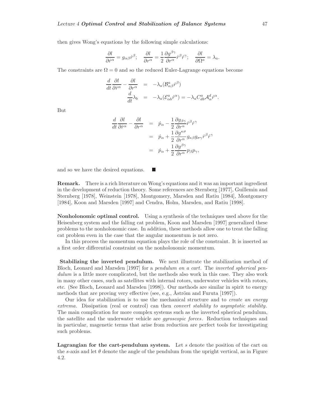then gives Wong's equations by the following simple calculations:

$$
\frac{\partial l}{\partial \dot{r}^{\alpha}} = g_{\alpha\beta} \dot{r}^{\beta}; \quad \frac{\partial l}{\partial r^{\alpha}} = \frac{1}{2} \frac{\partial g^{\beta\gamma}}{\partial r^{\alpha}} \dot{r}^{\beta} \dot{r}^{\gamma}; \quad \frac{\partial l}{\partial \Omega^{a}} = \lambda_{a}.
$$

The constraints are  $\Omega = 0$  and so the reduced Euler-Lagrange equations become

$$
\frac{d}{dt}\frac{\partial l}{\partial \dot{r}^{\alpha}} - \frac{\partial l}{\partial r^{\alpha}} = -\lambda_a (\mathcal{B}^a_{\alpha\beta} \dot{r}^{\beta})
$$

$$
\frac{d}{dt}\lambda_b = -\lambda_a (\mathcal{E}^a_{\alpha b} \dot{r}^{\alpha}) = -\lambda_a C^a_{db} \mathcal{A}^d_{\alpha} \dot{r}^{\alpha}.
$$

But

$$
\frac{d}{dt}\frac{\partial l}{\partial \dot{r}^{\alpha}} - \frac{\partial l}{\partial r^{\alpha}} = \dot{p}_{\alpha} - \frac{1}{2}\frac{\partial g_{\beta\gamma}}{\partial r^{\alpha}}\dot{r}^{\beta}\dot{r}^{\gamma} \n= \dot{p}_{\alpha} + \frac{1}{2}\frac{\partial g^{\kappa\sigma}}{\partial r^{\alpha}}g_{\kappa\beta}g_{\sigma\gamma}\dot{r}^{\beta}\dot{r}^{\gamma} \n= \dot{p}_{\alpha} + \frac{1}{2}\frac{\partial g^{\beta\gamma}}{\partial r^{\alpha}}p_{\beta}p_{\gamma},
$$

and so we have the desired equations.

**Remark.** There is a rich literature on Wong's equations and it was an important ingredient in the development of reduction theory. Some references are Sternberg [1977], Guillemin and Sternberg [1978], Weinstein [1978], Montgomery, Marsden and Ratiu [1984], Montgomery [1984], Koon and Marsden [1997] and Cendra, Holm, Marsden, and Ratiu [1998].

**Nonholonomic optimal control.** Using a synthesis of the techniques used above for the Heisenberg system and the falling cat problem, Koon and Marsden [1997] generalized these problems to the nonholonomic case. In addition, these methods allow one to treat the falling cat problem even in the case that the angular momentum is not zero.

In this process the momentum equation plays the role of the constraint. It is inserted as a first order differential constraint on the nonholonomic momentum.

**Stabilizing the inverted pendulum.** We next illustrate the stabilization method of Bloch, Leonard and Marsden [1997] for a pendulum on a cart. The inverted spherical pendulum is a little more complicated, but the methods also work in this case. They also work in many other cases, such as satellites with internal rotors, underwater vehicles with rotors, etc. (See Bloch, Leonard and Marsden [1998]). Our methods are similar in spirit to energy methods that are proving very effective (see, e.g., Åström and Furuta [1997]).

Our idea for stabilization is to use the mechanical structure and to create an energy extrema. Dissipation (real or control) can then *convert stability to asymptotic stability*. The main complication for more complex systems such as the inverted spherical pendulum, the satellite and the underwater vehicle are *gyroscopic forces*. Reduction techniques and in particular, magenetic terms that arise from reduction are perfect tools for investigating such problems.

Lagrangian for the cart-pendulum system. Let s denote the position of the cart on the s-axis and let  $\theta$  denote the angle of the pendulum from the upright vertical, as in Figure 4.2.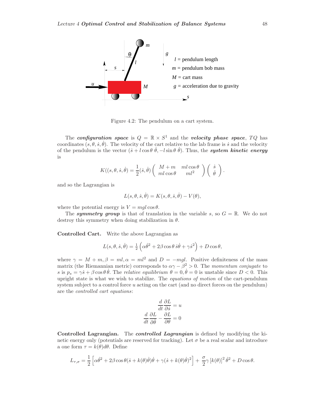

Figure 4.2: The pendulum on a cart system.

The *configuration space* is  $Q = \mathbb{R} \times S^1$  and the *velocity phase space*,  $TQ$  has coordinates  $(s, \theta, \dot{s}, \dot{\theta})$ . The velocity of the cart relative to the lab frame is s and the velocity of the pendulum is the vector  $(s + l\cos\theta \dot{\theta}, -l\sin\theta \dot{\theta})$ . Thus, the **system kinetic energy** is

$$
K((s, \theta, \dot{s}, \dot{\theta}) = \frac{1}{2}(\dot{s}, \dot{\theta}) \left( \begin{array}{cc} M+m & ml\cos\theta \\ ml\cos\theta & ml^2 \end{array} \right) \left( \begin{array}{c} \dot{s} \\ \dot{\theta} \end{array} \right).
$$

and so the Lagrangian is

$$
L(s, \theta, \dot{s}, \dot{\theta}) = K(s, \theta, \dot{s}, \dot{\theta}) - V(\theta),
$$

where the potential energy is  $V = mgl \cos \theta$ .

The **symmetry group** is that of translation in the variable s, so  $G = \mathbb{R}$ . We do not destroy this symmetry when doing stabilization in  $\theta$ .

**Controlled Cart.** Write the above Lagrangian as

$$
L(s,\theta,\dot{s},\dot{\theta})=\tfrac{1}{2}\left(\alpha\dot{\theta}^2+2\beta\cos\theta\,\dot{s}\dot{\theta}+\gamma\dot{s}^2\right)+D\cos\theta,
$$

where  $\gamma = M + m, \beta = ml, \alpha = ml^2$  and  $D = -mgl$ . Positive definiteness of the mass matrix (the Riemannian metric) corresponds to  $\alpha \gamma - \beta^2 > 0$ . The momentum conjugate to s is  $p_s = \gamma \dot{s} + \beta \cos \theta \dot{\theta}$ . The relative equilibrium  $\theta = 0, \dot{\theta} = 0$  is unstable since  $D < 0$ . This upright state is what we wish to stabilize. The equations of motion of the cart-pendulum system subject to a control force  $u$  acting on the cart (and no direct forces on the pendulum) are the controlled cart equations:

$$
\frac{d}{dt}\frac{\partial L}{\partial \dot{s}} = u
$$

$$
\frac{d}{dt}\frac{\partial L}{\partial \dot{\theta}} - \frac{\partial L}{\partial \theta} = 0
$$

**Controlled Lagrangian.** The *controlled Lagrangian* is defined by modifying the kinetic energy only (potentials are reserved for tracking). Let  $\sigma$  be a real scalar and introduce a one form  $\tau = k(\theta)d\theta$ . Define

$$
L_{\tau,\sigma} = \frac{1}{2} \left[ \alpha \dot{\theta}^2 + 2\beta \cos \theta (\dot{s} + k(\theta)\dot{\theta})\dot{\theta} + \gamma (\dot{s} + k(\theta)\dot{\theta})^2 \right] + \frac{\sigma}{2} \gamma [k(\theta)]^2 \dot{\theta}^2 + D \cos \theta.
$$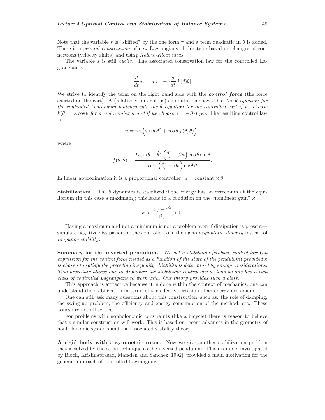Note that the variable *s* is "shifted" by the one form  $\tau$  and a term quadratic in  $\dot{\theta}$  is added. There is a *general construction* of new Lagrangians of this type based on changes of connections (velocity shifts) and using Kaluza-Klein ideas.

The variable s is still cyclic. The associated conservation law for the controlled Lagrangian is

$$
\frac{d}{dt}p_s = u := -\gamma \frac{d}{dt}[k(\theta)\dot{\theta}]
$$

We strive to identify the term on the right hand side with the *control force* (the force exerted on the cart). A (relatively miraculous) computation shows that the  $\theta$  equation for the controlled Lagrangian matches with the  $\theta$  equation for the controlled cart if we choose  $k(\theta) = \kappa \cos \theta$  for a real number  $\kappa$  and if we choose  $\sigma = -\beta/(\gamma \kappa)$ . The resulting control law is

$$
u = \gamma \kappa \left( \sin \theta \, \dot{\theta}^2 + \cos \theta \, f(\theta, \dot{\theta}) \right),
$$

where

$$
f(\theta, \dot{\theta}) = \frac{D \sin \theta + \dot{\theta}^2 \left(\frac{\beta^2}{\gamma} + \beta \kappa\right) \cos \theta \sin \theta}{\alpha - \left(\frac{\beta^2}{\gamma} - \beta \kappa\right) \cos^2 \theta}.
$$

In linear approximation it is a proportional controller,  $u = constant \times \theta$ .

**Stabilization.** The  $\theta$  dynamics is stabilized if the energy has an extremum at the equilibrium (in this case a maximum); this leads to a condition on the "nonlinear gain"  $\kappa$ :

$$
\kappa > \frac{\alpha \gamma - \beta^2}{\beta \gamma} > 0.
$$

Having a maximum and not a minimum is not a problem even if dissipation is present simulate negative dissipation by the controller; one then gets *asymptotic stability* instead of Liapunov stability.

**Summary for the inverted pendulum.** We get a stabilizing feedback control law (an expression for the control force needed as a function of the state of the pendulum) provided  $\kappa$ is chosen to satisfy the preceding inequality. Stability is determined by energy considerations. This procedure allows one to *discover* the stabilizing control law as long as one has a rich class of controlled Lagrangians to work with. Our theory provides such a class.

This approach is attractive because it is done within the context of mechanics; one can understand the stabilization in terms of the effective creation of an energy extremum.

One can still ask many questions about this construction, such as: the role of damping, the swing-up problem, the efficiency and energy consumption of the method, etc. These issues are not all settled.

For problems with nonholonomic constraints (like a bicycle) there is reason to believe that a similar construction will work. This is based on recent advances in the geometry of nonholonomic systems and the associated stability theory.

**A rigid body with a symmetric rotor.** Now we give another stabilization problem that is solved by the same technique as the inverted pendulum. This example, investigated by Bloch, Krishnaprasad, Marsden and Sanchez [1992], provided a main motivation for the general approach of controlled Lagrangians.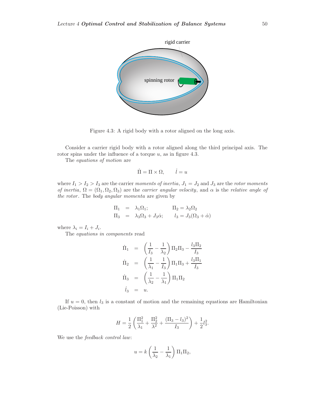

Figure 4.3: A rigid body with a rotor aligned on the long axis.

Consider a carrier rigid body with a rotor aligned along the third principal axis. The rotor spins under the influence of a torque  $u$ , as in figure 4.3.

The equations of motion are

$$
\dot{\Pi} = \Pi \times \Omega, \qquad \dot{l} = u
$$

where  $I_1 > I_2 > I_3$  are the carrier moments of inertia,  $J_1 = J_2$  and  $J_3$  are the rotor moments of inertia,  $\Omega = (\Omega_1, \Omega_2, \Omega_3)$  are the carrier angular velocity, and  $\alpha$  is the relative angle of the rotor. The body angular momenta are given by

$$
\Pi_1 = \lambda_1 \Omega_1; \qquad \Pi_2 = \lambda_2 \Omega_2 \n\Pi_3 = \lambda_3 \Omega_3 + J_3 \dot{\alpha}; \qquad l_3 = J_3(\Omega_3 + \dot{\alpha})
$$

where  $\lambda_i = I_i + J_i$ .

The equations in components read

$$
\dot{\Pi}_{1} = \left(\frac{1}{I_{3}} - \frac{1}{\lambda_{2}}\right) \Pi_{2} \Pi_{3} - \frac{l_{3} \Pi_{2}}{I_{3}}
$$
\n
$$
\dot{\Pi}_{2} = \left(\frac{1}{\lambda_{1}} - \frac{1}{I_{3}}\right) \Pi_{1} \Pi_{3} + \frac{l_{3} \Pi_{1}}{I_{3}}
$$
\n
$$
\dot{\Pi}_{3} = \left(\frac{1}{\lambda_{2}} - \frac{1}{\lambda_{1}}\right) \Pi_{1} \Pi_{2}
$$
\n
$$
\dot{l}_{3} = u.
$$

If  $u = 0$ , then  $l_3$  is a constant of motion and the remaining equations are Hamiltonian (Lie-Poisson) with

$$
H = \frac{1}{2} \left( \frac{\Pi_1^2}{\lambda_1} + \frac{\Pi_2^2}{\lambda^2} + \frac{(\Pi_3 - l_3)^2}{I_3} \right) + \frac{1}{2} l_3^2.
$$

We use the *feedback control law*:

$$
u = k \left(\frac{1}{\lambda_2} - \frac{1}{\lambda_1}\right) \Pi_1 \Pi_2,
$$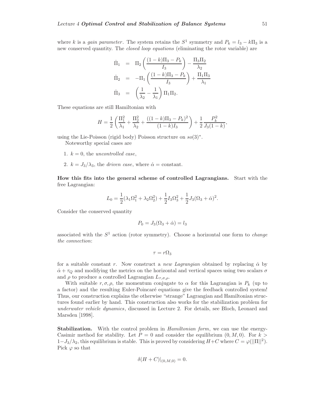where k is a gain parameter. The system retains the  $S^1$  symmetry and  $P_k = l_3 - k\Pi_3$  is a new conserved quantity. The *closed loop equations* (eliminating the rotor variable) are

$$
\dot{\Pi}_1 = \Pi_2 \left( \frac{(1-k)\Pi_3 - P_k}{I_3} \right) - \frac{\Pi_3 \Pi_2}{\lambda_2} \n\dot{\Pi}_2 = -\Pi_1 \left( \frac{(1-k)\Pi_3 - P_k}{I_3} \right) + \frac{\Pi_1 \Pi_3}{\lambda_1} \n\dot{\Pi}_3 = \left( \frac{1}{\lambda_2} - \frac{1}{\lambda_1} \right) \Pi_1 \Pi_2.
$$

These equations are still Hamiltonian with

$$
H = \frac{1}{2} \left( \frac{\Pi_1^2}{\lambda_1} + \frac{\Pi_2^2}{\lambda_2} + \frac{((1-k)\Pi_3 - P_k)^2}{(1-k)I_3} \right) + \frac{1}{2} \frac{P_k^2}{J_3(1-k)},
$$

using the Lie-Poisson (rigid body) Poisson structure on  $so(3)^*$ .

Noteworthy special cases are

- 1.  $k = 0$ , the uncontrolled case,
- 2.  $k = J_3/\lambda_3$ , the *driven case*, where  $\dot{\alpha} = \text{constant}$ .

**How this fits into the general scheme of controlled Lagrangians.** Start with the free Lagrangian:

$$
L_0 = \frac{1}{2}(\lambda_1 \Omega_1^2 + \lambda_2 \Omega_2^2) + \frac{1}{2}I_3 \Omega_3^2 + \frac{1}{2}J_3(\Omega_3 + \dot{\alpha})^2.
$$

Consider the conserved quantity

$$
P_0 = J_3(\Omega_3 + \dot{\alpha}) = l_3
$$

associated with the  $S<sup>1</sup>$  action (rotor symmetry). Choose a horizontal one form to *change* the connection:

$$
\tau = r\Omega_3
$$

for a suitable constant r. Now construct a new Lagrangian obtained by replacing  $\dot{\alpha}$  by  $\dot{\alpha} + \tau_Q$  and modifying the metrics on the horizontal and vertical spaces using two scalars  $\sigma$ and  $\rho$  to produce a controlled Lagrangian  $L_{\tau,\sigma,\rho}$ .

With suitable  $r, \sigma, \rho$ , the momentum conjugate to  $\alpha$  for this Lagrangian is  $P_k$  (up to a factor) and the resulting Euler-Poincaré equations give the feedback controlled system! Thus, our construction explains the otherwise "strange" Lagrangian and Hamiltonian structures found earlier by hand. This construction also works for the stabilization problem for underwater vehicle dynamics, discussed in Lecture 2. For details, see Bloch, Leonard and Marsden [1998].

**Stabilization.** With the control problem in *Hamiltonian form*, we can use the energy-Casimir method for stability. Let  $P = 0$  and consider the equilibrium  $(0, M, 0)$ . For  $k >$  $1-J_3/\lambda_2$ , this equilibrium is stable. This is proved by considering  $H+C$  where  $C=\varphi(||\Pi||^2)$ . Pick  $\varphi$  so that

$$
\delta(H+C)|_{(0,M,0)}=0.
$$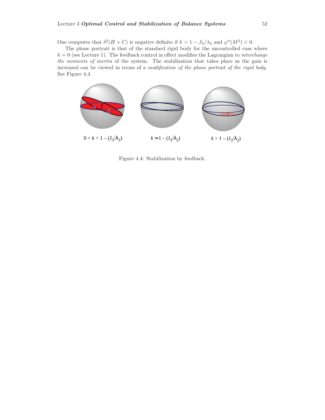One computes that  $\delta^2(H+C)$  is negative definite if  $k > 1 - J_3/\lambda_2$  and  $\varphi''(M^2) < 0$ .

The phase portrait is that of the standard rigid body for the uncontrolled case where  $k = 0$  (see Lecture 1). The feedback control in effect modifies the Lagrangian to *interchange* the moments of inertia of the system. The stabilization that takes place as the gain is increased can be viewed in terms of a modification of the phase portrait of the rigid body. See Figure 4.4.



Figure 4.4: Stabilization by feedback.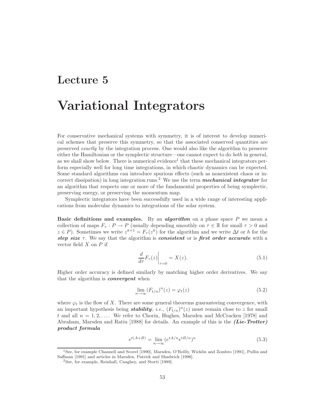## **Lecture 5**

## **Variational Integrators**

For conservative mechanical systems with symmetry, it is of interest to develop numerical schemes that preserve this symmetry, so that the associated conserved quantities are preserved exactly by the integration process. One would also like the algorithm to preserve either the Hamiltonian or the symplectic structure—one cannot expect to do both in general, as we shall show below. There is numerical evidence<sup>1</sup> that these mechanical integrators perform especially well for long time integrations, in which chaotic dynamics can be expected. Some standard algorithms can introduce spurious effects (such as nonexistent chaos or incorrect dissipation) in long integration runs.<sup>2</sup> We use the term *mechanical integrator* for an algorithm that respects one or more of the fundamental properties of being symplectic, preserving energy, or preserving the momentum map.

Symplectic integrators have been successfully used in a wide range of interesting applications from molecular dynamics to integrations of the solar system.

**Basic definitions and examples.** By an *algorithm* on a phase space P we mean a collection of maps  $F_{\tau}: P \to P$  (usually depending smoothly on  $\tau \in \mathbb{R}$  for small  $\tau > 0$  and  $z \in P$ ). Sometimes we write  $z^{k+1} = F_\tau(z^k)$  for the algorithm and we write  $\Delta t$  or h for the *step size* τ. We say that the algorithm is *consistent* or is *first order accurate* with a vector field  $X$  on  $P$  if

$$
\left. \frac{d}{d\tau} F_{\tau}(z) \right|_{\tau=0} = X(z). \tag{5.1}
$$

Higher order accuracy is defined similarly by matching higher order derivatives. We say that the algorithm is *convergent* when

$$
\lim_{n \to \infty} (F_{t/n})^n(z) = \varphi_t(z) \tag{5.2}
$$

where  $\varphi_t$  is the flow of X. There are some general theorems guaranteeing convergence, with an important hypothesis being *stability*; *i.e.*,  $(F_{t/n})^n(z)$  must remain close to z for small t and all  $n = 1, 2, \ldots$ . We refer to Chorin, Hughes, Marsden and McCracken [1978] and Abraham, Marsden and Ratiu [1988] for details. An example of this is the *(Lie-Trotter) product formula*

$$
e^{t(A+B)} = \lim_{n \to \infty} (e^{tA/n} e^{tB/n})^n
$$
\n
$$
(5.3)
$$

<sup>1</sup>See, for example Channell and Scovel [1990], Marsden, O'Reilly, Wicklin and Zombro [1991], Pullin and Saffman [1991] and articles in Marsden, Patrick and Shadwick [1996].

<sup>2</sup>See, for example, Reinhall, Caughey, and Storti [1989].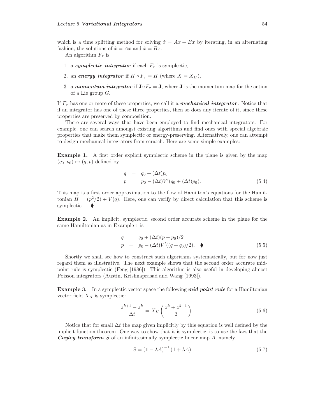which is a time splitting method for solving  $\dot{x} = Ax + Bx$  by iterating, in an alternating fashion, the solutions of  $\dot{x} = Ax$  and  $\dot{x} = Bx$ .

An algorithm  $F_{\tau}$  is

- 1. a *symplectic integrator* if each  $F_{\tau}$  is symplectic,
- 2. an *energy integrator* if  $H \circ F_\tau = H$  (where  $X = X_H$ ),
- 3. a *momentum integrator* if  $J \circ F_\tau = J$ , where **J** is the momentum map for the action of a Lie group  $G$ .

If  $F_{\tau}$  has one or more of these properties, we call it a *mechanical integrator*. Notice that if an integrator has one of these three properties, then so does any iterate of it, since these properties are preserved by composition.

There are several ways that have been employed to find mechanical integrators. For example, one can search amongst existing algorithms and find ones with special algebraic properties that make them symplectic or energy-preserving. Alternatively, one can attempt to design mechanical integrators from scratch. Here are some simple examples:

**Example 1.** A first order explicit symplectic scheme in the plane is given by the map  $(q_0, p_0) \mapsto (q, p)$  defined by

$$
q = q_0 + (\Delta t) p_0 p = p_0 - (\Delta t) V'(q_0 + (\Delta t) p_0).
$$
 (5.4)

This map is a first order approximation to the flow of Hamilton's equations for the Hamiltonian  $H = (p^2/2) + V(q)$ . Here, one can verify by direct calculation that this scheme is symplectic.

**Example 2.** An implicit, symplectic, second order accurate scheme in the plane for the same Hamiltonian as in Example 1 is

$$
q = q_0 + (\Delta t)(p + p_0)/2 \n p = p_0 - (\Delta t)V'((q + q_0)/2). \quad \blacklozenge
$$
\n(5.5)

Shortly we shall see how to construct such algorithms systematically, but for now just regard them as illustrative. The next example shows that the second order accurate midpoint rule is symplectic (Feng [1986]). This algorithm is also useful in developing almost Poisson integrators (Austin, Krishnaprasad and Wang [1993]).

**Example 3.** In a symplectic vector space the following *mid point rule* for a Hamiltonian vector field  $X_H$  is symplectic:

$$
\frac{z^{k+1} - z^k}{\Delta t} = X_H \left( \frac{z^k + z^{k+1}}{2} \right). \tag{5.6}
$$

Notice that for small  $\Delta t$  the map given implicitly by this equation is well defined by the implicit function theorem. One way to show that it is symplectic, is to use the fact that the *Cayley transform* S of an infinitesimally symplectic linear map A, namely

$$
S = \left(1 - \lambda A\right)^{-1} \left(1 + \lambda A\right) \tag{5.7}
$$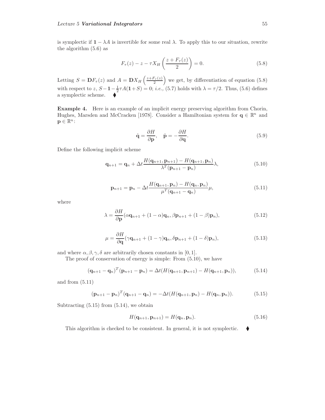is symplectic if  $\mathbf{1} - \lambda A$  is invertible for some real  $\lambda$ . To apply this to our situation, rewrite the algorithm (5.6) as

$$
F_{\tau}(z) - z - \tau X_H\left(\frac{z + F_{\tau}(z)}{2}\right) = 0.
$$
\n
$$
(5.8)
$$

Letting  $S = \mathbf{D}F_{\tau}(z)$  and  $A = \mathbf{D}X_H\left(\frac{z+F_{\tau}(z)}{2}\right)$ ) we get, by differentiation of equation  $(5.8)$ with respect to z,  $S - \mathbf{1} - \frac{1}{2}\tau A(\mathbf{1} + S) = 0$ ; *i.e.*, (5.7) holds with  $\lambda = \tau/2$ . Thus, (5.6) defines a symplectic scheme.

**Example 4.** Here is an example of an implicit energy preserving algorithm from Chorin, Hughes, Marsden and McCracken [1978]. Consider a Hamiltonian system for  $q \in \mathbb{R}^n$  and  $\mathbf{p} \in \mathbb{R}^n$ :

$$
\dot{\mathbf{q}} = \frac{\partial H}{\partial \mathbf{p}}, \quad \dot{\mathbf{p}} = -\frac{\partial H}{\partial \mathbf{q}}.
$$
\n(5.9)

Define the following implicit scheme

$$
\mathbf{q}_{n+1} = \mathbf{q}_n + \Delta t \frac{H(\mathbf{q}_{n+1}, \mathbf{p}_{n+1}) - H(\mathbf{q}_{n+1}, \mathbf{p}_n)}{\lambda^T(\mathbf{p}_{n+1} - \mathbf{p}_n)} \lambda,
$$
(5.10)

$$
\mathbf{p}_{n+1} = \mathbf{p}_n - \Delta t \frac{H(\mathbf{q}_{n+1}, \mathbf{p}_n) - H(\mathbf{q}_n, \mathbf{p}_n)}{\mu^T(\mathbf{q}_{n+1} - \mathbf{q}_n)} \mu,
$$
(5.11)

where

$$
\lambda = \frac{\partial H}{\partial \mathbf{p}} (\alpha \mathbf{q}_{n+1} + (1 - \alpha) \mathbf{q}_n, \beta \mathbf{p}_{n+1} + (1 - \beta) \mathbf{p}_n),
$$
\n(5.12)

$$
\mu = \frac{\partial H}{\partial \mathbf{q}} (\gamma \mathbf{q}_{n+1} + (1 - \gamma) \mathbf{q}_n, \delta \mathbf{p}_{n+1} + (1 - \delta) \mathbf{p}_n),
$$
\n(5.13)

and where  $\alpha, \beta, \gamma, \delta$  are arbitrarily chosen constants in [0, 1].

The proof of conservation of energy is simple: From (5.10), we have

$$
(\mathbf{q}_{n+1} - \mathbf{q}_n)^T (\mathbf{p}_{n+1} - \mathbf{p}_n) = \Delta t (H(\mathbf{q}_{n+1}, \mathbf{p}_{n+1}) - H(\mathbf{q}_{n+1}, \mathbf{p}_n)),
$$
(5.14)

and from (5.11)

$$
(\mathbf{p}_{n+1}-\mathbf{p}_n)^T(\mathbf{q}_{n+1}-\mathbf{q}_n)=-\Delta t(H(\mathbf{q}_{n+1},\mathbf{p}_n)-H(\mathbf{q}_n,\mathbf{p}_n)).
$$
\n(5.15)

Subtracting  $(5.15)$  from  $(5.14)$ , we obtain

$$
H(\mathbf{q}_{n+1}, \mathbf{p}_{n+1}) = H(\mathbf{q}_n, \mathbf{p}_n). \tag{5.16}
$$

This algorithm is checked to be consistent. In general, it is not symplectic.  $\blacklozenge$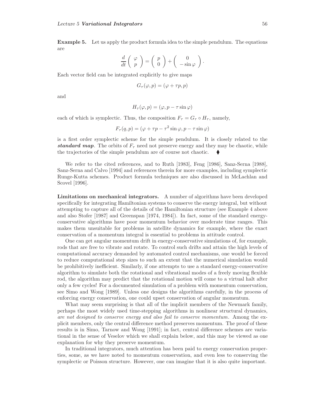**Example 5.** Let us apply the product formula idea to the simple pendulum. The equations are

$$
\frac{d}{dt}\left(\begin{array}{c}\varphi\\p\end{array}\right) = \left(\begin{array}{c}p\\0\end{array}\right) + \left(\begin{array}{c}0\\-\sin\varphi\end{array}\right).
$$

Each vector field can be integrated explicitly to give maps

$$
G_{\tau}(\varphi, p) = (\varphi + \tau p, p)
$$

and

$$
H_{\tau}(\varphi, p) = (\varphi, p - \tau \sin \varphi)
$$

each of which is symplectic. Thus, the composition  $F_{\tau} = G_{\tau} \circ H_{\tau}$ , namely,

$$
F_{\tau}(q, p) = (\varphi + \tau p - \tau^2 \sin \varphi, p - \tau \sin \varphi)
$$

is a first order symplectic scheme for the simple pendulum. It is closely related to the **standard map**. The orbits of  $F<sub>\tau</sub>$  need not preserve energy and they may be chaotic, while the trajectories of the simple pendulum are of course not chaotic.

We refer to the cited references, and to Ruth [1983], Feng [1986], Sanz-Serna [1988], Sanz-Serna and Calvo [1994] and references therein for more examples, including symplectic Runge-Kutta schemes. Product formula techniques are also discussed in McLachlan and Scovel [1996].

**Limitations on mechanical integrators.** A number of algorithms have been developed specifically for integrating Hamiltonian systems to conserve the energy integral, but without attempting to capture all of the details of the Hamiltonian structure (see Example 4 above and also Stofer [1987] and Greenspan [1974, 1984]). In fact, some of the standard energyconservative algorithms have poor momentum behavior over moderate time ranges. This makes them unsuitable for problems in satellite dynamics for example, where the exact conservation of a momentum integral is essential to problems in attitude control.

One can get angular momentum drift in energy-conservative simulations of, for example, rods that are free to vibrate and rotate. To control such drifts and attain the high levels of computational accuracy demanded by automated control mechanisms, one would be forced to reduce computational step sizes to such an extent that the numerical simulation would be prohibitively inefficient. Similarly, if one attempts to use a standard energy-conservative algorithm to simulate both the rotational and vibrational modes of a freely moving flexible rod, the algorithm may predict that the rotational motion will come to a virtual halt after only a few cycles! For a documented simulation of a problem with momentum conservation, see Simo and Wong [1989]. Unless one designs the algorithms carefully, in the process of enforcing energy conservation, one could upset conservation of angular momentum.

What may seem surprising is that all of the implicit members of the Newmark family, perhaps the most widely used time-stepping algorithms in nonlinear structural dynamics, are not designed to conserve energy and also fail to conserve momentum. Among the explicit members, only the central difference method preserves momentum. The proof of these results is in Simo, Tarnow and Wong [1991]; in fact, central difference schemes are variational in the sense of Veselov which we shall explain below, and this may be viewed as one explanation for why they preserve momentum.

In traditional integrators, much attention has been paid to energy conservation properties, some, as we have noted to momentum conservation, and even less to conserving the symplectic or Poisson structure. However, one can imagine that it is also quite important.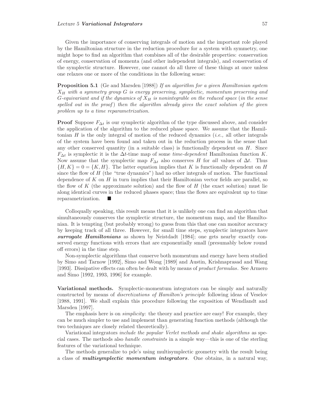Given the importance of conserving integrals of motion and the important role played by the Hamiltonian structure in the reduction procedure for a system with symmetry, one might hope to find an algorithm that combines all of the desirable properties: conservation of energy, conservation of momenta (and other independent integrals), and conservation of the symplectic structure. However, one cannot do all three of these things at once unless one relaxes one or more of the conditions in the following sense:

**Proposition 5.1** (Ge and Marsden [1988]) If an algorithm for a given Hamiltonian system  $X_H$  with a symmetry group G is energy preserving, symplectic, momentum preserving and G-equivariant and if the dynamics of  $X_H$  is nonintegrable on the reduced space (in the sense spelled out in the proof) then the algorithm already gives the exact solution of the given problem up to a time reparametrization.

**Proof** Suppose  $F_{\Delta t}$  is our symplectic algorithm of the type discussed above, and consider the application of the algorithm to the reduced phase space. We assume that the Hamiltonian H is the only integral of motion of the reduced dynamics *(i.e.*, all other integrals of the system have been found and taken out in the reduction process in the sense that any other conserved quantity (in a suitable class) is functionally dependent on  $H$ . Since  $F_{\Delta t}$  is symplectic it is the  $\Delta t$ -time map of some *time-dependent* Hamiltonian function K. Now assume that the symplectic map  $F_{\Delta t}$  also conserves H for all values of  $\Delta t$ . Thus  ${H, K} = 0 = {K, H}.$  The latter equation implies that K is functionally dependent on H since the flow of  $H$  (the "true dynamics") had no other integrals of motion. The functional dependence of  $K$  on  $H$  in turn implies that their Hamiltonian vector fields are parallel, so the flow of K (the approximate solution) and the flow of H (the exact solution) must lie along identical curves in the reduced phases space; thus the flows are equivalent up to time reparametrization.

Colloqually speaking, this result means that it is unlikely one can find an algorithm that simultaneously conserves the symplectic structure, the momentum map, and the Hamiltonian. It is tempting (but probably wrong) to guess from this that one can monitor accuracy by keeping track of all three. However, for small time steps, symplectic integrators have *surrogate Hamiltonians* as shown by Neistdadt [1984]; one gets nearby exactly conserved energy functions with errors that are exponentially small (presumably below round off errors) in the time step.

Non-symplectic algorithms that conserve both momentum and energy have been studied by Simo and Tarnow [1992], Simo and Wong [1989] and Austin, Krishnaprasad and Wang [1993]. Dissipative effects can often be dealt with by means of product formulas. See Armero and Simo [1992, 1993, 1996] for example.

**Variational methods.** Symplectic-momentum integrators can be simply and naturally constructed by means of discretizations of Hamilton's principle following ideas of Veselov [1988, 1991]. We shall explain this procedure following the exposition of Wendlandt and Marsden [1997].

The emphasis here is on *simplicity*: the theory and practice are easy! For example, they can be much simpler to use and implement than generating function methods (although the two techniques are closely related theoretically).

Variational integrators include the popular Verlet methods and shake algorithms as special cases. The methods also handle constraints in a simple way—this is one of the sterling features of the variational technique.

The methods generalize to pde's using multisymplectic geometry with the result being a class of *multisymplectic momentum integrators*. One obtains, in a natural way,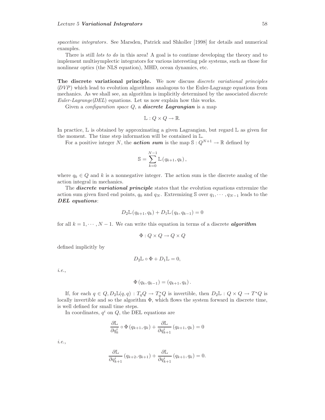spacetime integrators. See Marsden, Patrick and Shkoller [1998] for details and numerical examples.

There is still *lots to do* in this area! A goal is to continue developing the theory and to implement multisymplectic integrators for various interesting pde systems, such as those for nonlinear optics (the NLS equation), MHD, ocean dynamics, etc.

**The discrete variational principle.** We now discuss discrete variational principles  $(DVP)$  which lead to evolution algorithms analogous to the Euler-Lagrange equations from mechanics. As we shall see, an algorithm is implicitly determined by the associated *discrete*  $Euler-Lagrange(DEL)$  equations. Let us now explain how this works.

Given a configuration space Q, a *discrete Lagrangian* is a map

$$
\mathbb{L}: Q \times Q \to \mathbb{R}.
$$

In practice,  $\mathbb L$  is obtained by approximating a given Lagrangian, but regard  $\mathbb L$  as given for the moment. The time step information will be contained in <sup>L</sup>.

For a positive integer N, the *action sum* is the map  $S: Q^{N+1} \to \mathbb{R}$  defined by

$$
\mathbb{S} = \sum_{k=0}^{N-1} \mathbb{L}(q_{k+1}, q_k),
$$

where  $q_k \in Q$  and k is a nonnegative integer. The action sum is the discrete analog of the action integral in mechanics.

The *discrete variational principle* states that the evolution equations extremize the action sum given fixed end points,  $q_0$  and  $q_N$ . Extremizing S over  $q_1, \dots, q_{N-1}$  leads to the *DEL equations*:

$$
D_2 \mathbb{L}(q_{k+1}, q_k) + D_1 \mathbb{L}(q_k, q_{k-1}) = 0
$$

for all  $k = 1, \dots, N - 1$ . We can write this equation in terms of a discrete *algorithm* 

$$
\Phi: Q \times Q \to Q \times Q
$$

defined implicitly by

$$
D_2\mathbb{L}\circ\Phi+D_1\mathbb{L}=0,
$$

i.e.,

$$
\Phi(q_k, q_{k-1}) = (q_{k+1}, q_k).
$$

If, for each  $q \in Q$ ,  $D_2\mathbb{L}(q,q)$ :  $T_qQ \to T_q^*Q$  is invertible, then  $D_2\mathbb{L}$ :  $Q \times Q \to T^*Q$  is locally invertible and so the algorithm  $\Phi$ , which flows the system forward in discrete time, is well defined for small time steps.

In coordinates,  $q^i$  on Q, the DEL equations are

$$
\frac{\partial \mathbb{L}}{\partial q_k^i} \circ \Phi(q_{k+1}, q_k) + \frac{\partial \mathbb{L}}{\partial q_{k+1}^i} (q_{k+1}, q_k) = 0
$$

i.e.,

$$
\frac{\partial \mathbb{L}}{\partial q_{k+1}^i} (q_{k+2}, q_{k+1}) + \frac{\partial \mathbb{L}}{\partial q_{k+1}^i} (q_{k+1}, q_k) = 0.
$$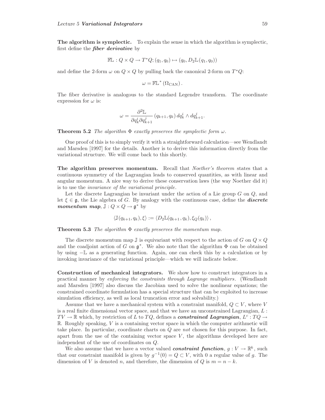**The algorithm is symplectic.** To explain the sense in which the algorithm is symplectic, first define the *fiber derivative* by

$$
\mathbb{FL}: Q \times Q \to T^*Q; (q_1, q_0) \mapsto (q_0, D_2\mathbb{L}(q_1, q_0))
$$

and define the 2-form  $\omega$  on  $Q \times Q$  by pulling back the canonical 2-form on  $T^*Q$ :

$$
\omega = \mathbb{FL}^{\ast}(\Omega_{\text{CAN}}).
$$

The fiber derivative is analogous to the standard Legendre transform. The coordinate expression for  $\omega$  is:

$$
\omega = \frac{\partial^2 \mathbb{L}}{\partial q_k^i \partial q_{k+1}^j} (q_{k+1}, q_k) dq_k^i \wedge dq_{k+1}^j.
$$

**Theorem 5.2** The algorithm  $\Phi$  exactly preserves the symplectic form  $\omega$ .

One proof of this is to simply verify it with a straightforward calculation—see Wendlandt and Marsden [1997] for the details. Another is to derive this information directly from the variational structure. We will come back to this shortly.

**The algorithm preserves momentum.** Recall that *Noether's theorem* states that a continuous symmetry of the Lagrangian leads to conserved quantities, as with linear and angular momentum. A nice way to derive these conservation laws (the way Noether did it) is to use the invariance of the variational principle.

Let the discrete Lagrangian be invariant under the action of a Lie group  $G$  on  $Q$ , and let  $\xi \in \mathfrak{g}$ , the Lie algebra of G. By analogy with the continuous case, define the **discrete** *momentum map*,  $\mathbb{J}: Q \times Q \to \mathfrak{g}^*$  by

$$
\langle \mathbb{J}(q_{k+1}, q_k), \xi \rangle := \langle D_2 \mathbb{L}(q_{k+1}, q_k), \xi_Q(q_k) \rangle,
$$

**Theorem 5.3** The algorithm  $\Phi$  exactly preserves the momentum map.

The discrete momentum map  $\mathbb J$  is equivariant with respect to the action of G on  $Q \times Q$ and the coadjoint action of G on  $\mathfrak{g}^*$ . We also note that the algorithm  $\Phi$  can be obtained by using −<sup>L</sup> as a generating function. Again, one can check this by a calculation or by invoking invariance of the variational principle—which we will indicate below.

**Construction of mechanical integrators.** We show how to construct integrators in a practical manner by enforcing the constraints through Lagrange multipliers. (Wendlandt and Marsden [1997] also discuss the Jacobian used to solve the nonlinear equations; the constrained coordinate formulation has a special structure that can be exploited to increase simulation efficiency, as well as local truncation error and solvability.)

Assume that we have a mechanical system with a constraint manifold,  $Q \subset V$ , where V is a real finite dimensional vector space, and that we have an unconstrained Lagrangian,  $L$ :  $TV \to \mathbb{R}$  which, by restriction of L to TQ, defines a *constrained Lagrangian*,  $L^c: TQ \to TQ$  $\mathbb R$ . Roughly speaking, V is a containing vector space in which the computer arithmetic will take place. In particular, coordinate charts on Q are not chosen for this purpose. In fact, apart from the use of the containing vector space  $V$ , the algorithms developed here are independent of the use of coordinates on Q.

We also assume that we have a vector valued *constraint function*,  $g: V \to \mathbb{R}^k$ , such that our constraint manifold is given by  $g^{-1}(0) = Q \subset V$ , with 0 a regular value of g. The dimension of V is denoted n, and therefore, the dimension of Q is  $m = n - k$ .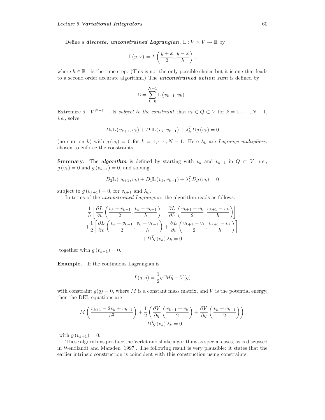Define a *discrete, unconstrained Lagrangian*,  $\mathbb{L}: V \times V \to \mathbb{R}$  by

$$
\mathbb{L}(y,x) = L\left(\frac{y+x}{2}, \frac{y-x}{h}\right),\,
$$

where  $h \in \mathbb{R}_+$  is the time step. (This is not the only possible choice but it is one that leads to a second order accurate algorithm.) The *unconstrained action sum* is defined by

$$
\mathbb{S} = \sum_{k=0}^{N-1} \mathbb{L}\left(v_{k+1}, v_k\right).
$$

Extremize  $\mathbb{S}: V^{N+1} \to \mathbb{R}$  subject to the constraint that  $v_k \in Q \subset V$  for  $k = 1, \dots, N-1$ , i.e., solve

$$
D_2 \mathbb{L}(v_{k+1}, v_k) + D_1 \mathbb{L}(v_k, v_{k-1}) + \lambda_k^T D g(v_k) = 0
$$

(no sum on k) with  $g(v_k) = 0$  for  $k = 1, \dots, N-1$ . Here  $\lambda_k$  are Lagrange multipliers, chosen to enforce the constraints.

**Summary.** The *algorithm* is defined by starting with  $v_k$  and  $v_{k-1}$  in  $Q \subset V$ , *i.e.*,  $g(v_k) = 0$  and  $g(v_{k-1}) = 0$ , and solving

$$
D_2 \mathbb{L}(v_{k+1}, v_k) + D_1 \mathbb{L}(v_k, v_{k-1}) + \lambda_k^T D g(v_k) = 0
$$

subject to  $g(v_{k+1}) = 0$ , for  $v_{k+1}$  and  $\lambda_k$ .

In terms of the unconstrained Lagrangian, the algorithm reads as follows:

$$
\frac{1}{h} \left[ \frac{\partial L}{\partial \dot{v}} \left( \frac{v_k + v_{k-1}}{2}, \frac{v_k - v_{k-1}}{h} \right) - \frac{\partial L}{\partial \dot{v}} \left( \frac{v_{k+1} + v_k}{2}, \frac{v_{k+1} - v_k}{h} \right) \right] \n+ \frac{1}{2} \left[ \frac{\partial L}{\partial v} \left( \frac{v_k + v_{k-1}}{2}, \frac{v_k - v_{k-1}}{h} \right) + \frac{\partial L}{\partial v} \left( \frac{v_{k+1} + v_k}{2}, \frac{v_{k+1} - v_k}{h} \right) \right] \n+ D^T g(v_k) \lambda_k = 0
$$

together with  $g(v_{k+1})=0$ .

**Example.** If the continuous Lagrangian is

$$
L(q, \dot{q}) = \frac{1}{2} \dot{q}^T M \dot{q} - V(q)
$$

with constraint  $g(q)=0$ , where M is a constant mass matrix, and V is the potential energy, then the DEL equations are

$$
M\left(\frac{v_{k+1} - 2v_k + v_{k-1}}{h^2}\right) + \frac{1}{2}\left(\frac{\partial V}{\partial q}\left(\frac{v_{k+1} + v_k}{2}\right) + \frac{\partial V}{\partial q}\left(\frac{v_k + v_{k-1}}{2}\right)\right) - D^T g(v_k) \lambda_k = 0
$$

with  $g(v_{k+1})=0$ .

These algorithms produce the Verlet and shake algorithms as special cases, as is discussed in Wendlandt and Marsden [1997]. The following result is very plausible: it states that the earlier intrinsic construction is coincident with this construction using constraints.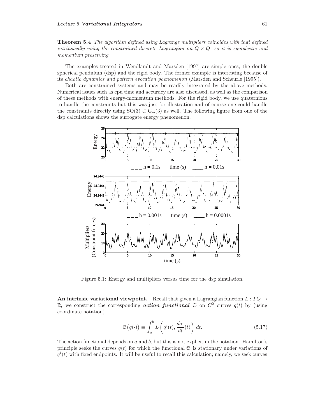**Theorem 5.4** The algorithm defined using Lagrange multipliers coincides with that defined intrinsically using the constrained discrete Lagrangian on  $Q \times Q$ , so it is symplectic and momentum preserving.

The examples treated in Wendlandt and Marsden [1997] are simple ones, the double spherical pendulum (dsp) and the rigid body. The former example is interesting because of its chaotic dynamics and pattern evocation phenomenon (Marsden and Scheurle [1995]).

Both are constrained systems and may be readily integrated by the above methods. Numerical issues such as cpu time and accuracy are also discussed, as well as the comparison of these methods with energy-momentum methods. For the rigid body, we use quaternions to handle the constraints but this was just for illustration and of course one could handle the constraints directly using  $SO(3) \subset GL(3)$  as well. The following figure from one of the dsp calculations shows the surrogate energy phenomenon.



Figure 5.1: Energy and multipliers versus time for the dsp simulation.

**An intrinsic variational viewpoint.** Recall that given a Lagrangian function  $L: TQ \rightarrow$ R, we construct the corresponding **action functional**  $\mathfrak{S}$  on  $C^2$  curves  $q(t)$  by (using coordinate notation)

$$
\mathfrak{S}(q(\cdot)) \equiv \int_{a}^{b} L\left(q^{i}(t), \frac{dq^{i}}{dt}(t)\right) dt.
$$
\n(5.17)

The action functional depends on  $a$  and  $b$ , but this is not explicit in the notation. Hamilton's principle seeks the curves  $q(t)$  for which the functional  $\mathfrak G$  is stationary under variations of  $q^{i}(t)$  with fixed endpoints. It will be useful to recall this calculation; namely, we seek curves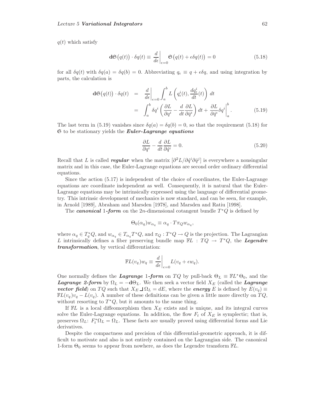$q(t)$  which satisfy

$$
\mathbf{d}\mathfrak{S}(q(t)) \cdot \delta q(t) \equiv \left. \frac{d}{d\epsilon} \right|_{\epsilon=0} \mathfrak{S}(q(t) + \epsilon \delta q(t)) = 0 \tag{5.18}
$$

for all  $\delta q(t)$  with  $\delta q(a) = \delta q(b) = 0$ . Abbreviating  $q_{\epsilon} \equiv q + \epsilon \delta q$ , and using integration by parts, the calculation is

$$
\mathbf{d}\mathfrak{S}(q(t)) \cdot \delta q(t) = \frac{d}{d\epsilon}\bigg|_{\epsilon=0} \int_a^b L\left(q_\epsilon^i(t), \frac{dq_\epsilon^i}{dt}(t)\right) dt
$$
  

$$
= \int_a^b \delta q^i \left(\frac{\partial L}{\partial q^i} - \frac{d}{dt} \frac{\partial L}{\partial \dot{q}^i}\right) dt + \frac{\partial L}{\partial \dot{q}^i} \delta q^i \bigg|_a^b.
$$
(5.19)

The last term in (5.19) vanishes since  $\delta q(a) = \delta q(b) = 0$ , so that the requirement (5.18) for S to be stationary yields the *Euler-Lagrange equations*

$$
\frac{\partial L}{\partial q^i} - \frac{d}{dt} \frac{\partial L}{\partial \dot{q}^i} = 0.
$$
\n(5.20)

Recall that L is called *regular* when the matrix  $[\partial^2 L/\partial \dot{q}^i \partial \dot{q}^j]$  is everywhere a nonsingular matrix and in this case, the Euler-Lagrange equations are second order ordinary differential equations.

Since the action (5.17) is independent of the choice of coordinates, the Euler-Lagrange equations are coordinate independent as well. Consequently, it is natural that the Euler-Lagrange equations may be intrinsically expressed using the language of differential geometry. This intrinsic development of mechanics is now standard, and can be seen, for example, in Arnold [1989], Abraham and Marsden [1978], and Marsden and Ratiu [1998].

The *canonical* 1*-form* on the 2*n*-dimensional cotangent bundle  $T^*Q$  is defined by

$$
\Theta_0(\alpha_q)w_{\alpha_q} \equiv \alpha_q \cdot T\pi_Q w_{\alpha_q},
$$

where  $\alpha_q \in T_q^*Q$ , and  $w_{\alpha_q} \in T_{\alpha_q}T^*Q$ , and  $\pi_Q: T^*Q \to Q$  is the projection. The Lagrangian L intrinsically defines a fiber preserving bundle map  $\mathbb{F}L : TQ \to T^*Q$ , the *Legendre transformation*, by vertical differentiation:

$$
\mathbb{F}L(v_q)w_q \equiv \left. \frac{d}{d\epsilon} \right|_{\epsilon=0} L(v_q + \epsilon w_q).
$$

One normally defines the *Lagrange* 1-form on TQ by pull-back  $\Theta_L \equiv \mathbb{E}L^* \Theta_0$ , and the *Lagrange 2-form* by  $\Omega_L = -d\Theta_L$ . We then seek a vector field  $X_E$  (called the *Lagrange vector field*) on TQ such that  $X_E \rightharpoonup \Omega_L = dE$ , where the *energy* E is defined by  $E(v_q) \equiv$  $\mathbb{F}L(v_q)v_q - L(v_q)$ . A number of these definitions can be given a little more directly on  $TQ$ , without resorting to  $T^*Q$ , but it amounts to the same thing.

If  $\mathbb{F}L$  is a local diffeomorphism then  $X_E$  exists and is unique, and its integral curves solve the Euler-Lagrange equations. In addition, the flow  $F_t$  of  $X_E$  is symplectic; that is, preserves  $\Omega_L$ :  $F_t^* \Omega_L = \Omega_L$ . These facts are usually proved using differential forms and Lie derivatives.

Despite the compactness and precision of this differential-geometric approach, it is difficult to motivate and also is not entirely contained on the Lagrangian side. The canonical 1-form  $\Theta_0$  seems to appear from nowhere, as does the Legendre transform  $\mathbb{F}L$ .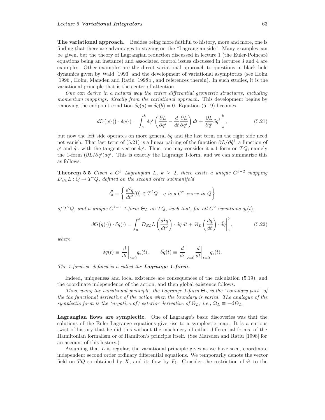**The variational approach.** Besides being more faithful to history, more and more, one is finding that there are advantages to staying on the "Lagrangian side". Many examples can be given, but the theory of Lagrangian reduction discussed in lecture 1 (the Euler-Poincaré equations being an instance) and associated control issues discussed in lectures 3 and 4 are examples. Other examples are the direct variational approach to questions in black hole dynamics given by Wald [1993] and the development of variational asymptotics (see Holm [1996], Holm, Marsden and Ratiu [1998b], and references therein). In such studies, it is the variational principle that is the center of attention.

One can derive in a natural way the entire differential geometric structures, including momentum mappings, directly from the variational approach. This development begins by removing the endpoint condition  $\delta q(a) = \delta q(b) = 0$ . Equation (5.19) becomes

$$
d\mathfrak{S}(q(\cdot)) \cdot \delta q(\cdot) = \int_a^b \delta q^i \left( \frac{\partial L}{\partial q^i} - \frac{d}{dt} \frac{\partial L}{\partial \dot{q}^i} \right) dt + \left. \frac{\partial L}{\partial \dot{q}^i} \delta q^i \right|_a^b, \tag{5.21}
$$

but now the left side operates on more general  $\delta q$  and the last term on the right side need not vanish. That last term of (5.21) is a linear pairing of the function  $\partial L/\partial \dot{q}^i$ , a function of  $q^i$  and  $\dot{q}^i$ , with the tangent vector  $\delta q^i$ . Thus, one may consider it a 1-form on  $TQ$ ; namely the 1-form  $(\partial L/\partial \dot{q}^i) dq^i$ . This is exactly the Lagrange 1-form, and we can summarize this as follows:

**Theorem 5.5** Given a  $C^k$  Lagrangian L,  $k \geq 2$ , there exists a unique  $C^{k-2}$  mapping  $D_{EL}L : \ddot{Q} \rightarrow T^*Q$ , defined on the second order submanifold

$$
\ddot{Q} \equiv \left\{ \left. \frac{d^2q}{dt^2}(0) \in T^2Q \; \right| \; q \; \text{is a } C^2 \; \text{curve in } Q \right\}
$$

of  $T^2Q$ , and a unique  $C^{k-1}$  1-form  $\Theta_L$  on  $TQ$ , such that, for all  $C^2$  variations  $q_{\epsilon}(t)$ ,

$$
d\mathfrak{S}(q(\cdot)) \cdot \delta q(\cdot) = \int_{a}^{b} D_{EL}L\left(\frac{d^{2}q}{dt^{2}}\right) \cdot \delta q dt + \Theta_{L}\left(\frac{dq}{dt}\right) \cdot \hat{\delta q} \Big|_{a}^{b}, \qquad (5.22)
$$

where

$$
\delta q(t) \equiv \left. \frac{d}{d\epsilon} \right|_{\epsilon=0} q_{\epsilon}(t), \qquad \left. \delta q(t) \equiv \left. \frac{d}{d\epsilon} \right|_{\epsilon=0} \frac{d}{dt} \right|_{t=0} q_{\epsilon}(t).
$$

The 1-form so defined is a called the *Lagrange 1-form.*

Indeed, uniqueness and local existence are consequences of the calculation (5.19), and the coordinate independence of the action, and then global existence follows.

Thus, using the variational principle, the Lagrange 1-form  $\Theta_L$  is the "boundary part" of the the functional derivative of the action when the boundary is varied. The analogue of the symplectic form is the (negative of) exterior derivative of  $\Theta_L$ ; i.e.,  $\Omega_L \equiv -d\Theta_L$ .

**Lagrangian flows are symplectic.** One of Lagrange's basic discoveries was that the solutions of the Euler-Lagrange equations give rise to a symplectic map. It is a curious twist of history that he did this without the machinery of either differential forms, of the Hamiltonian formalism or of Hamilton's principle itself. (See Marsden and Ratiu [1998] for an account of this history.)

Assuming that  $L$  is regular, the variational principle gives as we have seen, coordinate independent second order ordinary differential equations. We temporarily denote the vector field on TQ so obtained by X, and its flow by  $F_t$ . Consider the restriction of  $\mathfrak S$  to the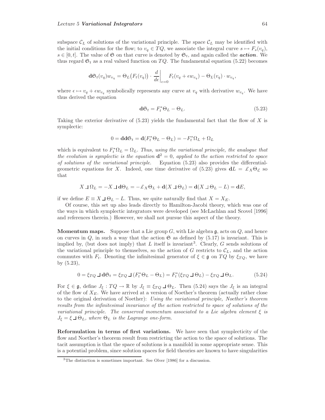subspace  $\mathcal{C}_L$  of solutions of the variational principle. The space  $\mathcal{C}_L$  may be identified with the initial conditions for the flow; to  $v_q \in TQ$ , we associate the integral curve  $s \mapsto F_s(v_q)$ ,  $s \in [0, t]$ . The value of  $\mathfrak S$  on that curve is denoted by  $\mathfrak S_t$ , and again called the *action*. We thus regard  $\mathfrak{S}_t$  as a real valued function on  $TQ$ . The fundamental equation (5.22) becomes

$$
\mathbf{d} \mathfrak{S}_t(v_q) w_{v_q} = \Theta_L\big(F_t(v_q)\big) \cdot \frac{d}{d\epsilon} \bigg|_{\epsilon=0} F_t(v_q + \epsilon w_{v_q}) - \Theta_L(v_q) \cdot w_{v_q},
$$

where  $\epsilon \mapsto v_q + \epsilon w_{v_q}$  symbolically represents any curve at  $v_q$  with derivative  $w_{v_q}$ . We have thus derived the equation

$$
\mathbf{d}\mathfrak{S}_t = F_t^* \Theta_L - \Theta_L. \tag{5.23}
$$

Taking the exterior derivative of  $(5.23)$  yields the fundamental fact that the flow of X is symplectic:

$$
0 = \mathbf{d} \mathbf{d} \mathfrak{S}_t = \mathbf{d} (F_t^* \Theta_L - \Theta_L) = -F_t^* \Omega_L + \Omega_L
$$

which is equivalent to  $F_t^* \Omega_L = \Omega_L$ . Thus, using the variational principle, the analogue that the evolution is symplectic is the equation  $\mathbf{d}^2 = 0$ , applied to the action restricted to space of solutions of the variational principle. Equation (5.23) also provides the differentialgeometric equations for X. Indeed, one time derivative of  $(5.23)$  gives  $dL = \mathcal{L}_X \Theta_{\mathcal{L}}$  so that

$$
X \sqcup \Omega_L = -X \sqcup d\Theta_L = -\pounds_X \Theta_L + d(X \sqcup \Theta_L) = d(X \sqcup \Theta_L - L) = dE,
$$

if we define  $E \equiv X \sqcup \Theta_L - L$ . Thus, we quite naturally find that  $X = X_E$ .

Of course, this set up also leads directly to Hamilton-Jacobi theory, which was one of the ways in which symplectic integrators were developed (see McLachlan and Scovel [1996] and references therein.) However, we shall not pursue this aspect of the theory.

**Momentum maps.** Suppose that a Lie group  $G$ , with Lie algebra  $\mathfrak{g}$ , acts on  $Q$ , and hence on curves in Q, in such a way that the action  $\mathfrak S$  as defined by (5.17) is invariant. This is implied by, (but does not imply) that L itself is invariant<sup>3</sup>. Clearly, G sends solutions of the variational principle to themselves, so the action of  $G$  restricts to  $\mathcal{C}_L$ , and the action commutes with  $F_t$ . Denoting the infinitesimal generator of  $\xi \in \mathfrak{g}$  on  $TQ$  by  $\xi_{TQ}$ , we have by (5.23),

$$
0 = \xi_{TQ} \sqcup \mathbf{d}\mathfrak{S}_t = \xi_{TQ} \sqcup (F_t^* \Theta_L - \Theta_L) = F_t^* (\xi_{TQ} \sqcup \Theta_L) - \xi_{TQ} \sqcup \Theta_L. \tag{5.24}
$$

For  $\xi \in \mathfrak{g}$ , define  $J_{\xi} : TQ \to \mathbb{R}$  by  $J_{\xi} \equiv \xi_{TQ} \sqcup \Theta_L$ . Then (5.24) says the  $J_{\xi}$  is an integral of the flow of  $X_E$ . We have arrived at a version of Noether's theorem (actually rather close to the original derivation of Noether): Using the variational principle, Noether's theorem results from the infinitesimal invariance of the action restricted to space of solutions of the variational principle. The conserved momentum associated to a Lie algebra element  $\xi$  is  $J_{\xi} = \xi \,\exists \Theta_L$ , where  $\Theta_L$  is the Lagrange one-form.

**Reformulation in terms of first variations.** We have seen that symplecticity of the flow and Noether's theorem result from restricting the action to the space of solutions. The tacit assumption is that the space of solutions is a manifold in some appropriate sense. This is a potential problem, since solution spaces for field theories are known to have singularities

<sup>3</sup>The distinction is sometimes important. See Olver [1986] for a discussion.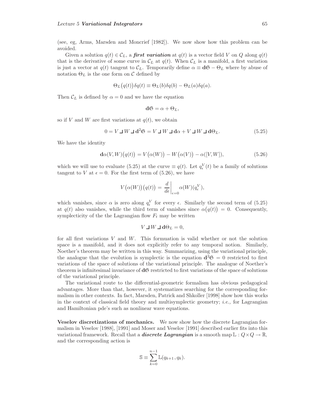(see, eg, Arms, Marsden and Moncrief [1982]). We now show how this problem can be avoided.

Given a solution  $q(t) \in C_L$ , a **first variation** at  $q(t)$  is a vector field V on Q along  $q(t)$ that is the derivative of some curve in  $\mathcal{C}_L$  at  $q(t)$ . When  $\mathcal{C}_L$  is a manifold, a first variation is just a vector at  $q(t)$  tangent to  $\mathcal{C}_L$ . Temporarily define  $\alpha \equiv \mathbf{d} \mathfrak{S} - \Theta_L$  where by abuse of notation  $\Theta_L$  is the one form on C defined by

$$
\Theta_L(q(t))\delta q(t) \equiv \Theta_L(b)\delta q(b) - \Theta_L(a)\delta q(a).
$$

Then  $\mathcal{C}_L$  is defined by  $\alpha = 0$  and we have the equation

$$
\mathbf{dS} = \alpha + \Theta_L,
$$

so if V and W are first variations at  $q(t)$ , we obtain

$$
0 = V \sqcup W \sqcup \mathbf{d}^2 \mathfrak{S} = V \sqcup W \sqcup \mathbf{d}\alpha + V \sqcup W \sqcup \mathbf{d}\Theta_L.
$$
 (5.25)

We have the identity

$$
\mathbf{d}\alpha(V,W)\big(q(t)\big) = V\big(\alpha(W)\big) - W\big(\alpha(V)\big) - \alpha([V,W]),\tag{5.26}
$$

which we will use to evaluate (5.25) at the curve  $\equiv q(t)$ . Let  $q_{\epsilon}^{V}(t)$  be a family of solutions tangent to V at  $\epsilon = 0$ . For the first term of (5.26), we have

$$
V(\alpha(W))(q(t)) = \frac{d}{d\epsilon}\bigg|_{\epsilon=0} \alpha(W)(q_{\epsilon}^{V}),
$$

which vanishes, since  $\alpha$  is zero along  $q_{\epsilon}^V$  for every  $\epsilon$ . Similarly the second term of (5.25) at  $q(t)$  also vanishes, while the third term of vanishes since  $\alpha(q(t)) = 0$ . Consequently, symplecticity of the the Lagrangian flow  $F_t$  may be written

$$
V \sqcup W \sqcup \mathbf{d}\Theta_L = 0,
$$

for all first variations  $V$  and  $W$ . This formuation is valid whether or not the solution space is a manifold, and it does not explicitly refer to any temporal notion. Similarly, Noether's theorem may be written in this way. Summarizing, using the variational principle, the analogue that the evolution is symplectic is the equation  $d^2\mathfrak{S} = 0$  restricted to first variations of the space of solutions of the variational principle. The analogue of Noether's theorem is infinitesimal invariance of **d**<sup>S</sup> restricted to first variations of the space of solutions of the variational principle.

The variational route to the differential-geometric formalism has obvious pedagogical advantages. More than that, however, it systematizes searching for the corresponding formalism in other contexts. In fact, Marsden, Patrick and Shkoller [1998] show how this works in the context of classical field theory and multisymplectic geometry; *i.e.*, for Lagrangian and Hamiltonian pde's such as nonlinear wave equations.

**Veselov discretizations of mechanics.** We now show how the discrete Lagrangian formalism in Veselov [1988], [1991] and Moser and Veselov [1991] described earlier fits into this variational framework. Recall that a *discrete Lagrangian* is a smooth map  $\mathbb{L}: Q \times Q \to \mathbb{R}$ , and the corresponding action is

$$
\mathbb{S} \equiv \sum_{k=0}^{n-1} \mathbb{L}(q_{k+1}, q_k).
$$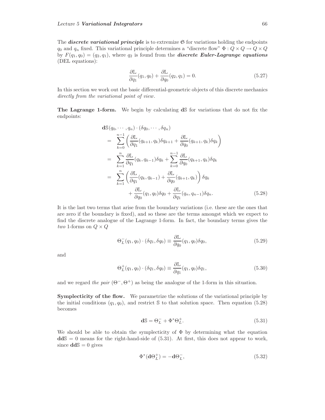The **discrete variational principle** is to extremize  $\mathfrak{S}$  for variations holding the endpoints  $q_0$  and  $q_n$  fixed. This variational principle determines a "discrete flow"  $\Phi: Q \times Q \to Q \times Q$ by  $F(q_1, q_0)=(q_2, q_1)$ , where  $q_2$  is found from the *discrete Euler-Lagrange equations* (DEL equations):

$$
\frac{\partial \mathbb{L}}{\partial q_1}(q_1, q_0) + \frac{\partial \mathbb{L}}{\partial q_0}(q_2, q_1) = 0.
$$
\n(5.27)

In this section we work out the basic differential-geometric objects of this discrete mechanics directly from the variational point of view.

**The Lagrange 1-form.** We begin by calculating **d**<sup>S</sup> for variations that do not fix the endpoints:

$$
\mathbf{d}\mathbb{S}(q_0, \dots, q_n) \cdot (\delta q_0, \dots, \delta q_n)
$$
\n
$$
= \sum_{k=0}^{n-1} \left( \frac{\partial \mathbb{L}}{\partial q_1} (q_{k+1}, q_k) \delta q_{k+1} + \frac{\partial \mathbb{L}}{\partial q_0} (q_{k+1}, q_k) \delta q_k \right)
$$
\n
$$
= \sum_{k=1}^n \frac{\partial \mathbb{L}}{\partial q_1} (q_k, q_{k-1}) \delta q_k + \sum_{k=0}^{n-1} \frac{\partial \mathbb{L}}{\partial q_0} (q_{k+1}, q_k) \delta q_k
$$
\n
$$
= \sum_{k=1}^n \left( \frac{\partial \mathbb{L}}{\partial q_1} (q_k, q_{k-1}) + \frac{\partial \mathbb{L}}{\partial q_0} (q_{k+1}, q_k) \right) \delta q_k
$$
\n
$$
+ \frac{\partial \mathbb{L}}{\partial q_0} (q_1, q_0) \delta q_0 + \frac{\partial \mathbb{L}}{\partial q_1} (q_n, q_{n-1}) \delta q_n. \tag{5.28}
$$

It is the last two terms that arise from the boundary variations (i.e. these are the ones that are zero if the boundary is fixed), and so these are the terms amongst which we expect to find the discrete analogue of the Lagrange 1-form. In fact, the boundary terms gives the two 1-forms on  $Q \times Q$ 

$$
\Theta_L^-(q_1, q_0) \cdot (\delta q_1, \delta q_0) \equiv \frac{\partial \mathbb{L}}{\partial q_0} (q_1, q_0) \delta q_0, \tag{5.29}
$$

and

$$
\Theta_L^+(q_1, q_0) \cdot (\delta q_1, \delta q_0) \equiv \frac{\partial \mathbb{L}}{\partial q_1}(q_1, q_0) \delta q_1,\tag{5.30}
$$

and we regard the pair  $(\Theta^-, \Theta^+)$  as being the analogue of the 1-form in this situation.

**Symplecticity of the flow.** We parametrize the solutions of the variational principle by the initial conditions  $(q_1, q_0)$ , and restrict S to that solution space. Then equation (5.28) becomes

$$
\mathbf{d}\mathbb{S} = \Theta_L^- + \Phi^* \Theta_L^+.
$$
\n(5.31)

We should be able to obtain the symplecticity of  $\Phi$  by determining what the equation **dd**<sup>S</sup> = 0 means for the right-hand-side of (5.31). At first, this does not appear to work, since  $\text{d} \text{d} \mathbb{S} = 0$  gives

$$
\Phi^*(\mathbf{d}\Theta_L^+) = -\mathbf{d}\Theta_L^-, \tag{5.32}
$$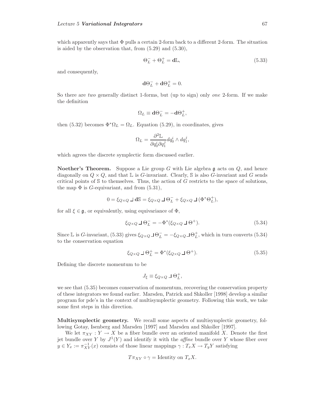which apparently says that  $\Phi$  pulls a certain 2-form back to a different 2-form. The situation is aided by the observation that, from (5.29) and (5.30),

$$
\Theta_L^- + \Theta_L^+ = \mathbf{d}\mathbb{L},\tag{5.33}
$$

and consequently,

$$
\mathbf{d}\Theta_L^- + \mathbf{d}\Theta_L^+ = 0.
$$

So there are two generally distinct 1-forms, but (up to sign) only one 2-form. If we make the definition

$$
\Omega_L \equiv \mathbf{d}\Theta_L^- = -\mathbf{d}\Theta_L^+,
$$

then (5.32) becomes  $\Phi^* \Omega_L = \Omega_L$ . Equation (5.29), in coordinates, gives

$$
\Omega_L = \frac{\partial^2 \mathbb{L}}{\partial q_0^i \partial q_1^j} dq_0^i \wedge dq_1^j,
$$

which agrees the discrete symplectic form discussed earlier.

**Noether's Theorem.** Suppose a Lie group  $G$  with Lie algebra  $\mathfrak g$  acts on  $Q$ , and hence diagonally on  $Q \times Q$ , and that L is G-invariant. Clearly, S is also G-invariant and G sends critical points of  $S$  to themselves. Thus, the action of  $G$  restricts to the space of solutions, the map  $\Phi$  is *G*-equivariant, and from  $(5.31)$ ,

$$
0 = \xi_{Q\times Q}\,\lrcorner\, \mathbf{dS} = \xi_{Q\times Q}\,\lrcorner\,\mathbf{\Theta}_{L}^{-} + \xi_{Q\times Q}\,\lrcorner\, (\Phi^*\Theta_L^+),
$$

for all  $\xi \in \mathfrak{g}$ , or equivalently, using equivariance of  $\Phi$ ,

$$
\xi_{Q\times Q} \sqcup \Theta_L^- = -\Phi^*(\xi_{Q\times Q} \sqcup \Theta^+). \tag{5.34}
$$

Since L is G-invariant, (5.33) gives  $\xi_{Q\times Q}\Box\Theta_L^- = -\xi_{Q\times Q}\Box\Theta_L^+$ , which in turn converts (5.34) to the conservation equation

$$
\xi_{Q\times Q} \sqcup \Theta_L^+ = \Phi^*(\xi_{Q\times Q} \sqcup \Theta^+). \tag{5.35}
$$

Defining the discrete momentum to be

$$
J_{\xi} \equiv \xi_{Q \times Q} \sqcup \Theta_L^+,
$$

we see that (5.35) becomes conservation of momentum, recovering the conservation property of these integrators we found earlier. Marsden, Patrick and Shkoller [1998] develop a similar program for pde's in the context of multisymplectic geometry. Following this work, we take some first steps in this direction.

**Multisymplectic geometry.** We recall some aspects of multisymplectic geometry, following Gotay, Isenberg and Marsden [1997] and Marsden and Shkoller [1997].

We let  $\pi_{XY}: Y \to X$  be a fiber bundle over an oriented manifold X. Denote the first jet bundle over Y by  $J^1(Y)$  and identify it with the *affine* bundle over Y whose fiber over  $y \in Y_x := \pi_{XY}^{-1}(x)$  consists of those linear mappings  $\gamma : T_x X \to T_y Y$  satisfying

$$
T\pi_{XY}\circ\gamma=\text{Identity on }T_xX.
$$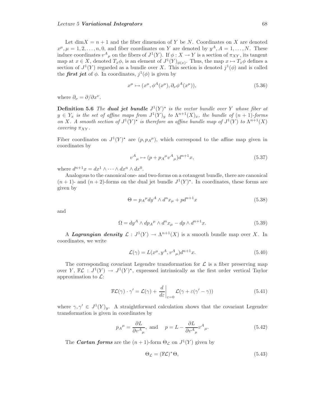Let  $\dim X = n + 1$  and the fiber dimension of Y be N. Coordinates on X are denoted  $x^{\mu}, \mu = 1, 2, \ldots, n, 0$ , and fiber coordinates on Y are denoted by  $y^A$ ,  $A = 1, \ldots, N$ . These induce coordinates  $v^A{}_\mu$  on the fibers of  $J^1(Y)$ . If  $\phi: X \to Y$  is a section of  $\pi_{XY}$ , its tangent map at  $x \in X$ , denoted  $T_x \phi$ , is an element of  $J^1(Y)_{\phi(x)}$ . Thus, the map  $x \mapsto T_x \phi$  defines a section of  $J^1(Y)$  regarded as a bundle over X. This section is denoted  $j^1(\phi)$  and is called the *first jet* of  $\phi$ . In coordinates,  $j^1(\phi)$  is given by

$$
x^{\mu} \mapsto (x^{\mu}, \phi^A(x^{\mu}), \partial_{\nu} \phi^A(x^{\mu})), \tag{5.36}
$$

where  $\partial_{\nu} = \partial/\partial x^{\nu}$ .

**Definition 5.6** The **dual jet bundle**  $J^1(Y)^*$  is the vector bundle over Y whose fiber at  $y \in Y_x$  is the set of affine maps from  $J^1(Y)_y$  to  $\Lambda^{n+1}(X)_x$ , the bundle of  $(n+1)$ -forms on X. A smooth section of  $J^1(Y)^*$  is therefore an affine bundle map of  $J^1(Y)$  to  $\Lambda^{n+1}(X)$ covering  $\pi_{XY}$ .

Fiber coordinates on  $J^1(Y)^*$  are  $(p, p_A^{\mu})$ , which correspond to the affine map given in coordinates by

$$
v^{A}{}_{\mu} \mapsto (p + p_{A}{}^{\mu} v^{A}{}_{\mu}) d^{n+1} x, \tag{5.37}
$$

where  $d^{n+1}x = dx^1 \wedge \cdots \wedge dx^n \wedge dx^0$ .

Analogous to the canonical one- and two-forms on a cotangent bundle, there are canonical  $(n+1)$ - and  $(n+2)$ -forms on the dual jet bundle  $J^1(Y)^*$ . In coordinates, these forms are given by

$$
\Theta = p_A^{\mu} dy^A \wedge d^n x_{\mu} + p d^{n+1} x \tag{5.38}
$$

and

$$
\Omega = dy^A \wedge dp_A^{\mu} \wedge d^n x_{\mu} - dp \wedge d^{n+1} x. \tag{5.39}
$$

A **Lagrangian density**  $\mathcal{L}: J^1(Y) \to \Lambda^{n+1}(X)$  is a smooth bundle map over X. In coordinates, we write

$$
\mathcal{L}(\gamma) = L(x^{\mu}, y^A, v^A_{\mu})d^{n+1}x.
$$
\n(5.40)

The corresponding covariant Legendre transformation for  $\mathcal L$  is a fiber preserving map over Y,  $\mathbb{F}\mathcal{L}: J^1(Y) \to J^1(Y)^*$ , expressed intrinsically as the first order vertical Taylor approximation to  $\mathcal{L}$ :

$$
\mathbb{F}\mathcal{L}(\gamma) \cdot \gamma' = \mathcal{L}(\gamma) + \left. \frac{d}{d\varepsilon} \right|_{\varepsilon=0} \mathcal{L}(\gamma + \varepsilon(\gamma' - \gamma))
$$
\n(5.41)

where  $\gamma, \gamma' \in J^1(Y)_y$ . A straightforward calculation shows that the covariant Legendre transformation is given in coordinates by

$$
p_A^{\mu} = \frac{\partial L}{\partial v_{\mu}^A}, \text{ and } p = L - \frac{\partial L}{\partial v_{\mu}^A} v_{\mu}^A.
$$
 (5.42)

The *Cartan forms* are the  $(n + 1)$ -form  $\Theta_{\mathcal{L}}$  on  $J^1(Y)$  given by

$$
\Theta_{\mathcal{L}} = (\mathbb{F}\mathcal{L})^* \Theta,\tag{5.43}
$$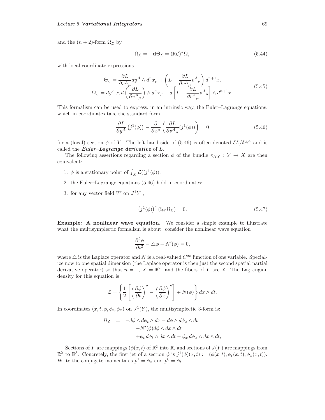and the  $(n+2)$ -form  $\Omega_{\mathcal{L}}$  by

$$
\Omega_{\mathcal{L}} = -\mathbf{d}\Theta_{\mathcal{L}} = (\mathbb{F}\mathcal{L})^*\Omega,\tag{5.44}
$$

with local coordinate expressions

$$
\Theta_{\mathcal{L}} = \frac{\partial L}{\partial v^A_{\mu}} dy^A \wedge d^n x_{\mu} + \left( L - \frac{\partial L}{\partial v^A_{\mu}} v^A_{\mu} \right) d^{n+1} x, \n\Omega_{\mathcal{L}} = dy^A \wedge d \left( \frac{\partial L}{\partial v^A_{\mu}} \right) \wedge d^n x_{\mu} - d \left[ L - \frac{\partial L}{\partial v^A_{\mu}} v^A_{\mu} \right] \wedge d^{n+1} x.
$$
\n(5.45)

This formalism can be used to express, in an intrinsic way, the Euler–Lagrange equations, which in coordinates take the standard form

$$
\frac{\partial L}{\partial y^A} \left( j^1(\phi) \right) - \frac{\partial}{\partial x^\mu} \left( \frac{\partial L}{\partial v^A{}_\mu} (j^1(\phi)) \right) = 0 \tag{5.46}
$$

for a (local) section  $\phi$  of Y. The left hand side of (5.46) is often denoted  $\delta L/\delta \phi^A$  and is called the *Euler–Lagrange derivative* of L.

The following assertions regarding a section  $\phi$  of the bundle  $\pi_{XY} : Y \to X$  are then equivalent:

- 1.  $\phi$  is a stationary point of  $\int_X \mathcal{L}((j^1(\phi));$
- 2. the Euler–Lagrange equations (5.46) hold in coordinates;
- 3. for any vector field W on  $J^1Y$ ,

$$
(j1(\phi))* (iW \OmegaL) = 0.
$$
 (5.47)

**Example:** A nonlinear wave equation. We consider a simple example to illustrate what the multisymplectic formalism is about. consider the nonlinear wave equation

$$
\frac{\partial^2 \phi}{\partial t^2} - \triangle \phi - N'(\phi) = 0,
$$

where  $\triangle$  is the Laplace operator and N is a real-valued  $C^{\infty}$  function of one variable. Specialize now to one spatial dimension (the Laplace operator is then just the second spatial partial derivative operator) so that  $n = 1, X = \mathbb{R}^2$ , and the fibers of Y are  $\mathbb{R}$ . The Lagrangian density for this equation is

$$
\mathcal{L} = \left\{ \frac{1}{2} \left[ \left( \frac{\partial \phi}{\partial t} \right)^2 - \left( \frac{\partial \phi}{\partial x} \right)^2 \right] + N(\phi) \right\} dx \wedge dt.
$$

In coordinates  $(x, t, \phi, \phi_t, \phi_x)$  on  $J^1(Y)$ , the multisymplectic 3-form is:

$$
\Omega_{\mathcal{L}} = -d\phi \wedge d\phi_t \wedge dx - d\phi \wedge d\phi_x \wedge dt
$$
  

$$
-N'(\phi)d\phi \wedge dx \wedge dt
$$
  

$$
+ \phi_t d\phi_t \wedge dx \wedge dt - \phi_x d\phi_x \wedge dx \wedge dt;
$$

Sections of Y are mappings  $(\phi(x, t))$  of  $\mathbb{R}^2$  into  $\mathbb{R}$ , and sections of  $J(Y)$  are mappings from  $\mathbb{R}^2$  to  $\mathbb{R}^3$ . Concretely, the first jet of a section  $\phi$  is  $j^1(\phi)(x,t) := (\phi(x,t), \phi_t(x,t), \phi_x(x,t)).$ Write the conjugate momenta as  $p^1 = \phi_x$  and  $p^0 = \phi_t$ .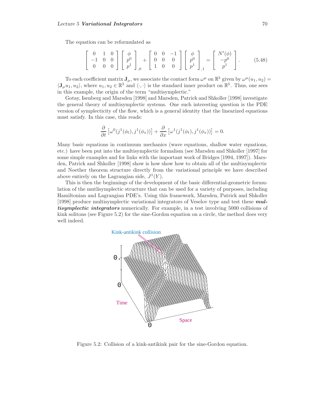The equation can be reformulated as

$$
\begin{bmatrix} 0 & 1 & 0 \ -1 & 0 & 0 \ 0 & 0 & 0 \end{bmatrix} \begin{bmatrix} \phi \\ p^0 \\ p^1 \end{bmatrix}_{,0} + \begin{bmatrix} 0 & 0 & -1 \ 0 & 0 & 0 \ 1 & 0 & 0 \end{bmatrix} \begin{bmatrix} \phi \\ p^0 \\ p^1 \end{bmatrix}_{,1} = \begin{bmatrix} N'(\phi) \\ -p^0 \\ p^1 \end{bmatrix}.
$$
 (5.48)

To each coefficient matrix  $\mathbf{J}_\mu$ , we associate the contact form  $\omega^\mu$  on  $\mathbb{R}^3$  given by  $\omega^\mu(u_1, u_2)$  $\langle J_{\mu}u_1, u_2 \rangle$ , where  $u_1, u_2 \in \mathbb{R}^3$  and  $\langle \cdot, \cdot \rangle$  is the standard inner product on  $\mathbb{R}^3$ . Thus, one sees in this example, the origin of the term "multisymplectic."

Gotay, Isenberg and Marsden [1998] and Marsden, Patrick and Shkoller [1998] investigate the general theory of multisymplectic systems. One such interesting question is the PDE version of symplecticity of the flow, which is a general identity that the linearized equations must satisfy. In this case, this reads:

$$
\frac{\partial}{\partial t} \left[ \omega^0(j^1(\phi_t), j^1(\phi_x)) \right] + \frac{\partial}{\partial x} \left[ \omega^1(j^1(\phi_t), j^1(\phi_x)) \right] = 0.
$$

Many basic equations in continuum mechanics (wave equations, shallow water equations, etc.) have been put into the multisymplectic formalism (see Marsden and Shkoller [1997] for some simple examples and for links with the important work of Bridges [1994, 1997]). Marsden, Patrick and Shkoller [1998] show is how show how to obtain all of the multisymplectic and Noether theorem structure directly from the variational principle we have described above entirely on the Lagrangian side,  $J^1(Y)$ .

This is then the beginnings of the development of the basic differential-geometric formulation of the mutlisymplectic structure that can be used for a variety of purposes, including Hamiltonian and Lagrangian PDE's. Using this framework, Marsden, Patrick and Shkoller [1998] produce multisymplectic variational integrators of Veselov type and test these *multisymplectic integrators* numerically. For example, in a test involving 5000 collisions of kink solitons (see Figure 5.2) for the sine-Gordon equation on a circle, the method does very well indeed.



Figure 5.2: Collision of a kink-antikink pair for the sine-Gordon equation.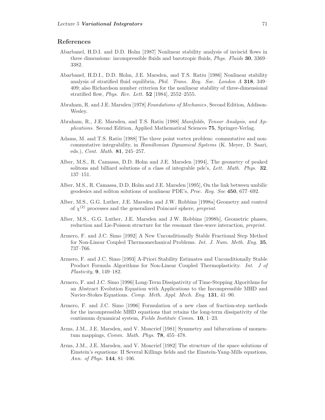## **References**

- Abarbanel, H.D.I. and D.D. Holm [1987] Nonlinear stability analysis of inviscid flows in three dimensions: incompressible fluids and barotropic fluids, Phys. Fluids **30**, 3369– 3382.
- Abarbanel, H.D.I., D.D. Holm, J.E. Marsden, and T.S. Ratiu [1986] Nonlinear stability analysis of stratified fluid equilibria, Phil. Trans. Roy. Soc. London A **318**, 349– 409; also Richardson number criterion for the nonlinear stability of three-dimensional stratified flow, Phys. Rev. Lett. **52** [1984], 2552–2555.
- Abraham, R. and J.E. Marsden [1978] Foundations of Mechanics, Second Edition, Addison-Wesley.
- Abraham, R., J.E. Marsden, and T.S. Ratiu [1988] Manifolds, Tensor Analysis, and Applications. Second Edition, Applied Mathematical Sciences **75**, Springer-Verlag.
- Adams, M. and T.S. Ratiu [1988] The three point vortex problem: commutative and noncommutative integrability, in Hamiltonian Dynamical Systems (K. Meyer, D. Saari, eds.), Cont. Math. **81**, 245–257.
- Alber, M.S., R. Camassa, D.D. Holm and J.E. Marsden [1994], The geometry of peaked solitons and billiard solutions of a class of integrable pde's, Lett. Math. Phys. **32**, 137–151.
- Alber, M.S., R. Camassa, D.D. Holm and J.E. Marsden [1995], On the link between umbilic geodesics and soliton solutions of nonlinear PDE's, Proc. Roy. Soc **450**, 677–692.
- Alber, M.S., G.G. Luther, J.E. Marsden and J.W. Robbins [1998a] Geometry and control of  $\chi^{(2)}$  processes and the generalized Poincaré sphere, preprint.
- Alber, M.S., G.G. Luther, J.E. Marsden and J.W. Robbins [1998b], Geometric phases, reduction and Lie-Poisson structure for the resonant thee-wave interaction, preprint.
- Armero, F. and J.C. Simo [1992] A New Unconditionally Stable Fractional Step Method for Non-Linear Coupled Thermomechanical Problems. Int. J. Num. Meth. Eng. **35**, 737–766.
- Armero, F. and J.C. Simo [1993] A-Priori Stability Estimates and Unconditionally Stable Product Formula Algorithms for Non-Linear Coupled Thermoplasticity. Int. J of Plasticity, **9**, 149–182.
- Armero, F. and J.C. Simo [1996] Long-Term Dissipativity of Time-Stepping Algorithms for an Abstract Evolution Equation with Applications to the Incompressible MHD and Navier-Stokes Equations. Comp. Meth. Appl. Mech. Eng. **131**, 41–90.
- Armero, F. and J.C. Simo [1996] Formulation of a new class of fraction-step methods for the incompressible MHD equations that retains the long-term dissipativity of the continuum dynamical system, Fields Institute Comm. **10**, 1–23.
- Arms, J.M., J.E. Marsden, and V. Moncrief [1981] Symmetry and bifurcations of momentum mappings, Comm. Math. Phys. **78**, 455–478.
- Arms, J.M., J.E. Marsden, and V. Moncrief [1982] The structure of the space solutions of Einstein's equations: II Several Killings fields and the Einstein-Yang-Mills equations, Ann. of Phys. **144**, 81–106.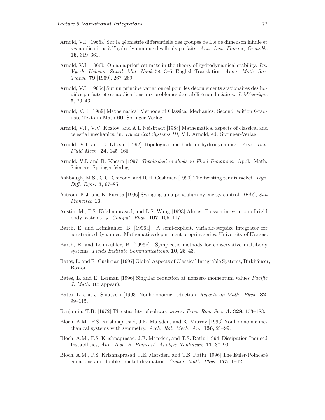- Arnold, V.I. [1966a] Sur la géometrie differentielle des groupes de Lie de dimenson infinie et ses applications à l'hydrodynamique des fluids parfaits. Ann. Inst. Fourier, Grenoble **16**, 319–361.
- Arnold, V.I. [1966b] On an a priori estimate in the theory of hydrodynamical stability. Izv. Vyssh. Uchebn. Zaved. Mat. Nauk **54**, 3–5; English Translation: Amer. Math. Soc. Transl. **79** [1969], 267–269.
- Arnold, V.I. [1966c] Sur un principe variationnel pour les découlements stationaires des liquides parfaits et ses applications aux problemes de stabilité non linéaires. J. Mécanique **5**, 29–43.
- Arnold, V. I. [1989] Mathematical Methods of Classical Mechanics. Second Edition Graduate Texts in Math **60**, Springer-Verlag.
- Arnold, V.I., V.V. Kozlov, and A.I. Neishtadt [1988] Mathematical aspects of classical and celestial mechanics, in: Dynamical Systems III, V.I. Arnold, ed. Springer-Verlag.
- Arnold, V.I. and B. Khesin [1992] Topological methods in hydrodynamics. Ann. Rev. Fluid Mech. **24**, 145–166.
- Arnold, V.I. and B. Khesin [1997] Topological methods in Fluid Dynamics. Appl. Math. Sciences, Springer-Verlag.
- Ashbaugh, M.S., C.C. Chicone, and R.H. Cushman [1990] The twisting tennis racket. Dyn. Diff. Eqns. **3**, 67–85.
- Åström, K.J. and K. Furuta [1996] Swinging up a pendulum by energy control. IFAC, San Francisco **13**.
- Austin, M., P.S. Krishnaprasad, and L.S. Wang [1993] Almost Poisson integration of rigid body systems. J. Comput. Phys. **107**, 105–117.
- Barth, E. and Leimkuhler, B. [1996a]. A semi-explicit, variable-stepsize integrator for constrained dynamics. Mathematics department preprint series, University of Kansas.
- Barth, E. and Leimkuhler, B. [1996b]. Symplectic methods for conservative multibody systems. Fields Institute Communications, **10**, 25–43.
- Bates, L. and R. Cushman [1997] Global Aspects of Classical Integrable Systems, Birkhäuser, Boston.
- Bates, L. and E. Lerman [1996] Singular reduction at nonzero momentum values Pacific J. Math. (to appear).
- Bates, L. and J. Sniatycki [1993] Nonholonomic reduction, Reports on Math. Phys. **32**, 99–115.
- Benjamin, T.B. [1972] The stability of solitary waves. Proc. Roy. Soc. A. **328**, 153–183.
- Bloch, A.M., P.S. Krishnaprasad, J.E. Marsden, and R. Murray [1996] Nonholonomic mechanical systems with symmetry. Arch. Rat. Mech. An., **136**, 21–99.
- Bloch, A.M., P.S. Krishnaprasad, J.E. Marsden, and T.S. Ratiu [1994] Dissipation Induced Instabilities, Ann. Inst. H. Poincaré, Analyse Nonlineare 11, 37–90.
- Bloch, A.M., P.S. Krishnaprasad, J.E. Marsden, and T.S. Ratiu [1996] The Euler-Poincaré equations and double bracket dissipation. Comm. Math. Phys. **175**, 1–42.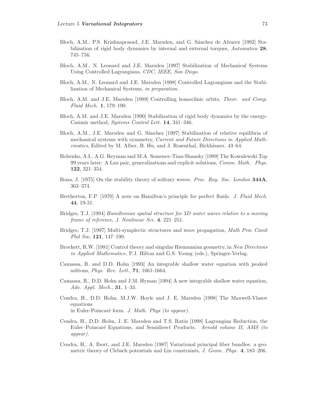- Bloch, A.M., P.S. Krishnaprasad, J.E. Marsden, and G. Sánchez de Alvarez [1992] Stabilization of rigid body dynamics by internal and external torques, Automatica **28**, 745–756.
- Bloch, A.M., N. Leonard and J.E. Marsden [1997] Stabilization of Mechanical Systems Using Controlled Lagrangians, CDC, IEEE, San Diego.
- Bloch, A.M., N. Leonard and J.E. Marsden [1998] Controlled Lagrangians and the Stabilization of Mechanical Systems, in preparation.
- Bloch, A.M. and J.E. Marsden [1989] Controlling homoclinic orbits, Theor. and Comp. Fluid Mech. **1**, 179–190.
- Bloch, A.M. and J.E. Marsden [1990] Stabilization of rigid body dynamics by the energy-Casimir method, Systems Control Lett. **14**, 341–346.
- Bloch, A.M., J.E. Marsden and G. Sánchez [1997] Stabilization of relative equilibria of mechanical systems with symmetry, Current and Future Directions in Applied Mathematics, Edited by M. Alber, B. Hu, and J. Rosenthal, Birkhäuser, 43-64.
- Bobenko, A.I., A.G. Reyman and M.A. Semenov-Tian-Shansky [1989] The Kowalewski Top 99 years later: A Lax pair, generalizations and explicit solutions, Comm. Math. Phys. **122**, 321–354.
- Bona, J. [1975] On the stability theory of solitary waves. Proc. Roy. Soc. London **344A**, 363–374.
- Bretherton, F.P. [1970] A note on Hamilton's principle for perfect fluids. J. Fluid Mech. **44**, 19-31.
- Bridges, T.J. [1994] Hamiltonian spatial structure for 3D water waves relative to a moving frame of reference, J. Nonlinear Sci. **4**, 221–251.
- Bridges, T.J. [1997] Multi-symplectic structures and wave propagation, Math Proc Camb Phil Soc, **121**, 147–190.
- Brockett, R.W. [1981] Control theory and singular Riemannian geometry, in New Directions in Applied Mathematics, P.J. Hilton and G.S. Young (eds.), Springer-Verlag.
- Camassa, R. and D.D. Holm [1993] An integrable shallow water equation with peaked solitons, Phys. Rev. Lett., **71**, 1661-1664.
- Camassa, R., D.D. Holm and J.M. Hyman [1994] A new integrable shallow water equation, Adv. Appl. Mech., **31**, 1–33.
- Cendra, H., D.D. Holm, M.J.W. Hoyle and J. E. Marsden [1998] The Maxwell-Vlasov equations in Euler-Poincaré form. *J. Math. Phys (to appear).*
- Cendra, H., D.D. Holm, J. E. Marsden and T.S. Ratiu [1998] Lagrangian Reduction, the Euler–Poincaré Equations, and Semidirect Products. Arnold volume II, AMS (to appear).
- Cendra, H., A. Ibort, and J.E. Marsden [1987] Variational principal fiber bundles: a geometric theory of Clebsch potentials and Lin constraints, J. Geom. Phys. **4**, 183–206.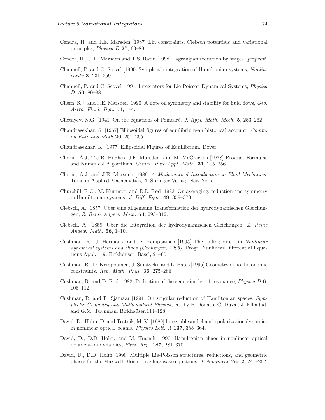- Cendra, H. and J.E. Marsden [1987] Lin constraints, Clebsch potentials and variational principles, Physica D **27**, 63–89.
- Cendra, H., J. E. Marsden and T.S. Ratiu [1998] Lagrangian reduction by stages. preprint.
- Channell, P. and C. Scovel [1990] Symplectic integration of Hamiltonian systems, Nonlinearity **3**, 231–259.
- Channell, P. and C. Scovel [1991] Integrators for Lie-Poisson Dynamical Systems, Physica D, **50**, 80–88.
- Chern, S.J. and J.E. Marsden [1990] A note on symmetry and stability for fluid flows, Geo. Astro. Fluid. Dyn. **51**, 1–4.
- Chetayev, N.G. [1941] On the equations of Poincaré. J. Appl. Math. Mech. **5**, 253–262
- Chandrasekhar, S. [1967] Ellipsoidal figures of equilibrium-an historical account. Comm. on Pure and Math **20**, 251–265.
- Chandrasekhar, K. [1977] Ellipsoidal Figures of Equilibrium. Dover.
- Chorin, A.J, T.J.R. Hughes, J.E. Marsden, and M. McCracken [1978] Product Formulas and Numerical Algorithms, Comm. Pure Appl. Math. **31**, 205–256.
- Chorin, A.J. and J.E. Marsden [1989] A Mathematical Introduction to Fluid Mechanics. Texts in Applied Mathematics, **4**, Springer-Verlag, New York.
- Churchill, R.C., M. Kummer, and D.L. Rod [1983] On averaging, reduction and symmetry in Hamiltonian systems. J. Diff. Eqns. **49**, 359–373.
- Clebsch, A. [1857] Uber eine allgemeine Transformation der hydrodynamischen Gleichun- ¨ gen, Z. Reine Angew. Math. **54**, 293–312.
- Clebsch, A. [1859] Uber die Integration der hydrodynamischen Gleichungen, Z. Reine Angew. Math. **56**, 1–10.
- Cushman, R., J. Hermans, and D. Kemppainen [1995] The rolling disc. in Nonlinear dynamical systems and chaos (Groningen, 1995), Progr. Nonlinear Differential Equations Appl., **19**, Birkhduser, Basel, 21–60.
- Cushman, R., D. Kemppainen, J. Sniatycki, and L. Bates [1995] Geometry of nonholonomic ´ constraints. Rep. Math. Phys. **36**, 275–286.
- Cushman, R. and D. Rod [1982] Reduction of the semi-simple 1:1 resonance, Physica D **6**, 105–112.
- Cushman, R. and R. Sjamaar [1991] On singular reduction of Hamiltonian spaces, Symplectic Geometry and Mathematical Physics, ed. by P. Donato, C. Duval, J. Elhadad, and G.M. Tuynman, Birkhaüser, 114–128.
- David, D., Holm, D. and Tratnik, M. V. [1989] Integrable and chaotic polarization dynamics in nonlinear optical beams. Physics Lett. A **137**, 355–364.
- David, D., D.D. Holm, and M. Tratnik [1990] Hamiltonian chaos in nonlinear optical polarization dynamics, Phys. Rep. **187**, 281–370.
- David, D., D.D. Holm [1990] Multiple Lie-Poisson structures, reductions, and geometric phases for the Maxwell-Bloch travelling wave equations, J. Nonlinear Sci. **2**, 241–262.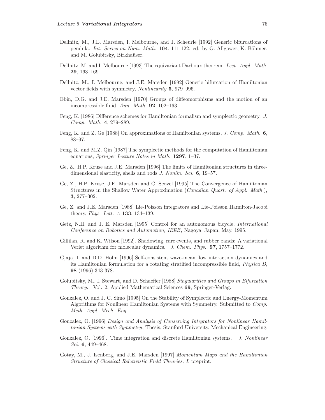- Dellnitz, M., J.E. Marsden, I. Melbourne, and J. Scheurle [1992] Generic bifurcations of pendula. Int. Series on Num. Math. **104**, 111-122. ed. by G. Allgower, K. Böhmer, and M. Golubitsky, Birkhaüser.
- Dellnitz, M. and I. Melbourne [1993] The equivariant Darboux theorem. Lect. Appl. Math. **29**, 163–169.
- Dellnitz, M., I. Melbourne, and J.E. Marsden [1992] Generic bifurcation of Hamiltonian vector fields with symmetry, Nonlinearity **5**, 979–996.
- Ebin, D.G. and J.E. Marsden [1970] Groups of diffeomorphisms and the motion of an incompressible fluid, Ann. Math. **92**, 102–163.
- Feng, K. [1986] Difference schemes for Hamiltonian formalism and symplectic geometry. J. Comp. Math. **4**, 279–289.
- Feng, K. and Z. Ge [1988] On approximations of Hamiltonian systems, J. Comp. Math. **6**, 88–97.
- Feng, K. and M.Z. Qin [1987] The symplectic methods for the computation of Hamiltonian equations, Springer Lecture Notes in Math. **1297**, 1–37.
- Ge, Z., H.P. Kruse and J.E. Marsden [1996] The limits of Hamiltonian structures in threedimensional elasticity, shells and rods J. Nonlin. Sci. **6**, 19–57.
- Ge, Z., H.P. Kruse, J.E. Marsden and C. Scovel [1995] The Convergence of Hamiltonian Structures in the Shallow Water Approximation (Canadian Quart. of Appl. Math.), **3**, 277–302.
- Ge, Z. and J.E. Marsden [1988] Lie-Poisson integrators and Lie-Poisson Hamilton-Jacobi theory, Phys. Lett. A **133**, 134–139.
- Getz, N.H. and J. E. Marsden [1995] Control for an autonomous bicycle, International Conference on Robotics and Automation, IEEE, Nagoya, Japan, May, 1995.
- Gillilan, R. and K. Wilson [1992]. Shadowing, rare events, and rubber bands: A variational Verlet algorithm for molecular dynamics. J. Chem. Phys., **97**, 1757–1772.
- Gjaja, I. and D.D. Holm [1996] Self-consistent wave-mean flow interaction dynamics and its Hamiltonian formulation for a rotating stratified incompressible fluid, Physica D, **98** (1996) 343-378.
- Golubitsky, M., I. Stewart, and D. Schaeffer [1988] Singularities and Groups in Bifurcation Theory. Vol. 2, Applied Mathematical Sciences **69**, Springer-Verlag.
- Gonzalez, O. and J. C. Simo [1995] On the Stability of Symplectic and Energy-Momentum Algorithms for Nonlinear Hamiltonian Systems with Symmetry. Submitted to Comp. Meth. Appl. Mech. Eng..
- Gonzalez, O. [1996] Design and Analysis of Conserving Integrators for Nonlinear Hamiltonian Systems with Symmetry, Thesis, Stanford University, Mechanical Engineering.
- Gonzalez, O. [1996]. Time integration and discrete Hamiltonian systems. J. Nonlinear Sci. **6**, 449–468.
- Gotay, M., J. Isenberg, and J.E. Marsden [1997] Momentum Maps and the Hamiltonian Structure of Classical Relativistic Field Theories, I. preprint.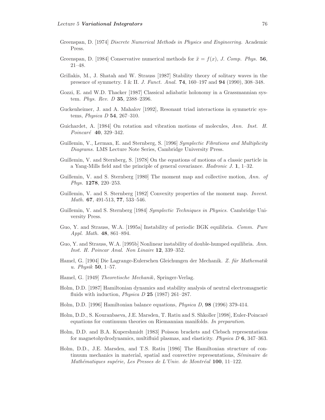- Greenspan, D. [1974] Discrete Numerical Methods in Physics and Engineering. Academic Press.
- Greenspan, D. [1984] Conservative numerical methods for  $\ddot{x} = f(x)$ , J. Comp. Phys. **56**, 21–48.
- Grillakis, M., J. Shatah and W. Strauss [1987] Stability theory of solitary waves in the presence of symmetry. I & II. J. Funct. Anal. **74**, 160–197 and **94** (1990), 308–348.
- Gozzi, E. and W.D. Thacker [1987] Classical adiabatic holonomy in a Grassmannian system. Phys. Rev. D **35**, 2388–2396.
- Guckenheimer, J. and A. Mahalov [1992], Resonant triad interactions in symmetric systems, Physica D **54**, 267–310.
- Guichardet, A. [1984] On rotation and vibration motions of molecules, Ann. Inst. H. Poincar´e **40**, 329–342.
- Guillemin, V., Lerman, E. and Sternberg, S. [1996] Symplectic Fibrations and Multiplicity Diagrams. LMS Lecture Note Series, Cambridge University Press.
- Guillemin, V. and Sternberg, S. [1978] On the equations of motions of a classic particle in a Yang-Mills field and the principle of general covariance. Hadronic J. **1**, 1–32.
- Guillemin, V. and S. Sternberg [1980] The moment map and collective motion, Ann. of Phys. **1278**, 220–253.
- Guillemin, V. and S. Sternberg [1982] Convexity properties of the moment map. Invent. Math. **67**, 491-513, **77**, 533–546.
- Guillemin, V. and S. Sternberg [1984] Symplectic Techniques in Physics. Cambridge University Press.
- Guo, Y. and Strauss, W.A. [1995a] Instability of periodic BGK equilibria. Comm. Pure Appl. Math. **48**, 861–894.
- Guo, Y. and Strauss, W.A. [1995b] Nonlinear instability of double-humped equilibria. Ann. Inst. H. Poincar Anal. Non Linaire **12**, 339–352.
- Hamel, G. [1904] Die Lagrange-Eulerschen Gleichungen der Mechanik. Z. für Mathematik u. Physik **50**, 1–57.
- Hamel, G. [1949] Theoretische Mechanik, Springer-Verlag.
- Holm, D.D. [1987] Hamiltonian dynamics and stability analysis of neutral electromagnetic fluids with induction, Physica D **25** (1987) 261–287.
- Holm, D.D. [1996] Hamiltonian balance equations, Physica D, **98** (1996) 379-414.
- Holm, D.D., S. Kouranbaeva, J.E. Marsden, T. Ratiu and S. Shkoller [1998], Euler-Poincaré equations for continuum theories on Riemannian manifolds. In preparation.
- Holm, D.D. and B.A. Kupershmidt [1983] Poisson brackets and Clebsch representations for magnetohydrodynamics, multifluid plasmas, and elasticity. Physica D **6**, 347–363.
- Holm, D.D., J.E. Marsden, and T.S. Ratiu [1986] The Hamiltonian structure of continuum mechanics in material, spatial and convective representations,  $Séminaire de$ Mathématiques supérie, Les Presses de L'Univ. de Montréal 100, 11-122.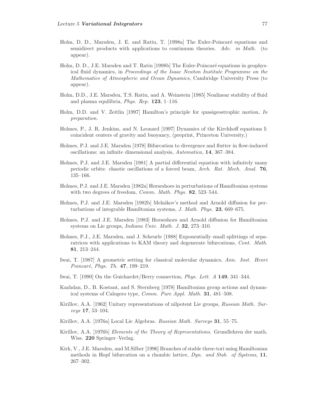- Holm, D. D., Marsden, J. E. and Ratiu, T. [1998a] The Euler-Poincaré equations and semidirect products with applications to continuum theories. Adv. in Math. (to appear).
- Holm, D. D., J.E. Marsden and T. Ratiu [1998b] The Euler-Poincaré equations in geophysical fluid dynamics, in Proceedings of the Isaac Newton Institute Programme on the Mathematics of Atmospheric and Ocean Dynamics, Cambridge University Press (to appear).
- Holm, D.D., J.E. Marsden, T.S. Ratiu, and A. Weinstein [1985] Nonlinear stability of fluid and plasma equilibria, Phys. Rep. **123**, 1–116.
- Holm, D.D. and V. Zeitlin [1997] Hamilton's principle for quasigeostrophic motion, In preparation.
- Holmes, P., J. R. Jenkins, and N. Leonard [1997] Dynamics of the Kirchhoff equations I: coincident centers of gravity and buoyancy, (preprint, Princeton University.)
- Holmes, P.J. and J.E. Marsden [1978] Bifurcation to divergence and flutter in flow-induced oscillations: an infinite dimensional analysis, Automatica, **14**, 367–384.
- Holmes, P.J. and J.E. Marsden [1981] A partial differential equation with infinitely many periodic orbits: chaotic oscillations of a forced beam, Arch. Rat. Mech. Anal. **76**, 135–166.
- Holmes, P.J. and J.E. Marsden [1982a] Horseshoes in perturbations of Hamiltonian systems with two degrees of freedom, Comm. Math. Phys. **82**, 523–544.
- Holmes, P.J. and J.E. Marsden [1982b] Melnikov's method and Arnold diffusion for perturbations of integrable Hamiltonian systems, J. Math. Phys. **23**, 669–675.
- Holmes, P.J. and J.E. Marsden [1983] Horseshoes and Arnold diffusion for Hamiltonian systems on Lie groups, Indiana Univ. Math. J. **32**, 273–310.
- Holmes, P.J., J.E. Marsden, and J. Scheurle [1988] Exponentially small splittings of separatrices with applications to KAM theory and degenerate bifurcations, Cont. Math. **81**, 213–244.
- Iwai, T. [1987] A geometric setting for classical molecular dynamics, Ann. Inst. Henri Poincaré, Phys. Th. 47, 199-219.
- Iwai, T. [1990] On the Guichardet/Berry connection, Phys. Lett. A **149**, 341–344.
- Kazhdan, D., B. Kostant, and S. Sternberg [1978] Hamiltonian group actions and dynamical systems of Calogero type, Comm. Pure Appl. Math. **31**, 481–508.
- Kirillov, A.A. [1962] Unitary representations of nilpotent Lie groups, Russian Math. Surveys **17**, 53–104.
- Kirillov, A.A. [1976a] Local Lie Algebras. Russian Math. Surveys **31**, 55–75.
- Kirillov, A.A. [1976b] Elements of the Theory of Representations. Grundlehren der math. Wiss. **220** Springer–Verlag.
- Kirk, V., J.E. Marsden, and M.Silber [1996] Branches of stable three-tori using Hamiltonian methods in Hopf bifurcation on a rhombic lattice, Dyn. and Stab. of Systems, **11**, 267–302.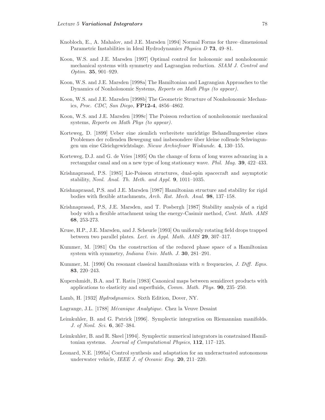- Knobloch, E., A. Mahalov, and J.E. Marsden [1994] Normal Forms for three–dimensional Parametric Instabilities in Ideal Hydrodynamics Physica D **73**, 49–81.
- Koon, W.S. and J.E. Marsden [1997] Optimal control for holonomic and nonholonomic mechanical systems with symmetry and Lagrangian reduction. SIAM J. Control and Optim. **35**, 901–929.
- Koon, W.S. and J.E. Marsden [1998a] The Hamiltonian and Lagrangian Approaches to the Dynamics of Nonholonomic Systems, Reports on Math Phys (to appear).
- Koon, W.S. and J.E. Marsden [1998b] The Geometric Structure of Nonholonomic Mechanics, Proc. CDC, San Diego, **FP12-4**, 4856–4862.
- Koon, W.S. and J.E. Marsden [1998c] The Poisson reduction of nonholonomic mechanical systems, Reports on Math Phys (to appear).
- Korteweg, D. [1899] Ueber eine ziemlich verbreitete unrichtige Behandlungsweise eines Problemes der rollenden Bewegung und insbesondere über kleine rollende Schwingungen um eine Gleichgewichtslage. Nieuw Archiefvoor Wiskunde. **4**, 130–155.
- Korteweg, D.J. and G. de Vries [1895] On the change of form of long waves advancing in a rectangular canal and on a new type of long stationary wave. Phil. Mag. **39**, 422–433.
- Krishnaprasad, P.S. [1985] Lie-Poisson structures, dual-spin spacecraft and asymptotic stability, Nonl. Anal. Th. Meth. and Appl. **9**, 1011–1035.
- Krishnaprasad, P.S. and J.E. Marsden [1987] Hamiltonian structure and stability for rigid bodies with flexible attachments, Arch. Rat. Mech. Anal. **98**, 137–158.
- Krishnaprasad, P.S, J.E. Marsden, and T. Posbergh [1987] Stability analysis of a rigid body with a flexible attachment using the energy-Casimir method, Cont. Math. AMS **68**, 253-273.
- Kruse, H.P., J.E. Marsden, and J. Scheurle [1993] On uniformly rotating field drops trapped between two parallel plates. Lect. in Appl. Math. AMS **29**, 307–317.
- Kummer, M. [1981] On the construction of the reduced phase space of a Hamiltonian system with symmetry, Indiana Univ. Math. J. **30**, 281–291.
- Kummer, M. [1990] On resonant classical hamiltonians with n frequencies, J. Diff. Eqns. **83**, 220–243.
- Kupershmidt, B.A. and T. Ratiu [1983] Canonical maps between semidirect products with applications to elasticity and superfluids, Comm. Math. Phys. **90**, 235–250.
- Lamb, H. [1932] Hydrodynamics. Sixth Edition, Dover, NY.
- Lagrange, J.L. [1788] *Mécanique Analytique*. Chez la Veuve Desaint
- Leimkuhler, B. and G. Patrick [1996]. Symplectic integration on Riemannian manifolds. J. of Nonl. Sci. **6**, 367–384.
- Leimkuhler, B. and R. Skeel [1994]. Symplectic numerical integrators in constrained Hamiltonian systems. Journal of Computational Physics, **112**, 117–125.
- Leonard, N.E. [1995a] Control synthesis and adaptation for an underactuated autonomous underwater vehicle, IEEE J. of Oceanic Eng. **20**, 211–220.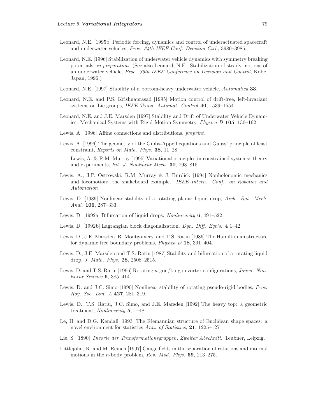- Leonard, N.E. [1995b] Periodic forcing, dynamics and control of underactuated spacecraft and underwater vehicles, Proc. 34th IEEE Conf. Decision Ctrl., 3980–3985.
- Leonard, N.E. [1996] Stabilization of underwater vehicle dynamics with symmetry breaking potentials, in preparation. (See also Leonard, N.E., Stabilization of steady motions of an underwater vehicle, Proc. 35th IEEE Conference on Decision and Control, Kobe, Japan, 1996.)
- Leonard, N.E. [1997] Stability of a bottom-heavy underwater vehicle, Automatica **33**.
- Leonard, N.E. and P.S. Krishnaprasad [1995] Motion control of drift-free, left-invariant systems on Lie groups, IEEE Trans. Automat. Control **40**, 1539–1554.
- Leonard, N.E. and J.E. Marsden [1997] Stability and Drift of Underwater Vehicle Dynamics: Mechanical Systems with Rigid Motion Symmetry, Physica D **105**, 130–162.
- Lewis, A. [1996] Affine connections and distributions, preprint.
- Lewis, A. [1996] The geometry of the Gibbs-Appell equations and Gauss' principle of least constraint, Reports on Math. Phys. **38**, 11–28. Lewis, A. & R.M. Murray [1995] Variational principles in constrained systems: theory and experiments, Int. J. Nonlinear Mech. **30**, 793–815.
- Lewis, A., J.P. Ostrowski, R.M. Murray & J. Burdick [1994] Nonholonomic mechanics and locomotion: the snakeboard example. IEEE Intern. Conf. on Robotics and Automation.
- Lewis, D. [1989] Nonlinear stability of a rotating planar liquid drop, Arch. Rat. Mech. Anal. **106**, 287–333.
- Lewis, D. [1992a] Bifurcation of liquid drops. Nonlinearity **6**, 491–522.
- Lewis, D. [1992b] Lagrangian block diagonalization. Dyn. Diff. Eqn's. **4** 1–42.
- Lewis, D., J.E. Marsden, R. Montgomery, and T.S. Ratiu [1986] The Hamiltonian structure for dynamic free boundary problems, Physica D **18**, 391–404.
- Lewis, D., J.E. Marsden and T.S. Ratiu [1987] Stability and bifurcation of a rotating liquid drop, J. Math. Phys. **28**, 2508–2515.
- Lewis, D. and T.S. Ratiu [1996] Rotating n-gon/kn-gon vortex configurations, Journ. Nonlinear Science **6**, 385–414.
- Lewis, D. and J.C. Simo [1990] Nonlinear stability of rotating pseudo-rigid bodies, Proc. Roy. Soc. Lon. A **427**, 281–319.
- Lewis, D., T.S. Ratiu, J.C. Simo, and J.E. Marsden [1992] The heavy top: a geometric treatment, Nonlinearity **5**, 1–48.
- Le, H. and D.G. Kendall [1993] The Riemannian structure of Euclidean shape spaces: a novel environment for statistics Ann. of Statistics, **21**, 1225–1271.
- Lie, S. [1890] Theorie der Transformationsgruppen, Zweiter Abschnitt. Teubner, Leipzig.
- Littlejohn, R. and M. Reinch [1997] Gauge fields in the separation of rotations and internal motions in the n-body problem, Rev. Mod. Phys. **69**, 213–275.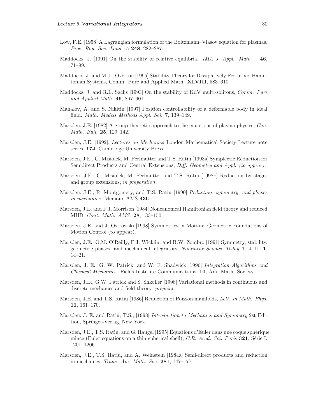- Low, F.E. [1958] A Lagrangian formulation of the Boltzmann–Vlasov equation for plasmas, Proc. Roy. Soc. Lond. A **248**, 282–287.
- Maddocks, J. [1991] On the stability of relative equilibria. IMA J. Appl. Math. **46**, 71–99.
- Maddocks, J. and M. L. Overton [1995] Stability Theory for Dissipatively Perturbed Hamiltonian Systems, Comm. Pure and Applied Math. **XLVIII**, 583–610
- Maddocks, J. and R.L. Sachs [1993] On the stability of KdV multi-solitons, Comm. Pure and Applied Math. **46**, 867–901.
- Mahalov, A. and S. Nikitin [1997] Position controllability of a deformable body in ideal fluid. Math. Models Methods Appl. Sci. **7**, 139–149.
- Marsden, J.E. [1982] A group theoretic approach to the equations of plasma physics, *Can.* Math. Bull. **25**, 129–142.
- Marsden, J.E. [1992], Lectures on Mechanics London Mathematical Society Lecture note series, **174**, Cambridge University Press.
- Marsden, J.E., G. Misiolek, M. Perlmutter and T.S. Ratiu [1998a] Symplectic Reduction for Semidirect Products and Central Extensions, Diff. Geometry and Appl. (to appear).
- Marsden, J.E., G. Misiolek, M. Perlmutter and T.S. Ratiu [1998b] Reduction by stages and group extensions, in preparation.
- Marsden, J.E., R. Montgomery, and T.S. Ratiu [1990] Reduction, symmetry, and phases in mechanics. Memoirs AMS **436**.
- Marsden, J.E. and P.J. Morrison [1984] Noncanonical Hamiltonian field theory and reduced MHD. Cont. Math. AMS, **28**, 133–150.
- Marsden, J.E. and J. Ostrowski [1998] Symmetries in Motion: Geometric Foundations of Motion Control (to appear).
- Marsden, J.E., O.M. O'Reilly, F.J. Wicklin, and B.W. Zombro [1991] Symmetry, stability, geometric phases, and mechanical integrators, Nonlinear Science Today **1**, 4–11, **1**, 14–21.
- Marsden, J. E., G. W. Patrick, and W. F. Shadwick [1996] Integration Algorithms and Classical Mechanics. Fields Institute Communications, **10**, Am. Math. Society.
- Marsden, J.E., G.W. Patrick and S. Shkoller [1998] Variational methods in continuous and discrete mechanics and field theory. preprint.
- Marsden, J.E. and T.S. Ratiu (1986) Reduction of Poisson manifolds, Lett. in Math. Phys. **11**, 161–170.
- Marsden, J. E. and Ratiu, T.S., [1998] Introduction to Mechanics and Symmetry 2st Edition, Springer-Verlag, New York.
- Marsden, J.E., T.S. Ratiu, and G. Raugel [1995] Équations d'Euler dans une coque sphérique mince (Euler equations on a thin spherical shell), C.R. Acad. Sci. Paris **321**, Série I, 1201–1206.
- Marsden, J.E., T.S. Ratiu, and A. Weinstein [1984a] Semi-direct products and reduction in mechanics, Trans. Am. Math. Soc. **281**, 147–177.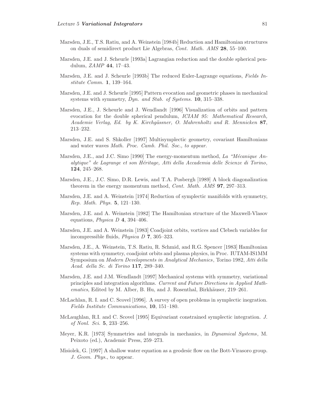- Marsden, J.E., T.S. Ratiu, and A. Weinstein [1984b] Reduction and Hamiltonian structures on duals of semidirect product Lie Algebras, Cont. Math. AMS **28**, 55–100.
- Marsden, J.E. and J. Scheurle [1993a] Lagrangian reduction and the double spherical pendulum, ZAMP **44**, 17–43.
- Marsden, J.E. and J. Scheurle [1993b] The reduced Euler-Lagrange equations, Fields Institute Comm. **1**, 139–164.
- Marsden, J.E. and J. Scheurle [1995] Pattern evocation and geometric phases in mechanical systems with symmetry, Dyn. and Stab. of Systems. **10**, 315–338.
- Marsden, J.E., J. Scheurle and J. Wendlandt [1996] Visualization of orbits and pattern evocation for the double spherical pendulum, ICIAM 95: Mathematical Research, Academie Verlag, Ed. by K. Kirchgässner, O. Mahrenholtz and R. Mennicken 87, 213–232.
- Marsden, J.E. and S. Shkoller [1997] Multisymplectic geometry, covariant Hamiltonians and water waves Math. Proc. Camb. Phil. Soc., to appear.
- Marsden, J.E., and J.C. Simo [1990] The energy-momentum method, La "Mécanique Analytique" de Lagrange et son Héritage, Atti della Accademia delle Scienze di Torino, **124**, 245–268.
- Marsden, J.E., J.C. Simo, D.R. Lewis, and T.A. Posbergh [1989] A block diagonalization theorem in the energy momentum method, Cont. Math. AMS **97**, 297–313.
- Marsden, J.E. and A. Weinstein [1974] Reduction of symplectic manifolds with symmetry, Rep. Math. Phys. **5**, 121–130.
- Marsden, J.E. and A. Weinstein [1982] The Hamiltonian structure of the Maxwell-Vlasov equations, Physica D **4**, 394–406.
- Marsden, J.E. and A. Weinstein [1983] Coadjoint orbits, vortices and Clebsch variables for incompressible fluids, Physica D **7**, 305–323.
- Marsden, J.E., A. Weinstein, T.S. Ratiu, R. Schmid, and R.G. Spencer [1983] Hamiltonian systems with symmetry, coadjoint orbits and plasma physics, in Proc. IUTAM-IS1MM Symposium on Modern Developments in Analytical Mechanics, Torino 1982, Atti della Acad. della Sc. di Torino **117**, 289–340.
- Marsden, J.E. and J.M. Wendlandt [1997] Mechanical systems with symmetry, variational principles and integration algorithms. Current and Future Directions in Applied Mathematics, Edited by M. Alber, B. Hu, and J. Rosenthal, Birkhäuser,  $219-261$ .
- McLachlan, R. I. and C. Scovel [1996]. A survey of open problems in symplectic inegration. Fields Institute Communications, **10**, 151–180.
- McLaughlan, R.I. and C. Scovel [1995] Equivariant constrained symplectic integration. J. of Nonl. Sci. **5**, 233–256.
- Meyer, K.R. [1973] Symmetries and integrals in mechanics, in Dynamical Systems, M. Peixoto (ed.), Academic Press, 259–273.
- Misiolek, G. [1997] A shallow water equation as a geodesic flow on the Bott-Virasoro group. J. Geom. Phys., to appear.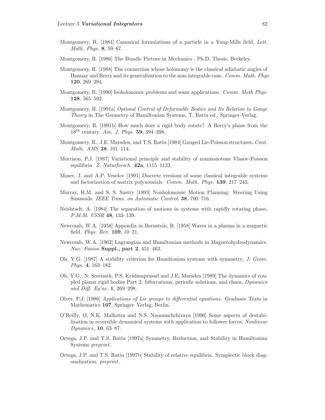- Montgomery, R. [1984] Canonical formulations of a particle in a Yang-Mills field, Lett. Math. Phys. **8**, 59–67.
- Montgomery, R. [1986] The Bundle Picture in Mechanics , Ph.D. Thesis, Berkeley.
- Montgomery, R. [1988] The connection whose holonomy is the classical adiabatic angles of Hannay and Berry and its generalization to the non-integrable case. Comm. Math. Phys. **120**, 269–294.
- Montgomery, R. [1990] Isoholonomic problems and some applications. *Comm. Math Phys.* **128**, 565–592.
- Montgomery, R. [1991a] Optimal Control of Deformable Bodies and Its Relation to Gauge Theory in The Geometry of Hamiltonian Systems, T. Ratiu ed., Springer-Verlag.
- Montgomery, R. [1991b] How much does a rigid body rotate? A Berry's phase from the 18th century. Am. J. Phys. **59**, 394–398.
- Montgomery, R., J.E. Marsden, and T.S. Ratiu [1984] Gauged Lie-Poisson structures, Cont. Math. AMS **28**, 101–114.
- Morrison, P.J. [1987] Variational principle and stability of nonmonotone Vlasov-Poisson equilibria. Z. Naturforsch. **42a**, 1115–1123.
- Moser, J. and A.P. Veselov [1991] Discrete versions of some classical integrable systems and factorization of matrix polynomials. Comm. Math. Phys. **139**, 217–243.
- Murray, R.M. and S. S. Sastry [1993] Nonholonomic Motion Planning: Steering Using Sinusoids. IEEE Trans. on Automatic Control, **38**, 700–716.
- Neishtadt, A. [1984] The separation of motions in systems with rapidly rotating phase, P.M.M. USSR **48**, 133–139.
- Newcomb, W.A. [1958] Appendix in Bernstein, B. [1958] Waves in a plasma in a magnetic field. Phys. Rev. **109**, 10–21.
- Newcomb, W.A. [1962] Lagrangian and Hamiltonian methods in Magnetohydrodynamics. Nuc. Fusion **Suppl., part 2**, 451–463.
- Oh, Y.G. [1987] A stability criterion for Hamiltonian systems with symmetry, J. Geom. Phys. **4**, 163–182.
- Oh, Y.G., N. Sreenath, P.S. Krishnaprasad and J.E. Marsden [1989] The dynamics of coupled planar rigid bodies Part 2: bifurcations, periodic solutions, and chaos, Dynamics and Diff. Eq'ns. **1**, 269–298.
- Olver, P.J. [1986] Applications of Lie groups to differential equations. Graduate Texts in Mathematics **107**, Springer–Verlag, Berlin.
- O'Reilly, O, N.K. Malhotra and N.S. Namamchchivaya [1996] Some aspects of destabilization in reversible dynamical systems with application to follower forces, Nonlinear Dynamics, **10**, 63–87.
- Ortega, J.P. and T.S. Ratiu [1997a] Symmetry, Reduction, and Stability in Hamiltonian Systems preprint.
- Ortega, J.P. and T.S. Ratiu [1997b] Stability of relative equilibria. Symplectic block diagonalization. preprint.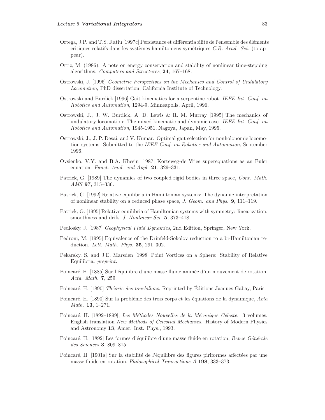- Ortega, J.P. and T.S. Ratiu [1997c] Persistance et différentiabilité de l'ensemble des éléments critiques relatifs dans les systèmes hamiltoniens symétriques C.R. Acad. Sci. (to appear).
- Ortiz, M. (1986). A note on energy conservation and stability of nonlinear time-stepping algorithms. Computers and Structures, **24**, 167–168.
- Ostrowski, J. [1996] Geometric Perspectives on the Mechanics and Control of Undulatory Locomotion, PhD dissertation, California Institute of Technology.
- Ostrowski and Burdick [1996] Gait kinematics for a serpentine robot, IEEE Int. Conf. on Robotics and Automation, 1294-9, Minneapolis, April, 1996.
- Ostrowski, J., J. W. Burdick, A. D. Lewis & R. M. Murray [1995] The mechanics of undulatory locomotion: The mixed kinematic and dynamic case. IEEE Int. Conf. on Robotics and Automation, 1945-1951, Nagoya, Japan, May, 1995.
- Ostrowski, J., J. P. Desai, and V. Kumar. Optimal gait selection for nonholonomic locomotion systems. Submitted to the IEEE Conf. on Robotics and Automation, September 1996.
- Ovsienko, V.Y. and B.A. Khesin [1987] Korteweg-de Vries superequations as an Euler equation. Funct. Anal. and Appl. **21**, 329–331.
- Patrick, G. [1989] The dynamics of two coupled rigid bodies in three space, Cont. Math. AMS **97**, 315–336.
- Patrick, G. [1992] Relative equilibria in Hamiltonian systems: The dynamic interpretation of nonlinear stability on a reduced phase space, J. Geom. and Phys. **9**, 111–119.
- Patrick, G. [1995] Relative equilibria of Hamiltonian systems with symmetry: linearization, smoothness and drift, J. Nonlinear Sci. **5**, 373–418.
- Pedlosky, J. [1987] Geophysical Fluid Dynamics, 2nd Edition, Springer, New York.
- Pedroni, M. [1995] Equivalence of the Drinfeld-Sokolov reduction to a bi-Hamiltonian reduction. Lett. Math. Phys. **35**, 291–302.
- Pekarsky, S. and J.E. Marsden [1998] Point Vortices on a Sphere: Stability of Relative Equilibria. preprint.
- Poincaré, H. [1885] Sur l'équilibre d'une masse fluide animée d'un mouvement de rotation, Acta. Math. **7**, 259.
- Poincaré, H. [1890] Théorie des tourbillons, Reprinted by Éditions Jacques Gabay, Paris.
- Poincaré, H. [1890] Sur la problème des trois corps et les équations de la dynamique, Acta Math. **13**, 1–271.
- Poincaré, H. [1892–1899], Les Méthodes Nouvelles de la Mécanique Celeste. 3 volumes. English translation New Methods of Celestial Mechanics. History of Modern Physics and Astronomy **13**, Amer. Inst. Phys., 1993.
- Poincaré, H. [1892] Les formes d'équilibre d'une masse fluide en rotation, Revue Générale des Sciences **3**, 809–815.
- Poincaré, H. [1901a] Sur la stabilité de l'équilibre des figures piriformes affectées par une masse fluide en rotation, Philosophical Transactions A **198**, 333–373.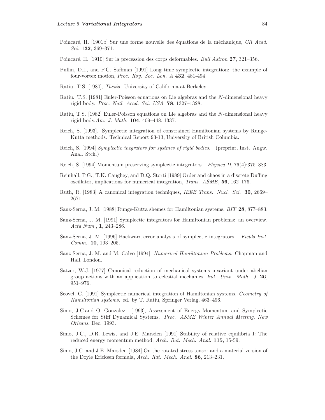- Poincaré, H. [1901b] Sur une forme nouvelle des équations de la méchanique, CR Acad. Sci. **132**, 369–371.
- Poincar´e, H. [1910] Sur la precession des corps deformables. Bull Astron **27**, 321–356.
- Pullin, D.I., and P.G. Saffman [1991] Long time symplectic integration: the example of four-vortex motion, Proc. Roy. Soc. Lon. A **432**, 481-494.
- Ratiu. T.S. [1980], Thesis. University of California at Berkeley.
- Ratiu. T.S. [1981] Euler-Poisson equations on Lie algebras and the N-dimensional heavy rigid body. Proc. Natl. Acad. Sci. USA **78**, 1327–1328.
- Ratiu, T.S. [1982] Euler-Poisson equations on Lie algebras and the N-dimensional heavy rigid body,Am. J. Math. **104**, 409–448, 1337.
- Reich, S. [1993]. Symplectic integration of constrained Hamiltonian systems by Runge-Kutta methods. Technical Report 93-13, University of British Columbia.
- Reich, S. [1994] Symplectic inegrators for systmes of rigid bodies. (preprint, Inst. Angw. Anal. Stch.)
- Reich, S. [1994] Momentum preserving symplectic integrators. Physica D, 76(4):375–383.
- Reinhall, P.G., T.K. Caughey, and D.Q. Storti [1989] Order and chaos in a discrete Duffing oscillator, implications for numerical integration, Trans. ASME, **56**, 162–176.
- Ruth, R. [1983] A canonical integration techniques, IEEE Trans. Nucl. Sci. **30**, 2669– 2671.
- Sanz-Serna, J. M. [1988] Runge-Kutta shemes for Hamiltonian systems, BIT **28**, 877–883.
- Sanz-Serna, J. M. [1991] Symplectic integrators for Hamiltonian problems: an overview. Acta Num., **1**, 243–286.
- Sanz-Serna, J. M. [1996] Backward error analysis of symplectic integrators. Fields Inst. Comm., **10**, 193–205.
- Sanz-Serna, J. M. and M. Calvo [1994] Numerical Hamiltonian Problems. Chapman and Hall, London.
- Satzer, W.J. [1977] Canonical reduction of mechanical systems invariant under abelian group actions with an application to celestial mechanics, Ind. Univ. Math. J. **26**, 951–976.
- Scovel, C. [1991] Symplectic numerical integration of Hamiltonian systems, Geometry of Hamiltonian systems. ed. by T. Ratiu, Springer Verlag, 463–496.
- Simo, J.C.and O. Gonzalez. [1993], Assessment of Energy-Momentum and Symplectic Schemes for Stiff Dynamical Systems. Proc. ASME Winter Annual Meeting, New Orleans, Dec. 1993.
- Simo, J.C., D.R. Lewis, and J.E. Marsden [1991] Stability of relative equilibria I: The reduced energy momentum method, Arch. Rat. Mech. Anal. **115**, 15-59.
- Simo, J.C. and J.E. Marsden [1984] On the rotated stress tensor and a material version of the Doyle Ericksen formula, Arch. Rat. Mech. Anal. **86**, 213–231.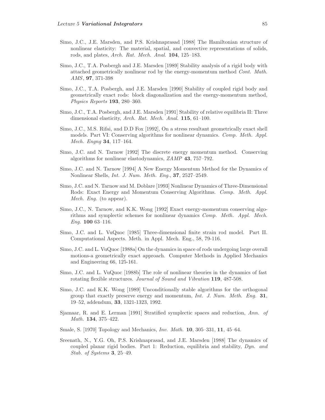- Simo, J.C., J.E. Marsden, and P.S. Krishnaprasad [1988] The Hamiltonian structure of nonlinear elasticity: The material, spatial, and convective representations of solids, rods, and plates, Arch. Rat. Mech. Anal. **104**, 125–183.
- Simo, J.C., T.A. Posbergh and J.E. Marsden [1989] Stability analysis of a rigid body with attached geometrically nonlinear rod by the energy-momentum method Cont. Math. AMS, **97**, 371-398
- Simo, J.C., T.A. Posbergh, and J.E. Marsden [1990] Stability of coupled rigid body and geometrically exact rods: block diagonalization and the energy-momentum method, Physics Reports **193**, 280–360.
- Simo, J.C., T.A. Posbergh, and J.E. Marsden [1991] Stability of relative equilibria II: Three dimensional elasticity, Arch. Rat. Mech. Anal. **115**, 61–100.
- Simo, J.C., M.S. Rifai, and D.D Fox [1992], On a stress resultant geometrically exact shell models. Part VI: Conserving algorithms for nonlinear dynamics. Comp. Meth. Appl. Mech. Engng **34**, 117–164.
- Simo, J.C. and N. Tarnow [1992] The discrete energy momentum method. Conserving algorithms for nonlinear elastodynamics, ZAMP **43**, 757–792.
- Simo, J.C. and N. Tarnow [1994] A New Energy Momentum Method for the Dynamics of Nonlinear Shells, Int. J. Num. Meth. Eng., **37**, 2527–2549.
- Simo, J.C. and N. Tarnow and M. Doblare [1993] Nonlinear Dynamics of Three-Dimensional Rods: Exact Energy and Momentum Conserving Algorithms. Comp. Meth. Appl. Mech. Eng. (to appear).
- Simo, J.C., N. Tarnow, and K.K. Wong [1992] Exact energy-momentum conserving algorithms and symplectic schemes for nonlinear dynamics Comp. Meth. Appl. Mech. Eng. **100** 63–116.
- Simo, J.C. and L. VuQuoc [1985] Three-dimensional finite strain rod model. Part II. Computational Aspects. Meth. in Appl. Mech. Eng., 58, 79-116.
- Simo, J.C. and L. VuQuoc [1988a] On the dynamics in space of rods undergoing large overall motions-a geometrically exact approach. Computer Methods in Applied Mechanics and Engineering 66, 125-161.
- Simo, J.C. and L. VuQuoc [1988b] The role of nonlinear theories in the dynamics of fast rotating flexible structures. Journal of Sound and Vibration **119**, 487-508.
- Simo, J.C. and K.K. Wong [1989] Unconditionally stable algorithms for the orthogonal group that exactly preserve energy and momentum, Int. J. Num. Meth. Eng. **31**, 19–52, addendum, **33**, 1321-1323, 1992.
- Sjamaar, R. and E. Lerman [1991] Stratified symplectic spaces and reduction, Ann. of Math. **134**, 375–422.
- Smale, S. [1970] Topology and Mechanics, Inv. Math. **10**, 305–331, **11**, 45–64.
- Sreenath, N., Y.G. Oh, P.S. Krishnaprasad, and J.E. Marsden [1988] The dynamics of coupled planar rigid bodies. Part 1: Reduction, equilibria and stability, Dyn. and Stab. of Systems **3**, 25–49.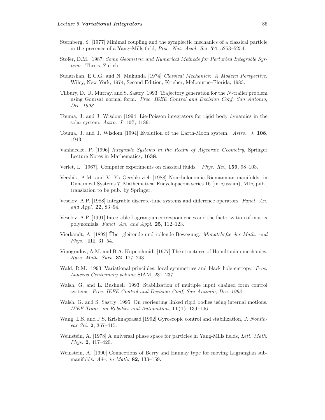- Sternberg, S. [1977] Minimal coupling and the symplectic mechanics of a classical particle in the presence of a Yang–Mills field, Proc. Nat. Acad. Sci. **74**, 5253–5254.
- Stofer, D.M. [1987] Some Geometric and Numerical Methods for Perturbed Integrable Systems. Thesis, Zurich.
- Sudarshan, E.C.G. and N. Mukunda [1974] Classical Mechanics: A Modern Perspective. Wiley, New York, 1974; Second Edition, Krieber, Melbourne–Florida, 1983.
- Tilbury, D., R. Murray, and S. Sastry [1993] Trajectory generation for the N-trailer problem using Goursat normal form. Proc. IEEE Control and Decision Conf, San Antonio, Dec. 1993.
- Touma, J. and J. Wisdom [1994] Lie-Poisson integrators for rigid body dynamics in the solar system. Astro. J. **107**, 1189.
- Touma, J. and J. Wisdom [1994] Evolution of the Earth-Moon system. Astro. J. **108**, 1943.
- Vanhaecke, P. [1996] Integrable Systems in the Realm of Algebraic Geometry, Springer Lecture Notes in Mathematics, **1638**.
- Verlet, L. [1967]. Computer experiments on classical fluids. Phys. Rev, **159**, 98–103.
- Vershik, A.M. and V. Ya Gershkovich [1988] Non–holonomic Riemannian manifolds, in Dynamical Systems 7, Mathematical Encyclopaedia series 16 (in Russian), MIR pub., translation to be pub. by Springer.
- Veselov, A.P. [1988] Integrable discrete-time systems and difference operators. Funct. An. and Appl. **22**, 83–94.
- Veselov, A.P. [1991] Integrable Lagrangian correspondences and the factorization of matrix polynomials. Funct. An. and Appl. **25**, 112–123.
- Vierkandt, A. [1892] Über gleitende und rollende Bewegung. Monatshefte der Math. und Phys. **III**, 31–54.
- Vinogradov, A.M. and B.A. Kupershmidt [1977] The structures of Hamiltonian mechanics. Russ. Math. Surv. **32**, 177–243.
- Wald, R.M. [1993] Variational principles, local symmetries and black hole entropy. Proc. Lanczos Centennary volume SIAM, 231–237.
- Walsh, G. and L. Bushnell [1993] Stabilization of multiple input chained form control systems. Proc. IEEE Control and Decision Conf, San Antonio, Dec. 1993 .
- Walsh, G. and S. Sastry [1995] On reorienting linked rigid bodies using internal motions. IEEE Trans. on Robotics and Automation, **11(1)**, 139–146.
- Wang, L.S. and P.S. Krishnaprasad [1992] Gyroscopic control and stabilization, *J. Nonlin*ear Sci. **2**, 367–415.
- Weinstein, A. [1978] A universal phase space for particles in Yang-Mills fields, Lett. Math. Phys. **2**, 417–420.
- Weinstein, A. [1990] Connections of Berry and Hannay type for moving Lagrangian submanifolds. Adv. in Math. **82**, 133–159.